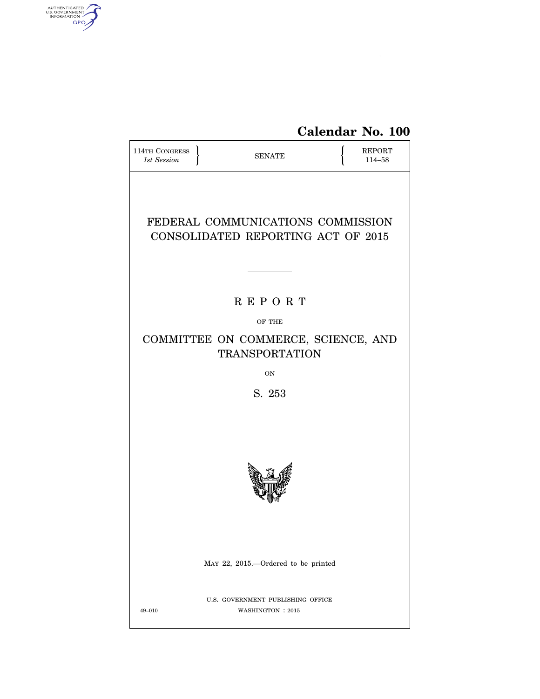

| 114TH CONGRESS<br>1st Session                                           |  | <b>SENATE</b>                                          |  | <b>REPORT</b><br>114-58 |
|-------------------------------------------------------------------------|--|--------------------------------------------------------|--|-------------------------|
| FEDERAL COMMUNICATIONS COMMISSION<br>CONSOLIDATED REPORTING ACT OF 2015 |  |                                                        |  |                         |
|                                                                         |  |                                                        |  |                         |
| <b>REPORT</b>                                                           |  |                                                        |  |                         |
| OF THE                                                                  |  |                                                        |  |                         |
| COMMITTEE ON COMMERCE, SCIENCE, AND<br><b>TRANSPORTATION</b>            |  |                                                        |  |                         |
|                                                                         |  | ON                                                     |  |                         |
| S. 253                                                                  |  |                                                        |  |                         |
|                                                                         |  |                                                        |  |                         |
|                                                                         |  | MAY 22, 2015.—Ordered to be printed                    |  |                         |
| $49 - 010$                                                              |  | U.S. GOVERNMENT PUBLISHING OFFICE<br>WASHINGTON : 2015 |  |                         |

AUTHENTICATED

 $\widehat{\mathbf{f}}$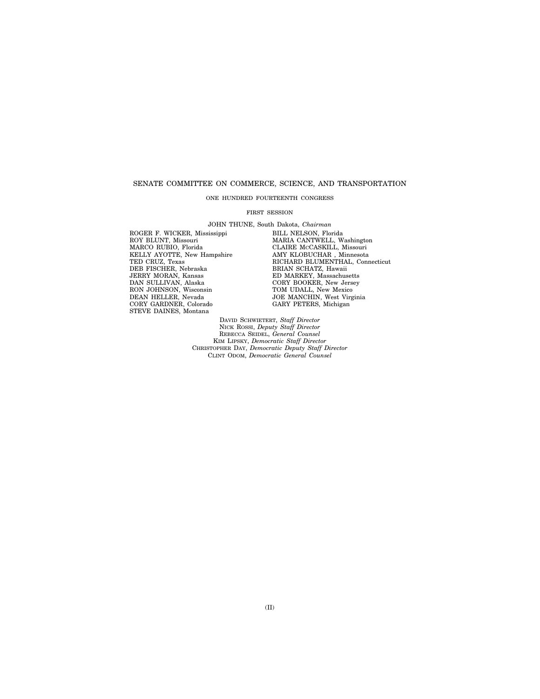### SENATE COMMITTEE ON COMMERCE, SCIENCE, AND TRANSPORTATION

### ONE HUNDRED FOURTEENTH CONGRESS

#### FIRST SESSION

JOHN THUNE, South Dakota, *Chairman*  ROGER F. WICKER, Mississippi BILL NELSON, Florida ROY BLUNT, Missouri MARIA CANTWELL, Washington MARCO RUBIO, Florida CLAIRE MCCASKILL, Missouri KELLY AYOTTE, New Hampshire AMY KLOBUCHAR , Minnesota NED GRUZ, Texas and Hampsmithe Hall RICHARD BLUMENTHAIN<br>DEB FISCHER, Nebraska BRIAN SCHATZ, Hawaii DEB FISCHER, Neoraska<br>JERRY MORAN, Kansas<br>DAN SULLIVAN, Alaska<br>RON JOHNSON, Wisconsin<br>DEAN HELLER, Nevada CORY GARDNER, Colorado GARY PETERS, Michigan STEVE DAINES, Montana

TED CRUZ, Texas RICHARD BLUMENTHAL, Connecticut ED MARKEY, Massachusetts CORY BOOKER, New Jersey CONT BOOKER, New Jersey<br>TOM UDALL, New Mexico<br>JOE MANCHIN, West Virginia<br>GARY PETERS, Michigan

> DAVID SCHWIETERT, *Staff Director*  NICK ROSSI, *Deputy Staff Director*  REBECCA SEIDEL, *General Counsel*  KIM LIPSKY, *Democratic Staff Director*  CHRISTOPHER DAY, *Democratic Deputy Staff Director*  CLINT ODOM, *Democratic General Counsel*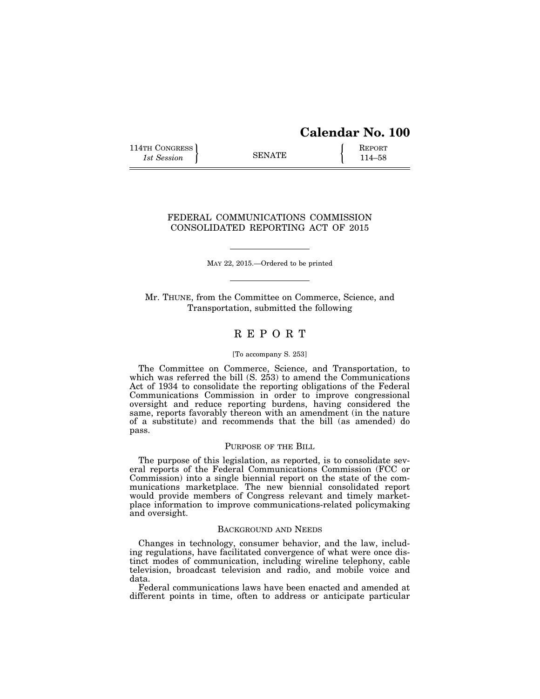# **Calendar No. 100**

114TH CONGRESS REPORT 114 SENATE **REPORT** 

## FEDERAL COMMUNICATIONS COMMISSION CONSOLIDATED REPORTING ACT OF 2015

MAY 22, 2015.—Ordered to be printed

Mr. THUNE, from the Committee on Commerce, Science, and Transportation, submitted the following

## R E P O R T

### [To accompany S. 253]

The Committee on Commerce, Science, and Transportation, to which was referred the bill (S. 253) to amend the Communications Act of 1934 to consolidate the reporting obligations of the Federal Communications Commission in order to improve congressional oversight and reduce reporting burdens, having considered the same, reports favorably thereon with an amendment (in the nature of a substitute) and recommends that the bill (as amended) do pass.

### PURPOSE OF THE BILL

The purpose of this legislation, as reported, is to consolidate several reports of the Federal Communications Commission (FCC or Commission) into a single biennial report on the state of the communications marketplace. The new biennial consolidated report would provide members of Congress relevant and timely marketplace information to improve communications-related policymaking and oversight.

### BACKGROUND AND NEEDS

Changes in technology, consumer behavior, and the law, including regulations, have facilitated convergence of what were once distinct modes of communication, including wireline telephony, cable television, broadcast television and radio, and mobile voice and data.

Federal communications laws have been enacted and amended at different points in time, often to address or anticipate particular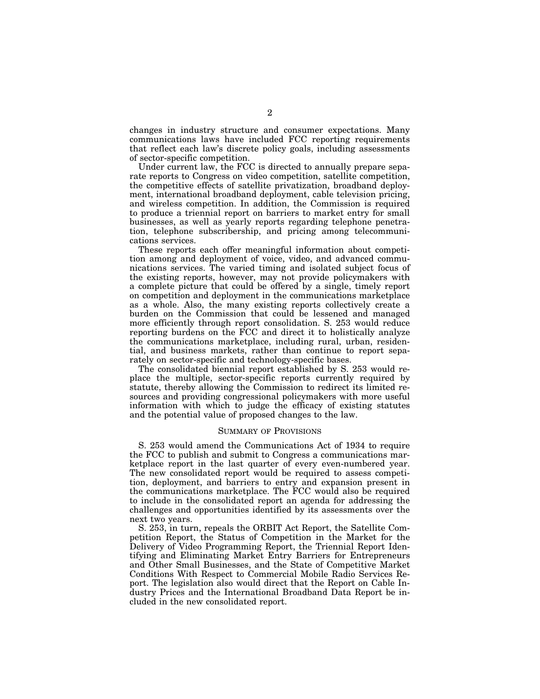changes in industry structure and consumer expectations. Many communications laws have included FCC reporting requirements that reflect each law's discrete policy goals, including assessments of sector-specific competition.

Under current law, the FCC is directed to annually prepare separate reports to Congress on video competition, satellite competition, the competitive effects of satellite privatization, broadband deployment, international broadband deployment, cable television pricing, and wireless competition. In addition, the Commission is required to produce a triennial report on barriers to market entry for small businesses, as well as yearly reports regarding telephone penetration, telephone subscribership, and pricing among telecommunications services.

These reports each offer meaningful information about competition among and deployment of voice, video, and advanced communications services. The varied timing and isolated subject focus of the existing reports, however, may not provide policymakers with a complete picture that could be offered by a single, timely report on competition and deployment in the communications marketplace as a whole. Also, the many existing reports collectively create a burden on the Commission that could be lessened and managed more efficiently through report consolidation. S. 253 would reduce reporting burdens on the FCC and direct it to holistically analyze the communications marketplace, including rural, urban, residential, and business markets, rather than continue to report separately on sector-specific and technology-specific bases.

The consolidated biennial report established by S. 253 would replace the multiple, sector-specific reports currently required by statute, thereby allowing the Commission to redirect its limited resources and providing congressional policymakers with more useful information with which to judge the efficacy of existing statutes and the potential value of proposed changes to the law.

### SUMMARY OF PROVISIONS

S. 253 would amend the Communications Act of 1934 to require the FCC to publish and submit to Congress a communications marketplace report in the last quarter of every even-numbered year. The new consolidated report would be required to assess competition, deployment, and barriers to entry and expansion present in the communications marketplace. The FCC would also be required to include in the consolidated report an agenda for addressing the challenges and opportunities identified by its assessments over the next two years.

S. 253, in turn, repeals the ORBIT Act Report, the Satellite Competition Report, the Status of Competition in the Market for the Delivery of Video Programming Report, the Triennial Report Identifying and Eliminating Market Entry Barriers for Entrepreneurs and Other Small Businesses, and the State of Competitive Market Conditions With Respect to Commercial Mobile Radio Services Report. The legislation also would direct that the Report on Cable Industry Prices and the International Broadband Data Report be included in the new consolidated report.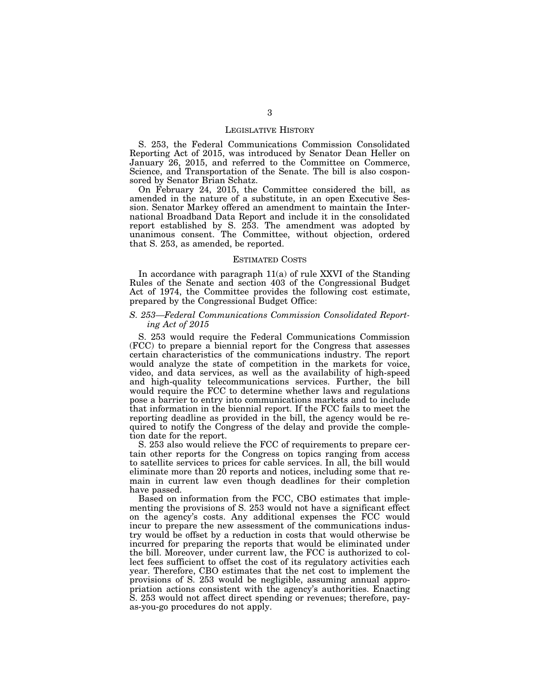### LEGISLATIVE HISTORY

S. 253, the Federal Communications Commission Consolidated Reporting Act of 2015, was introduced by Senator Dean Heller on January 26, 2015, and referred to the Committee on Commerce, Science, and Transportation of the Senate. The bill is also cosponsored by Senator Brian Schatz.

On February 24, 2015, the Committee considered the bill, as amended in the nature of a substitute, in an open Executive Session. Senator Markey offered an amendment to maintain the International Broadband Data Report and include it in the consolidated report established by S. 253. The amendment was adopted by unanimous consent. The Committee, without objection, ordered that S. 253, as amended, be reported.

#### ESTIMATED COSTS

In accordance with paragraph 11(a) of rule XXVI of the Standing Rules of the Senate and section 403 of the Congressional Budget Act of 1974, the Committee provides the following cost estimate, prepared by the Congressional Budget Office:

### *S. 253—Federal Communications Commission Consolidated Reporting Act of 2015*

S. 253 would require the Federal Communications Commission (FCC) to prepare a biennial report for the Congress that assesses certain characteristics of the communications industry. The report would analyze the state of competition in the markets for voice, video, and data services, as well as the availability of high-speed and high-quality telecommunications services. Further, the bill would require the FCC to determine whether laws and regulations pose a barrier to entry into communications markets and to include that information in the biennial report. If the FCC fails to meet the reporting deadline as provided in the bill, the agency would be required to notify the Congress of the delay and provide the completion date for the report.

S. 253 also would relieve the FCC of requirements to prepare certain other reports for the Congress on topics ranging from access to satellite services to prices for cable services. In all, the bill would eliminate more than  $20$  reports and notices, including some that remain in current law even though deadlines for their completion have passed.

Based on information from the FCC, CBO estimates that implementing the provisions of S. 253 would not have a significant effect on the agency's costs. Any additional expenses the FCC would incur to prepare the new assessment of the communications industry would be offset by a reduction in costs that would otherwise be incurred for preparing the reports that would be eliminated under the bill. Moreover, under current law, the FCC is authorized to collect fees sufficient to offset the cost of its regulatory activities each year. Therefore, CBO estimates that the net cost to implement the provisions of S. 253 would be negligible, assuming annual appropriation actions consistent with the agency's authorities. Enacting S. 253 would not affect direct spending or revenues; therefore, payas-you-go procedures do not apply.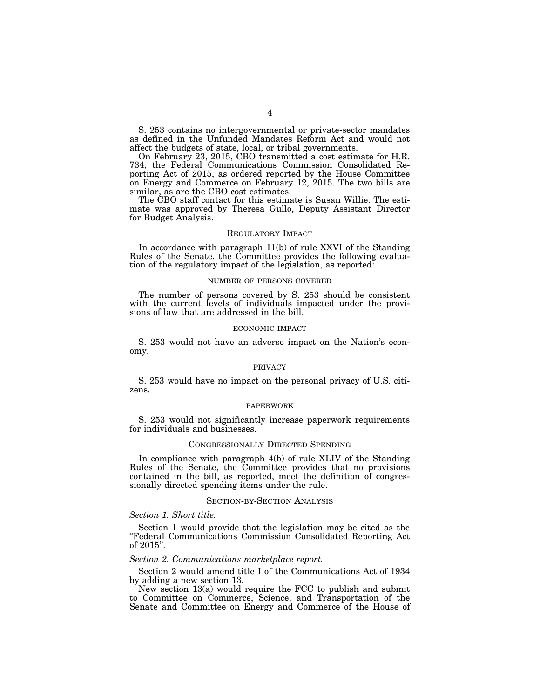S. 253 contains no intergovernmental or private-sector mandates as defined in the Unfunded Mandates Reform Act and would not affect the budgets of state, local, or tribal governments.

On February 23, 2015, CBO transmitted a cost estimate for H.R. 734, the Federal Communications Commission Consolidated Reporting Act of 2015, as ordered reported by the House Committee on Energy and Commerce on February 12, 2015. The two bills are similar, as are the CBO cost estimates.

The CBO staff contact for this estimate is Susan Willie. The estimate was approved by Theresa Gullo, Deputy Assistant Director for Budget Analysis.

### REGULATORY IMPACT

In accordance with paragraph 11(b) of rule XXVI of the Standing Rules of the Senate, the Committee provides the following evaluation of the regulatory impact of the legislation, as reported:

### NUMBER OF PERSONS COVERED

The number of persons covered by S. 253 should be consistent with the current levels of individuals impacted under the provisions of law that are addressed in the bill.

### ECONOMIC IMPACT

S. 253 would not have an adverse impact on the Nation's economy.

### PRIVACY

S. 253 would have no impact on the personal privacy of U.S. citizens.

#### PAPERWORK

S. 253 would not significantly increase paperwork requirements for individuals and businesses.

### CONGRESSIONALLY DIRECTED SPENDING

In compliance with paragraph 4(b) of rule XLIV of the Standing Rules of the Senate, the Committee provides that no provisions contained in the bill, as reported, meet the definition of congressionally directed spending items under the rule.

### SECTION-BY-SECTION ANALYSIS

### *Section 1. Short title.*

Section 1 would provide that the legislation may be cited as the ''Federal Communications Commission Consolidated Reporting Act of 2015''.

### *Section 2. Communications marketplace report.*

Section 2 would amend title I of the Communications Act of 1934 by adding a new section 13.

New section 13(a) would require the FCC to publish and submit to Committee on Commerce, Science, and Transportation of the Senate and Committee on Energy and Commerce of the House of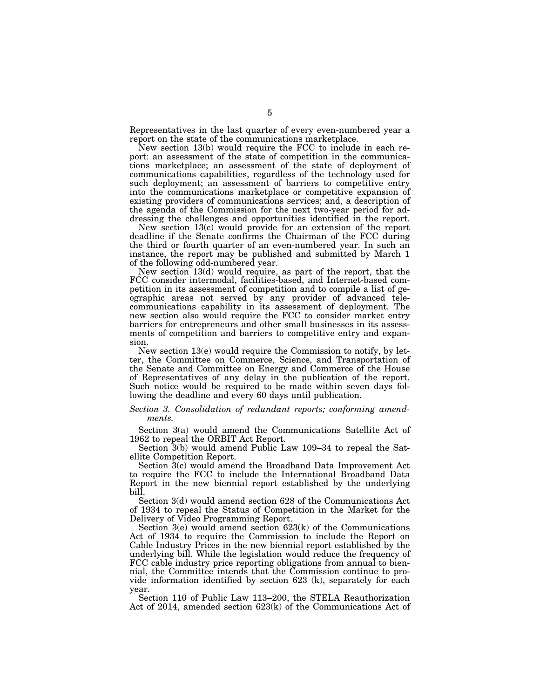Representatives in the last quarter of every even-numbered year a report on the state of the communications marketplace.

New section 13(b) would require the FCC to include in each report: an assessment of the state of competition in the communications marketplace; an assessment of the state of deployment of communications capabilities, regardless of the technology used for such deployment; an assessment of barriers to competitive entry into the communications marketplace or competitive expansion of existing providers of communications services; and, a description of the agenda of the Commission for the next two-year period for addressing the challenges and opportunities identified in the report.

New section 13(c) would provide for an extension of the report deadline if the Senate confirms the Chairman of the FCC during the third or fourth quarter of an even-numbered year. In such an instance, the report may be published and submitted by March 1 of the following odd-numbered year.

New section 13(d) would require, as part of the report, that the FCC consider intermodal, facilities-based, and Internet-based competition in its assessment of competition and to compile a list of geographic areas not served by any provider of advanced telecommunications capability in its assessment of deployment. The new section also would require the FCC to consider market entry barriers for entrepreneurs and other small businesses in its assessments of competition and barriers to competitive entry and expansion.

New section 13(e) would require the Commission to notify, by letter, the Committee on Commerce, Science, and Transportation of the Senate and Committee on Energy and Commerce of the House of Representatives of any delay in the publication of the report. Such notice would be required to be made within seven days following the deadline and every 60 days until publication.

### *Section 3. Consolidation of redundant reports; conforming amendments.*

Section 3(a) would amend the Communications Satellite Act of 1962 to repeal the ORBIT Act Report.

Section 3(b) would amend Public Law 109–34 to repeal the Satellite Competition Report.

Section 3(c) would amend the Broadband Data Improvement Act to require the FCC to include the International Broadband Data Report in the new biennial report established by the underlying bill.

Section 3(d) would amend section 628 of the Communications Act of 1934 to repeal the Status of Competition in the Market for the Delivery of Video Programming Report.

Section 3(e) would amend section 623(k) of the Communications Act of 1934 to require the Commission to include the Report on Cable Industry Prices in the new biennial report established by the underlying bill. While the legislation would reduce the frequency of FCC cable industry price reporting obligations from annual to biennial, the Committee intends that the Commission continue to provide information identified by section 623 (k), separately for each year.

Section 110 of Public Law 113–200, the STELA Reauthorization Act of 2014, amended section 623(k) of the Communications Act of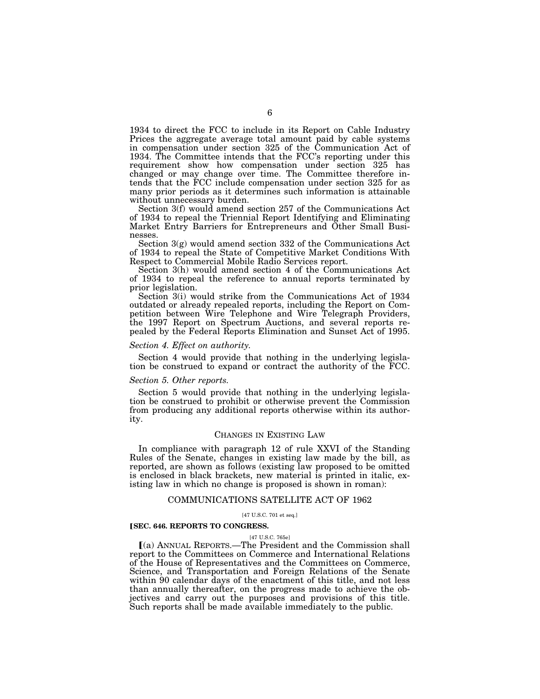1934 to direct the FCC to include in its Report on Cable Industry Prices the aggregate average total amount paid by cable systems in compensation under section 325 of the Communication Act of 1934. The Committee intends that the FCC's reporting under this requirement show how compensation under section 325 has changed or may change over time. The Committee therefore intends that the FCC include compensation under section 325 for as many prior periods as it determines such information is attainable without unnecessary burden.

Section 3(f) would amend section 257 of the Communications Act of 1934 to repeal the Triennial Report Identifying and Eliminating Market Entry Barriers for Entrepreneurs and Other Small Businesses.

Section 3(g) would amend section 332 of the Communications Act of 1934 to repeal the State of Competitive Market Conditions With Respect to Commercial Mobile Radio Services report.

Section 3(h) would amend section 4 of the Communications Act of 1934 to repeal the reference to annual reports terminated by prior legislation.

Section 3(i) would strike from the Communications Act of 1934 outdated or already repealed reports, including the Report on Competition between Wire Telephone and Wire Telegraph Providers, the 1997 Report on Spectrum Auctions, and several reports repealed by the Federal Reports Elimination and Sunset Act of 1995.

### *Section 4. Effect on authority.*

Section 4 would provide that nothing in the underlying legislation be construed to expand or contract the authority of the FCC.

### *Section 5. Other reports.*

Section 5 would provide that nothing in the underlying legislation be construed to prohibit or otherwise prevent the Commission from producing any additional reports otherwise within its authority.

### CHANGES IN EXISTING LAW

In compliance with paragraph 12 of rule XXVI of the Standing Rules of the Senate, changes in existing law made by the bill, as reported, are shown as follows (existing law proposed to be omitted is enclosed in black brackets, new material is printed in italic, existing law in which no change is proposed is shown in roman):

### COMMUNICATIONS SATELLITE ACT OF 1962

### [47 U.S.C. 701 et seq.]

#### **[SEC. 646. REPORTS TO CONGRESS.**

[47 U.S.C. 765e]

ø(a) ANNUAL REPORTS.—The President and the Commission shall report to the Committees on Commerce and International Relations of the House of Representatives and the Committees on Commerce, Science, and Transportation and Foreign Relations of the Senate within 90 calendar days of the enactment of this title, and not less than annually thereafter, on the progress made to achieve the objectives and carry out the purposes and provisions of this title. Such reports shall be made available immediately to the public.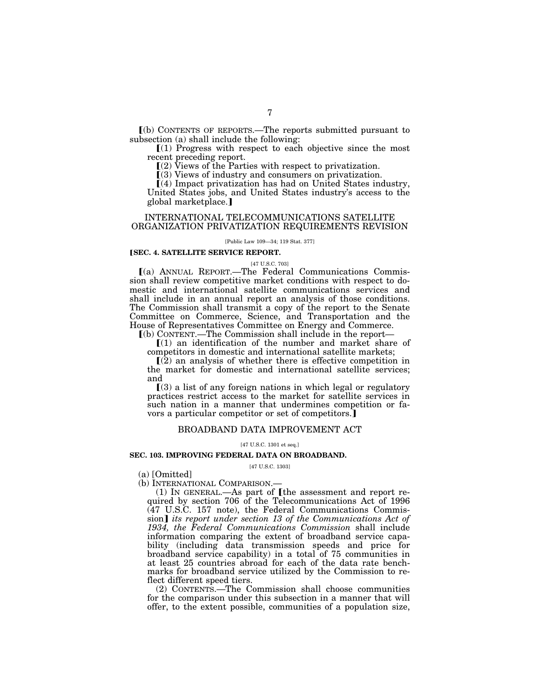ø(b) CONTENTS OF REPORTS.—The reports submitted pursuant to subsection (a) shall include the following:

 $[(1)$  Progress with respect to each objective since the most recent preceding report.

 $(2)$  Views of the Parties with respect to privatization.

 $(3)$  Views of industry and consumers on privatization.

 $(4)$  Impact privatization has had on United States industry, United States jobs, and United States industry's access to the global marketplace.]

## INTERNATIONAL TELECOMMUNICATIONS SATELLITE ORGANIZATION PRIVATIZATION REQUIREMENTS REVISION

#### [Public Law 109—34; 119 Stat. 377]

### **[SEC. 4. SATELLITE SERVICE REPORT.**

#### [47 U.S.C. 703]

ø(a) ANNUAL REPORT.—The Federal Communications Commission shall review competitive market conditions with respect to domestic and international satellite communications services and shall include in an annual report an analysis of those conditions. The Commission shall transmit a copy of the report to the Senate Committee on Commerce, Science, and Transportation and the House of Representatives Committee on Energy and Commerce.

ø(b) CONTENT.—The Commission shall include in the report—

 $[(1)$  an identification of the number and market share of competitors in domestic and international satellite markets;

 $\Gamma(2)$  an analysis of whether there is effective competition in the market for domestic and international satellite services; and

 $(3)$  a list of any foreign nations in which legal or regulatory practices restrict access to the market for satellite services in such nation in a manner that undermines competition or favors a particular competitor or set of competitors.

### BROADBAND DATA IMPROVEMENT ACT

#### [47 U.S.C. 1301 et seq.]

## **SEC. 103. IMPROVING FEDERAL DATA ON BROADBAND.**

[47 U.S.C. 1303]

(a) [Omitted]

(b) INTERNATIONAL COMPARISON.—

 $(1)$  In GENERAL.—As part of [the assessment and report required by section 706 of the Telecommunications Act of 1996 (47 U.S.C. 157 note), the Federal Communications Commission] its report under section 13 of the Communications Act of *1934, the Federal Communications Commission* shall include information comparing the extent of broadband service capability (including data transmission speeds and price for broadband service capability) in a total of 75 communities in at least 25 countries abroad for each of the data rate benchmarks for broadband service utilized by the Commission to reflect different speed tiers.

(2) CONTENTS.—The Commission shall choose communities for the comparison under this subsection in a manner that will offer, to the extent possible, communities of a population size,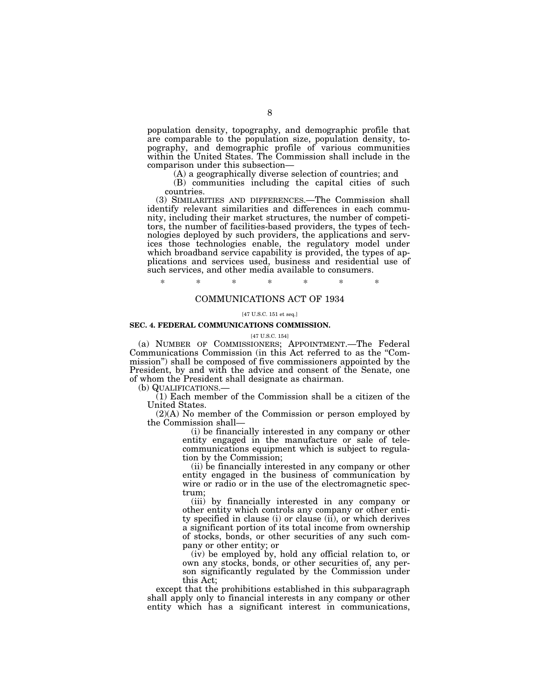population density, topography, and demographic profile that are comparable to the population size, population density, topography, and demographic profile of various communities within the United States. The Commission shall include in the comparison under this subsection—

(A) a geographically diverse selection of countries; and

(B) communities including the capital cities of such countries.

(3) SIMILARITIES AND DIFFERENCES.—The Commission shall identify relevant similarities and differences in each community, including their market structures, the number of competitors, the number of facilities-based providers, the types of technologies deployed by such providers, the applications and services those technologies enable, the regulatory model under which broadband service capability is provided, the types of applications and services used, business and residential use of such services, and other media available to consumers.

\* \* \* \* \* \* \*

### COMMUNICATIONS ACT OF 1934

### [47 U.S.C. 151 et seq.]

### **SEC. 4. FEDERAL COMMUNICATIONS COMMISSION.**

#### [47 U.S.C. 154]

(a) NUMBER OF COMMISSIONERS; APPOINTMENT.—The Federal Communications Commission (in this Act referred to as the ''Commission'') shall be composed of five commissioners appointed by the President, by and with the advice and consent of the Senate, one of whom the President shall designate as chairman.

(b) QUALIFICATIONS.— (1) Each member of the Commission shall be a citizen of the United States.

(2)(A) No member of the Commission or person employed by the Commission shall—

(i) be financially interested in any company or other entity engaged in the manufacture or sale of telecommunications equipment which is subject to regulation by the Commission;

(ii) be financially interested in any company or other entity engaged in the business of communication by wire or radio or in the use of the electromagnetic spectrum;

(iii) by financially interested in any company or other entity which controls any company or other entity specified in clause (i) or clause (ii), or which derives a significant portion of its total income from ownership of stocks, bonds, or other securities of any such company or other entity; or

(iv) be employed by, hold any official relation to, or own any stocks, bonds, or other securities of, any person significantly regulated by the Commission under this Act;

except that the prohibitions established in this subparagraph shall apply only to financial interests in any company or other entity which has a significant interest in communications,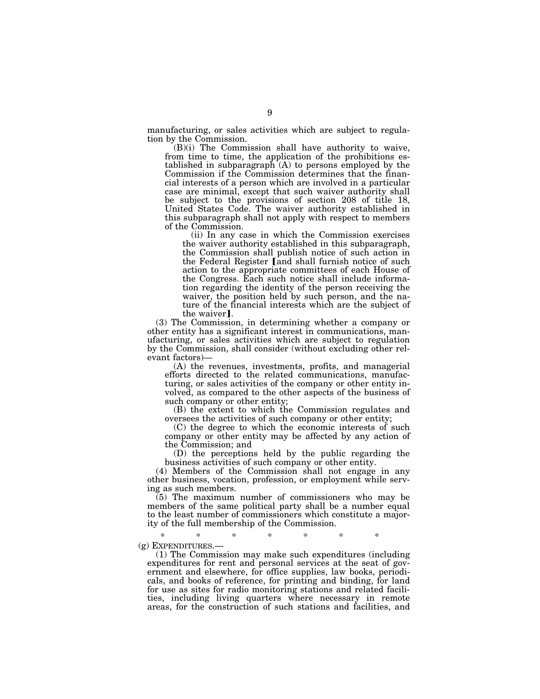manufacturing, or sales activities which are subject to regulation by the Commission.

(B)(i) The Commission shall have authority to waive, from time to time, the application of the prohibitions established in subparagraph  $(A)$  to persons employed by the Commission if the Commission determines that the financial interests of a person which are involved in a particular case are minimal, except that such waiver authority shall be subject to the provisions of section 208 of title 18, United States Code. The waiver authority established in this subparagraph shall not apply with respect to members of the Commission.

(ii) In any case in which the Commission exercises the waiver authority established in this subparagraph, the Commission shall publish notice of such action in the Federal Register [and shall furnish notice of such action to the appropriate committees of each House of the Congress. Each such notice shall include information regarding the identity of the person receiving the waiver, the position held by such person, and the nature of the financial interests which are the subject of the waiver].

 $(3)$  The Commission, in determining whether a company or other entity has a significant interest in communications, manufacturing, or sales activities which are subject to regulation by the Commission, shall consider (without excluding other relevant factors)—

(A) the revenues, investments, profits, and managerial efforts directed to the related communications, manufacturing, or sales activities of the company or other entity involved, as compared to the other aspects of the business of such company or other entity;

(B) the extent to which the Commission regulates and oversees the activities of such company or other entity;

(C) the degree to which the economic interests of such company or other entity may be affected by any action of the Commission; and

(D) the perceptions held by the public regarding the business activities of such company or other entity.

(4) Members of the Commission shall not engage in any other business, vocation, profession, or employment while serving as such members.

(5) The maximum number of commissioners who may be members of the same political party shall be a number equal to the least number of commissioners which constitute a majority of the full membership of the Commission.

\* \* \* \* \* \* \*

(g) EXPENDITURES.— (1) The Commission may make such expenditures (including expenditures for rent and personal services at the seat of government and elsewhere, for office supplies, law books, periodicals, and books of reference, for printing and binding, for land for use as sites for radio monitoring stations and related facilities, including living quarters where necessary in remote areas, for the construction of such stations and facilities, and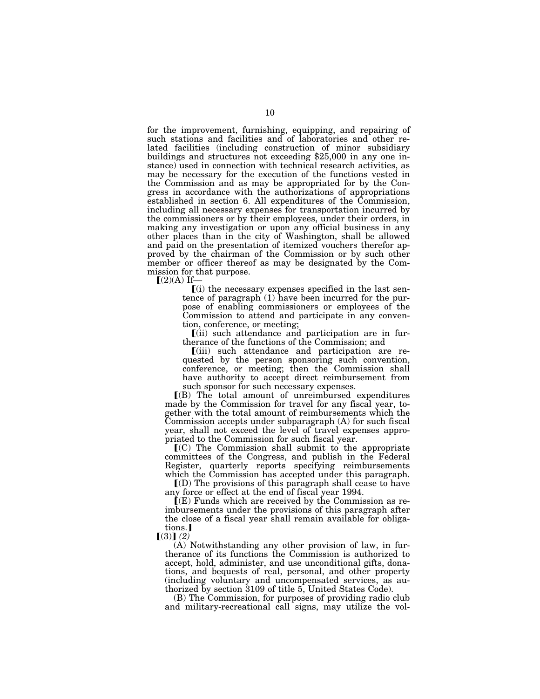for the improvement, furnishing, equipping, and repairing of such stations and facilities and of laboratories and other related facilities (including construction of minor subsidiary buildings and structures not exceeding \$25,000 in any one instance) used in connection with technical research activities, as may be necessary for the execution of the functions vested in the Commission and as may be appropriated for by the Congress in accordance with the authorizations of appropriations established in section 6. All expenditures of the Commission, including all necessary expenses for transportation incurred by the commissioners or by their employees, under their orders, in making any investigation or upon any official business in any other places than in the city of Washington, shall be allowed and paid on the presentation of itemized vouchers therefor approved by the chairman of the Commission or by such other member or officer thereof as may be designated by the Commission for that purpose.

 $[(2)(A)$  If-

 $(i)$  the necessary expenses specified in the last sentence of paragraph (1) have been incurred for the purpose of enabling commissioners or employees of the Commission to attend and participate in any convention, conference, or meeting;

 $\lbrack$  (ii) such attendance and participation are in furtherance of the functions of the Commission; and

ø(iii) such attendance and participation are requested by the person sponsoring such convention, conference, or meeting; then the Commission shall have authority to accept direct reimbursement from such sponsor for such necessary expenses.

ø(B) The total amount of unreimbursed expenditures made by the Commission for travel for any fiscal year, together with the total amount of reimbursements which the Commission accepts under subparagraph (A) for such fiscal year, shall not exceed the level of travel expenses appropriated to the Commission for such fiscal year.

 $(C)$  The Commission shall submit to the appropriate committees of the Congress, and publish in the Federal Register, quarterly reports specifying reimbursements which the Commission has accepted under this paragraph.

ø(D) The provisions of this paragraph shall cease to have any force or effect at the end of fiscal year 1994.

 $f(E)$  Funds which are received by the Commission as reimbursements under the provisions of this paragraph after the close of a fiscal year shall remain available for obligations.

 $(3)$   $(2)$ 

(A) Notwithstanding any other provision of law, in furtherance of its functions the Commission is authorized to accept, hold, administer, and use unconditional gifts, donations, and bequests of real, personal, and other property (including voluntary and uncompensated services, as authorized by section 3109 of title 5, United States Code).

(B) The Commission, for purposes of providing radio club and military-recreational call signs, may utilize the vol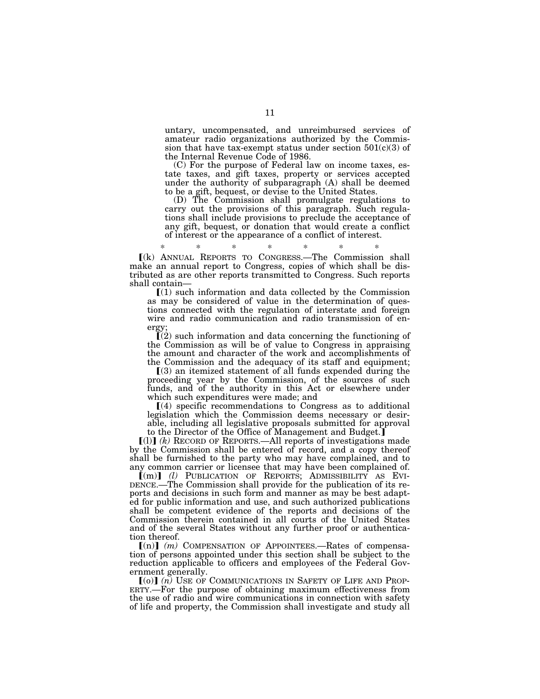untary, uncompensated, and unreimbursed services of amateur radio organizations authorized by the Commission that have tax-exempt status under section  $501(c)(3)$  of the Internal Revenue Code of 1986.

(C) For the purpose of Federal law on income taxes, estate taxes, and gift taxes, property or services accepted under the authority of subparagraph (A) shall be deemed to be a gift, bequest, or devise to the United States.

(D) The Commission shall promulgate regulations to carry out the provisions of this paragraph. Such regulations shall include provisions to preclude the acceptance of any gift, bequest, or donation that would create a conflict of interest or the appearance of a conflict of interest.

\* \* \* \* \* \* \* ø(k) ANNUAL REPORTS TO CONGRESS.—The Commission shall make an annual report to Congress, copies of which shall be distributed as are other reports transmitted to Congress. Such reports shall contain—

 $\Gamma(1)$  such information and data collected by the Commission as may be considered of value in the determination of questions connected with the regulation of interstate and foreign wire and radio communication and radio transmission of energy;

 $(2)$  such information and data concerning the functioning of the Commission as will be of value to Congress in appraising the amount and character of the work and accomplishments of the Commission and the adequacy of its staff and equipment;

 $(3)$  an itemized statement of all funds expended during the proceeding year by the Commission, of the sources of such funds, and of the authority in this Act or elsewhere under which such expenditures were made; and

 $[(4)$  specific recommendations to Congress as to additional legislation which the Commission deems necessary or desirable, including all legislative proposals submitted for approval to the Director of the Office of Management and Budget.]

 $[1]$   $(k)$  RECORD OF REPORTS.—All reports of investigations made by the Commission shall be entered of record, and a copy thereof shall be furnished to the party who may have complained, and to any common carrier or licensee that may have been complained of.

 $(m)$  *(l)* PUBLICATION OF REPORTS; ADMISSIBILITY AS EVI-DENCE.—The Commission shall provide for the publication of its reports and decisions in such form and manner as may be best adapted for public information and use, and such authorized publications shall be competent evidence of the reports and decisions of the Commission therein contained in all courts of the United States and of the several States without any further proof or authentication thereof.

[(n)] (*m*) COMPENSATION OF APPOINTEES.—Rates of compensation of persons appointed under this section shall be subject to the reduction applicable to officers and employees of the Federal Government generally.

 $\lceil (0) \rceil$  *(n)* USE OF COMMUNICATIONS IN SAFETY OF LIFE AND PROP-<br>ERTY.—For the purpose of obtaining maximum effectiveness from the use of radio and wire communications in connection with safety of life and property, the Commission shall investigate and study all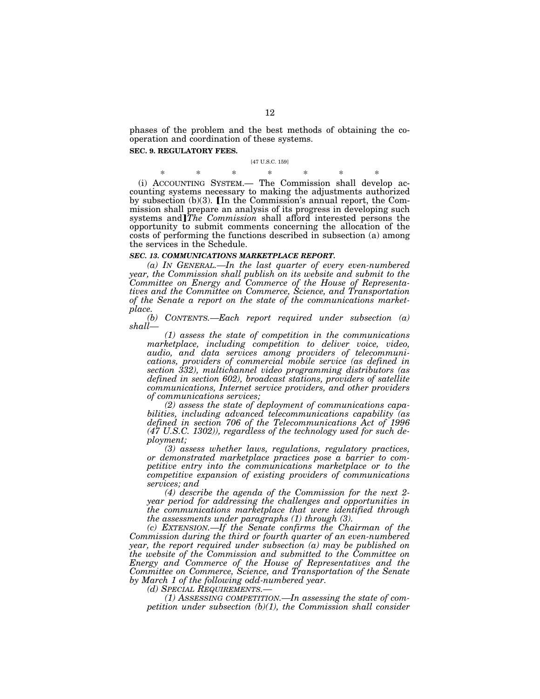phases of the problem and the best methods of obtaining the cooperation and coordination of these systems.

### **SEC. 9. REGULATORY FEES.**

#### [47 U.S.C. 159]

\* \* \* \* \* \* \* (i) ACCOUNTING SYSTEM.— The Commission shall develop accounting systems necessary to making the adjustments authorized by subsection  $(b)(3)$ . In the Commission's annual report, the Commission shall prepare an analysis of its progress in developing such systems and *The Commission* shall afford interested persons the opportunity to submit comments concerning the allocation of the costs of performing the functions described in subsection (a) among the services in the Schedule.

### *SEC. 13. COMMUNICATIONS MARKETPLACE REPORT.*

*(a) IN GENERAL.—In the last quarter of every even-numbered year, the Commission shall publish on its website and submit to the Committee on Energy and Commerce of the House of Representatives and the Committee on Commerce, Science, and Transportation of the Senate a report on the state of the communications marketplace.* 

*(b) CONTENTS.—Each report required under subsection (a) shall—* 

*(1) assess the state of competition in the communications marketplace, including competition to deliver voice, video, audio, and data services among providers of telecommunications, providers of commercial mobile service (as defined in section 332), multichannel video programming distributors (as defined in section 602), broadcast stations, providers of satellite communications, Internet service providers, and other providers of communications services;* 

*(2) assess the state of deployment of communications capabilities, including advanced telecommunications capability (as defined in section 706 of the Telecommunications Act of 1996 (47 U.S.C. 1302)), regardless of the technology used for such deployment;* 

*(3) assess whether laws, regulations, regulatory practices, or demonstrated marketplace practices pose a barrier to competitive entry into the communications marketplace or to the competitive expansion of existing providers of communications services; and* 

*(4) describe the agenda of the Commission for the next 2 year period for addressing the challenges and opportunities in the communications marketplace that were identified through the assessments under paragraphs (1) through (3).* 

*(c) EXTENSION.—If the Senate confirms the Chairman of the Commission during the third or fourth quarter of an even-numbered year, the report required under subsection (a) may be published on the website of the Commission and submitted to the Committee on Energy and Commerce of the House of Representatives and the Committee on Commerce, Science, and Transportation of the Senate by March 1 of the following odd-numbered year.* 

*(d) SPECIAL REQUIREMENTS.—* 

*(1) ASSESSING COMPETITION.—In assessing the state of competition under subsection (b)(1), the Commission shall consider*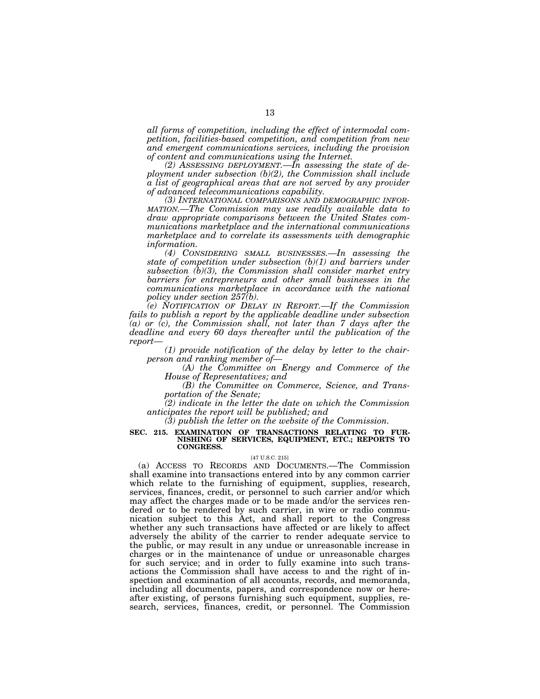*all forms of competition, including the effect of intermodal competition, facilities-based competition, and competition from new and emergent communications services, including the provision of content and communications using the Internet.* 

*(2) ASSESSING DEPLOYMENT.—In assessing the state of deployment under subsection (b)(2), the Commission shall include a list of geographical areas that are not served by any provider of advanced telecommunications capability.* 

*(3) INTERNATIONAL COMPARISONS AND DEMOGRAPHIC INFOR- MATION.—The Commission may use readily available data to draw appropriate comparisons between the United States communications marketplace and the international communications marketplace and to correlate its assessments with demographic information.* 

*(4) CONSIDERING SMALL BUSINESSES.—In assessing the state of competition under subsection (b)(1) and barriers under subsection (b)(3), the Commission shall consider market entry barriers for entrepreneurs and other small businesses in the communications marketplace in accordance with the national policy under section 257(b).* 

*(e) NOTIFICATION OF DELAY IN REPORT.—If the Commission fails to publish a report by the applicable deadline under subsection (a) or (c), the Commission shall, not later than 7 days after the deadline and every 60 days thereafter until the publication of the report—* 

*(1) provide notification of the delay by letter to the chairperson and ranking member of—* 

*(A) the Committee on Energy and Commerce of the House of Representatives; and* 

*(B) the Committee on Commerce, Science, and Transportation of the Senate;* 

*(2) indicate in the letter the date on which the Commission anticipates the report will be published; and* 

*(3) publish the letter on the website of the Commission.* 

### **SEC. 215. EXAMINATION OF TRANSACTIONS RELATING TO FUR-NISHING OF SERVICES, EQUIPMENT, ETC.; REPORTS TO CONGRESS.**

[47 U.S.C. 215]

(a) ACCESS TO RECORDS AND DOCUMENTS.—The Commission shall examine into transactions entered into by any common carrier which relate to the furnishing of equipment, supplies, research, services, finances, credit, or personnel to such carrier and/or which may affect the charges made or to be made and/or the services rendered or to be rendered by such carrier, in wire or radio communication subject to this Act, and shall report to the Congress whether any such transactions have affected or are likely to affect adversely the ability of the carrier to render adequate service to the public, or may result in any undue or unreasonable increase in charges or in the maintenance of undue or unreasonable charges for such service; and in order to fully examine into such transactions the Commission shall have access to and the right of inspection and examination of all accounts, records, and memoranda, including all documents, papers, and correspondence now or hereafter existing, of persons furnishing such equipment, supplies, research, services, finances, credit, or personnel. The Commission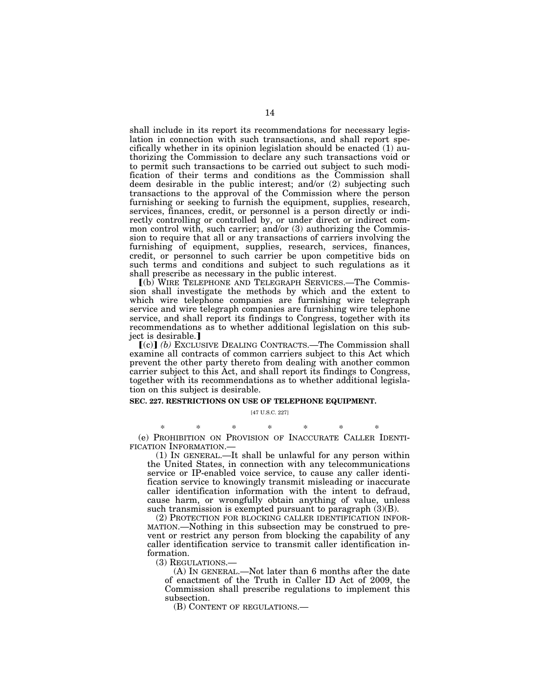shall include in its report its recommendations for necessary legislation in connection with such transactions, and shall report specifically whether in its opinion legislation should be enacted (1) authorizing the Commission to declare any such transactions void or to permit such transactions to be carried out subject to such modification of their terms and conditions as the Commission shall deem desirable in the public interest; and/or (2) subjecting such transactions to the approval of the Commission where the person furnishing or seeking to furnish the equipment, supplies, research, services, finances, credit, or personnel is a person directly or indirectly controlling or controlled by, or under direct or indirect common control with, such carrier; and/or (3) authorizing the Commission to require that all or any transactions of carriers involving the furnishing of equipment, supplies, research, services, finances, credit, or personnel to such carrier be upon competitive bids on such terms and conditions and subject to such regulations as it shall prescribe as necessary in the public interest.

ø(b) WIRE TELEPHONE AND TELEGRAPH SERVICES.—The Commission shall investigate the methods by which and the extent to which wire telephone companies are furnishing wire telegraph service and wire telegraph companies are furnishing wire telephone service, and shall report its findings to Congress, together with its recommendations as to whether additional legislation on this subject is desirable.

**[(c)]** (b) EXCLUSIVE DEALING CONTRACTS.—The Commission shall examine all contracts of common carriers subject to this Act which prevent the other party thereto from dealing with another common carrier subject to this Act, and shall report its findings to Congress, together with its recommendations as to whether additional legislation on this subject is desirable.

## **SEC. 227. RESTRICTIONS ON USE OF TELEPHONE EQUIPMENT.**

### [47 U.S.C. 227]

\* \* \* \* \* \* \* (e) PROHIBITION ON PROVISION OF INACCURATE CALLER IDENTI-FICATION INFORMATION.—

(1) IN GENERAL.—It shall be unlawful for any person within the United States, in connection with any telecommunications service or IP-enabled voice service, to cause any caller identification service to knowingly transmit misleading or inaccurate caller identification information with the intent to defraud, cause harm, or wrongfully obtain anything of value, unless such transmission is exempted pursuant to paragraph  $(3)(B)$ .

(2) PROTECTION FOR BLOCKING CALLER IDENTIFICATION INFOR-MATION.—Nothing in this subsection may be construed to prevent or restrict any person from blocking the capability of any caller identification service to transmit caller identification information.

(3) REGULATIONS.—

(A) IN GENERAL.—Not later than 6 months after the date of enactment of the Truth in Caller ID Act of 2009, the Commission shall prescribe regulations to implement this subsection.

(B) CONTENT OF REGULATIONS.—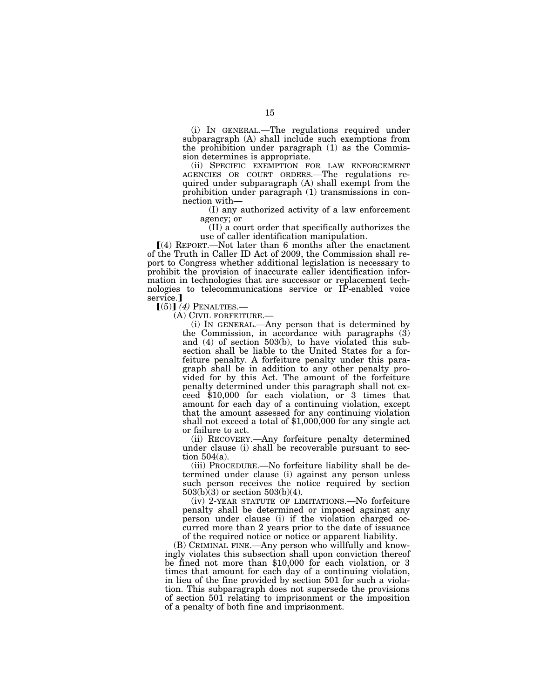(i) IN GENERAL.—The regulations required under subparagraph (A) shall include such exemptions from the prohibition under paragraph (1) as the Commission determines is appropriate.

(ii) SPECIFIC EXEMPTION FOR LAW ENFORCEMENT AGENCIES OR COURT ORDERS.—The regulations required under subparagraph (A) shall exempt from the prohibition under paragraph (1) transmissions in connection with—

(I) any authorized activity of a law enforcement agency; or

(II) a court order that specifically authorizes the use of caller identification manipulation.

 $(4)$  REPORT.—Not later than 6 months after the enactment of the Truth in Caller ID Act of 2009, the Commission shall report to Congress whether additional legislation is necessary to prohibit the provision of inaccurate caller identification information in technologies that are successor or replacement technologies to telecommunications service or IP-enabled voice service.]<br> $\lceil (5) \rceil$  (4) PENALTIES.-

(A) CIVIL FORFEITURE.—<br>(i) IN GENERAL.—Any person that is determined by the Commission, in accordance with paragraphs (3) and (4) of section 503(b), to have violated this subsection shall be liable to the United States for a forfeiture penalty. A forfeiture penalty under this paragraph shall be in addition to any other penalty provided for by this Act. The amount of the forfeiture penalty determined under this paragraph shall not exceed \$10,000 for each violation, or 3 times that amount for each day of a continuing violation, except that the amount assessed for any continuing violation shall not exceed a total of \$1,000,000 for any single act or failure to act.

(ii) RECOVERY.—Any forfeiture penalty determined under clause (i) shall be recoverable pursuant to section 504(a).

(iii) PROCEDURE.—No forfeiture liability shall be determined under clause (i) against any person unless such person receives the notice required by section  $503(b)(3)$  or section  $503(b)(4)$ .

(iv) 2-YEAR STATUTE OF LIMITATIONS.—No forfeiture penalty shall be determined or imposed against any person under clause (i) if the violation charged occurred more than 2 years prior to the date of issuance of the required notice or notice or apparent liability.

(B) CRIMINAL FINE.—Any person who willfully and knowingly violates this subsection shall upon conviction thereof be fined not more than \$10,000 for each violation, or 3 times that amount for each day of a continuing violation, in lieu of the fine provided by section 501 for such a violation. This subparagraph does not supersede the provisions of section 501 relating to imprisonment or the imposition of a penalty of both fine and imprisonment.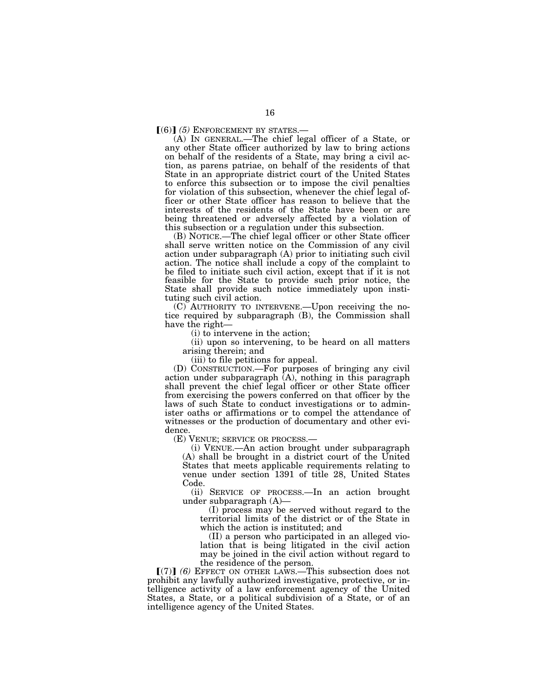[(6)] (5) ENFORCEMENT BY STATES.—<br>(A) IN GENERAL.—The chief legal officer of a State, or any other State officer authorized by law to bring actions on behalf of the residents of a State, may bring a civil action, as parens patriae, on behalf of the residents of that State in an appropriate district court of the United States to enforce this subsection or to impose the civil penalties for violation of this subsection, whenever the chief legal officer or other State officer has reason to believe that the interests of the residents of the State have been or are being threatened or adversely affected by a violation of this subsection or a regulation under this subsection.

(B) NOTICE.—The chief legal officer or other State officer shall serve written notice on the Commission of any civil action under subparagraph (A) prior to initiating such civil action. The notice shall include a copy of the complaint to be filed to initiate such civil action, except that if it is not feasible for the State to provide such prior notice, the State shall provide such notice immediately upon instituting such civil action.

(C) AUTHORITY TO INTERVENE.—Upon receiving the notice required by subparagraph (B), the Commission shall have the right—

(i) to intervene in the action;

(ii) upon so intervening, to be heard on all matters arising therein; and

(iii) to file petitions for appeal.

(D) CONSTRUCTION.—For purposes of bringing any civil action under subparagraph (A), nothing in this paragraph shall prevent the chief legal officer or other State officer from exercising the powers conferred on that officer by the laws of such State to conduct investigations or to administer oaths or affirmations or to compel the attendance of witnesses or the production of documentary and other evidence.

(E) VENUE; SERVICE OR PROCESS.— (i) VENUE.—An action brought under subparagraph (A) shall be brought in a district court of the United States that meets applicable requirements relating to venue under section 1391 of title 28, United States Code.

(ii) SERVICE OF PROCESS.—In an action brought under subparagraph (A)—

(I) process may be served without regard to the territorial limits of the district or of the State in which the action is instituted; and

(II) a person who participated in an alleged violation that is being litigated in the civil action may be joined in the civil action without regard to the residence of the person.

 $[(7)]$   $(6)$  EFFECT ON OTHER LAWS.—This subsection does not prohibit any lawfully authorized investigative, protective, or intelligence activity of a law enforcement agency of the United States, a State, or a political subdivision of a State, or of an intelligence agency of the United States.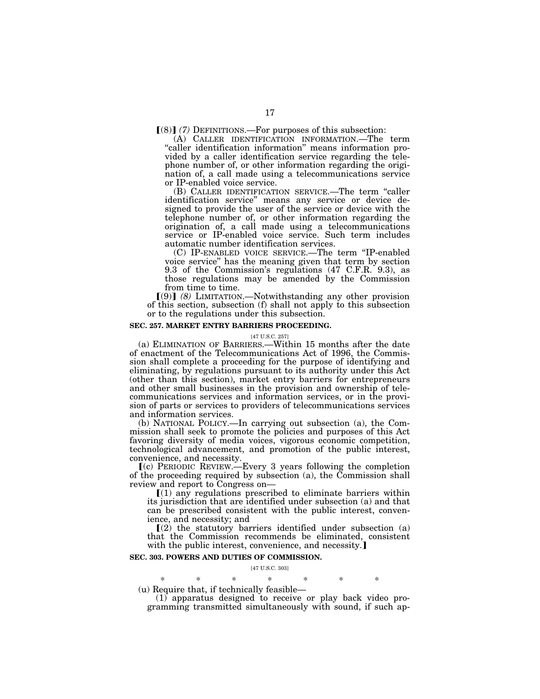(A) CALLER IDENTIFICATION INFORMATION.—The term "caller identification information" means information provided by a caller identification service regarding the telephone number of, or other information regarding the origination of, a call made using a telecommunications service or IP-enabled voice service.

(B) CALLER IDENTIFICATION SERVICE.—The term ''caller identification service'' means any service or device designed to provide the user of the service or device with the telephone number of, or other information regarding the origination of, a call made using a telecommunications service or IP-enabled voice service. Such term includes automatic number identification services.

(C) IP-ENABLED VOICE SERVICE.—The term ''IP-enabled voice service'' has the meaning given that term by section 9.3 of the Commission's regulations (47 C.F.R. 9.3), as those regulations may be amended by the Commission from time to time.

 $(9)$  (8) LIMITATION.—Notwithstanding any other provision of this section, subsection (f) shall not apply to this subsection or to the regulations under this subsection.

### **SEC. 257. MARKET ENTRY BARRIERS PROCEEDING.**

#### [47 U.S.C. 257]

(a) ELIMINATION OF BARRIERS.—Within 15 months after the date of enactment of the Telecommunications Act of 1996, the Commission shall complete a proceeding for the purpose of identifying and eliminating, by regulations pursuant to its authority under this Act (other than this section), market entry barriers for entrepreneurs and other small businesses in the provision and ownership of telecommunications services and information services, or in the provision of parts or services to providers of telecommunications services and information services.

(b) NATIONAL POLICY.—In carrying out subsection (a), the Commission shall seek to promote the policies and purposes of this Act favoring diversity of media voices, vigorous economic competition, technological advancement, and promotion of the public interest, convenience, and necessity.

 $(c)$  PERIODIC REVIEW.—Every 3 years following the completion of the proceeding required by subsection (a), the Commission shall review and report to Congress on—

 $[(1)$  any regulations prescribed to eliminate barriers within its jurisdiction that are identified under subsection (a) and that can be prescribed consistent with the public interest, convenience, and necessity; and

 $(2)$  the statutory barriers identified under subsection (a) that the Commission recommends be eliminated, consistent with the public interest, convenience, and necessity.]

## **SEC. 303. POWERS AND DUTIES OF COMMISSION.**

### [47 U.S.C. 303]

\* \* \* \* \* \* \*

(u) Require that, if technically feasible—

(1) apparatus designed to receive or play back video programming transmitted simultaneously with sound, if such ap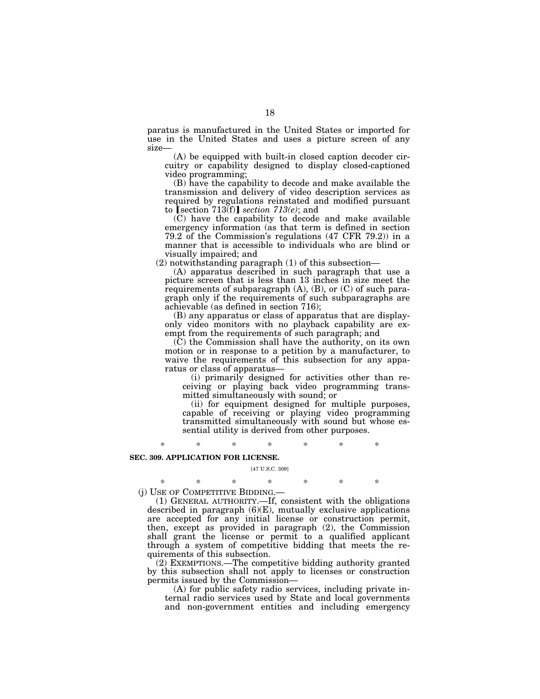paratus is manufactured in the United States or imported for use in the United States and uses a picture screen of any size—

(A) be equipped with built-in closed caption decoder circuitry or capability designed to display closed-captioned video programming;

(B) have the capability to decode and make available the transmission and delivery of video description services as required by regulations reinstated and modified pursuant to  $\mathbf{\bar{I}}$  section  $713(f)$ **]** *section*  $713(e)$ ; and

(C) have the capability to decode and make available emergency information (as that term is defined in section 79.2 of the Commission's regulations (47 CFR 79.2)) in a manner that is accessible to individuals who are blind or visually impaired; and

(2) notwithstanding paragraph (1) of this subsection—

(A) apparatus described in such paragraph that use a picture screen that is less than 13 inches in size meet the requirements of subparagraph  $(A)$ ,  $(B)$ , or  $(C)$  of such paragraph only if the requirements of such subparagraphs are achievable (as defined in section 716);

(B) any apparatus or class of apparatus that are displayonly video monitors with no playback capability are exempt from the requirements of such paragraph; and

(C) the Commission shall have the authority, on its own motion or in response to a petition by a manufacturer, to waive the requirements of this subsection for any apparatus or class of apparatus—

(i) primarily designed for activities other than receiving or playing back video programming transmitted simultaneously with sound; or

(ii) for equipment designed for multiple purposes, capable of receiving or playing video programming transmitted simultaneously with sound but whose essential utility is derived from other purposes.

\* \* \* \* \* \* \*

## **SEC. 309. APPLICATION FOR LICENSE.**

#### [47 U.S.C. 309]

\* \* \* \* \* \* \*

(j) USE OF COMPETITIVE BIDDING.—

(1) GENERAL AUTHORITY.—If, consistent with the obligations described in paragraph (6)(E), mutually exclusive applications are accepted for any initial license or construction permit, then, except as provided in paragraph (2), the Commission shall grant the license or permit to a qualified applicant through a system of competitive bidding that meets the requirements of this subsection.

(2) EXEMPTIONS.—The competitive bidding authority granted by this subsection shall not apply to licenses or construction permits issued by the Commission—

(A) for public safety radio services, including private internal radio services used by State and local governments and non-government entities and including emergency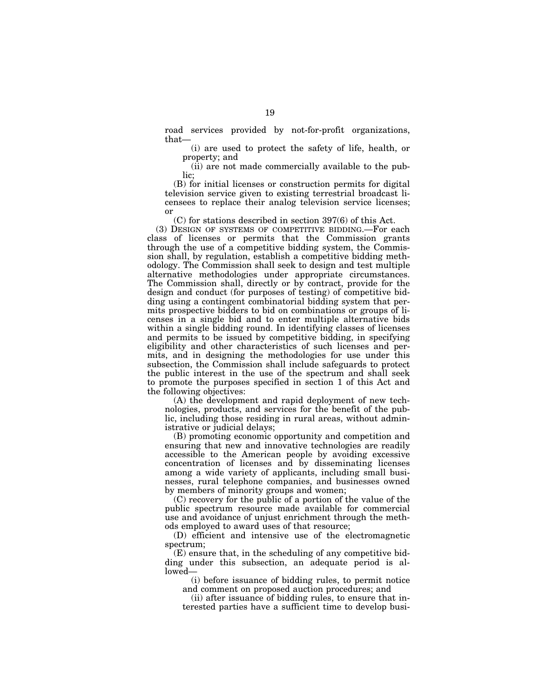road services provided by not-for-profit organizations, that—

(i) are used to protect the safety of life, health, or property; and

(ii) are not made commercially available to the public;

(B) for initial licenses or construction permits for digital television service given to existing terrestrial broadcast licensees to replace their analog television service licenses; or

(C) for stations described in section 397(6) of this Act.

(3) DESIGN OF SYSTEMS OF COMPETITIVE BIDDING.—For each class of licenses or permits that the Commission grants through the use of a competitive bidding system, the Commission shall, by regulation, establish a competitive bidding methodology. The Commission shall seek to design and test multiple alternative methodologies under appropriate circumstances. The Commission shall, directly or by contract, provide for the design and conduct (for purposes of testing) of competitive bidding using a contingent combinatorial bidding system that permits prospective bidders to bid on combinations or groups of licenses in a single bid and to enter multiple alternative bids within a single bidding round. In identifying classes of licenses and permits to be issued by competitive bidding, in specifying eligibility and other characteristics of such licenses and permits, and in designing the methodologies for use under this subsection, the Commission shall include safeguards to protect the public interest in the use of the spectrum and shall seek to promote the purposes specified in section 1 of this Act and the following objectives:

(A) the development and rapid deployment of new technologies, products, and services for the benefit of the public, including those residing in rural areas, without administrative or judicial delays;

(B) promoting economic opportunity and competition and ensuring that new and innovative technologies are readily accessible to the American people by avoiding excessive concentration of licenses and by disseminating licenses among a wide variety of applicants, including small businesses, rural telephone companies, and businesses owned by members of minority groups and women;

(C) recovery for the public of a portion of the value of the public spectrum resource made available for commercial use and avoidance of unjust enrichment through the methods employed to award uses of that resource;

(D) efficient and intensive use of the electromagnetic spectrum;

(E) ensure that, in the scheduling of any competitive bidding under this subsection, an adequate period is allowed—

(i) before issuance of bidding rules, to permit notice and comment on proposed auction procedures; and

(ii) after issuance of bidding rules, to ensure that interested parties have a sufficient time to develop busi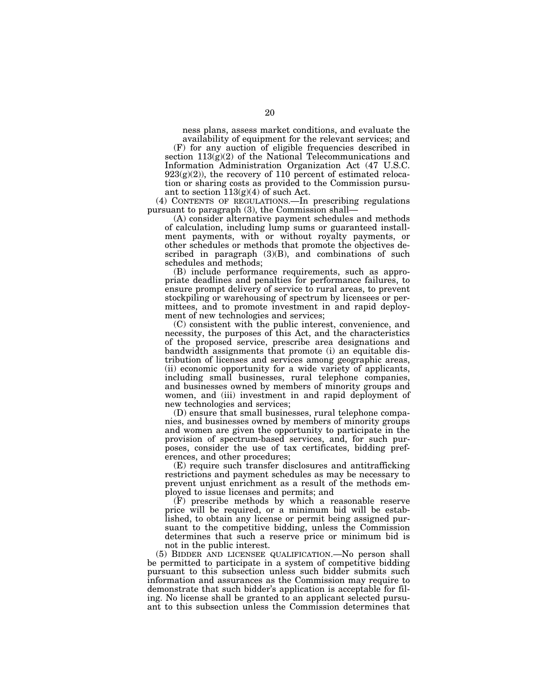ness plans, assess market conditions, and evaluate the availability of equipment for the relevant services; and

(F) for any auction of eligible frequencies described in section  $113(g)(2)$  of the National Telecommunications and Information Administration Organization Act (47 U.S.C.  $923(g)(2)$ , the recovery of 110 percent of estimated relocation or sharing costs as provided to the Commission pursuant to section 113(g)(4) of such Act.

(4) CONTENTS OF REGULATIONS.—In prescribing regulations pursuant to paragraph (3), the Commission shall—

(A) consider alternative payment schedules and methods of calculation, including lump sums or guaranteed installment payments, with or without royalty payments, or other schedules or methods that promote the objectives described in paragraph  $(3)(B)$ , and combinations of such schedules and methods;

(B) include performance requirements, such as appropriate deadlines and penalties for performance failures, to ensure prompt delivery of service to rural areas, to prevent stockpiling or warehousing of spectrum by licensees or permittees, and to promote investment in and rapid deployment of new technologies and services;

(C) consistent with the public interest, convenience, and necessity, the purposes of this Act, and the characteristics of the proposed service, prescribe area designations and bandwidth assignments that promote (i) an equitable distribution of licenses and services among geographic areas, (ii) economic opportunity for a wide variety of applicants, including small businesses, rural telephone companies, and businesses owned by members of minority groups and women, and (iii) investment in and rapid deployment of new technologies and services;

(D) ensure that small businesses, rural telephone companies, and businesses owned by members of minority groups and women are given the opportunity to participate in the provision of spectrum-based services, and, for such purposes, consider the use of tax certificates, bidding preferences, and other procedures;

(E) require such transfer disclosures and antitrafficking restrictions and payment schedules as may be necessary to prevent unjust enrichment as a result of the methods employed to issue licenses and permits; and

(F) prescribe methods by which a reasonable reserve price will be required, or a minimum bid will be established, to obtain any license or permit being assigned pursuant to the competitive bidding, unless the Commission determines that such a reserve price or minimum bid is not in the public interest.

(5) BIDDER AND LICENSEE QUALIFICATION.—No person shall be permitted to participate in a system of competitive bidding pursuant to this subsection unless such bidder submits such information and assurances as the Commission may require to demonstrate that such bidder's application is acceptable for filing. No license shall be granted to an applicant selected pursuant to this subsection unless the Commission determines that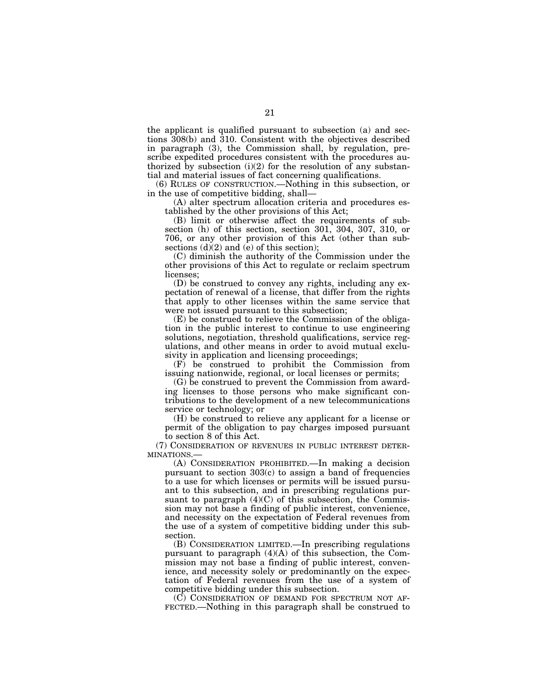the applicant is qualified pursuant to subsection (a) and sections 308(b) and 310. Consistent with the objectives described in paragraph (3), the Commission shall, by regulation, prescribe expedited procedures consistent with the procedures authorized by subsection  $(i)(2)$  for the resolution of any substantial and material issues of fact concerning qualifications.

(6) RULES OF CONSTRUCTION.—Nothing in this subsection, or in the use of competitive bidding, shall—

(A) alter spectrum allocation criteria and procedures established by the other provisions of this Act;

(B) limit or otherwise affect the requirements of subsection (h) of this section, section 301, 304, 307, 310, or 706, or any other provision of this Act (other than subsections  $(d)(2)$  and  $(e)$  of this section);

(C) diminish the authority of the Commission under the other provisions of this Act to regulate or reclaim spectrum licenses;

(D) be construed to convey any rights, including any expectation of renewal of a license, that differ from the rights that apply to other licenses within the same service that were not issued pursuant to this subsection;

(E) be construed to relieve the Commission of the obligation in the public interest to continue to use engineering solutions, negotiation, threshold qualifications, service regulations, and other means in order to avoid mutual exclusivity in application and licensing proceedings;

(F) be construed to prohibit the Commission from issuing nationwide, regional, or local licenses or permits;

(G) be construed to prevent the Commission from awarding licenses to those persons who make significant contributions to the development of a new telecommunications service or technology; or

(H) be construed to relieve any applicant for a license or permit of the obligation to pay charges imposed pursuant to section 8 of this Act.

(7) CONSIDERATION OF REVENUES IN PUBLIC INTEREST DETER-MINATIONS.

(A) CONSIDERATION PROHIBITED.—In making a decision pursuant to section 303(c) to assign a band of frequencies to a use for which licenses or permits will be issued pursuant to this subsection, and in prescribing regulations pursuant to paragraph  $(4)(C)$  of this subsection, the Commission may not base a finding of public interest, convenience, and necessity on the expectation of Federal revenues from the use of a system of competitive bidding under this subsection.

(B) CONSIDERATION LIMITED.—In prescribing regulations pursuant to paragraph (4)(A) of this subsection, the Commission may not base a finding of public interest, convenience, and necessity solely or predominantly on the expectation of Federal revenues from the use of a system of competitive bidding under this subsection.

(C) CONSIDERATION OF DEMAND FOR SPECTRUM NOT AF-FECTED.—Nothing in this paragraph shall be construed to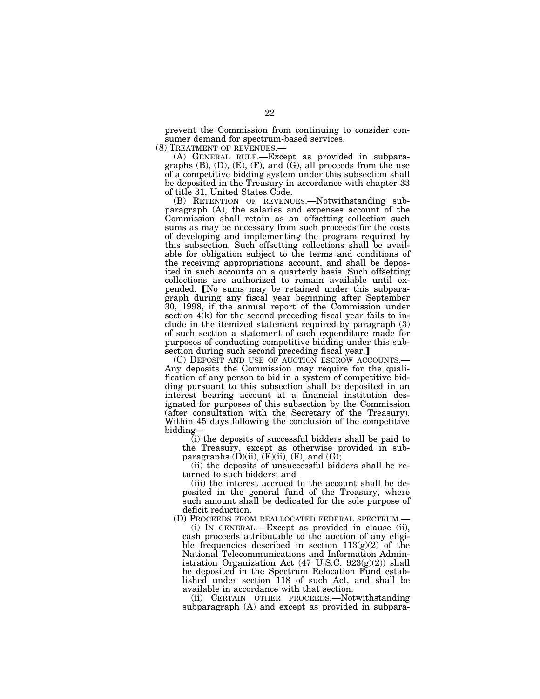prevent the Commission from continuing to consider consumer demand for spectrum-based services.

(8) TREATMENT OF REVENUES.— (A) GENERAL RULE.—Except as provided in subparagraphs  $(B)$ ,  $(D)$ ,  $(E)$ ,  $(F)$ , and  $(G)$ , all proceeds from the use of a competitive bidding system under this subsection shall be deposited in the Treasury in accordance with chapter 33 of title 31, United States Code.

(B) RETENTION OF REVENUES.—Notwithstanding subparagraph (A), the salaries and expenses account of the Commission shall retain as an offsetting collection such sums as may be necessary from such proceeds for the costs of developing and implementing the program required by this subsection. Such offsetting collections shall be available for obligation subject to the terms and conditions of the receiving appropriations account, and shall be deposited in such accounts on a quarterly basis. Such offsetting collections are authorized to remain available until expended. **[No sums may be retained under this subpara**graph during any fiscal year beginning after September 30, 1998, if the annual report of the Commission under section  $4(k)$  for the second preceding fiscal year fails to include in the itemized statement required by paragraph (3) of such section a statement of each expenditure made for purposes of conducting competitive bidding under this subsection during such second preceding fiscal year.<br>
(C) DEPOSIT AND USE OF AUCTION ESCROW ACCOUNTS.—

Any deposits the Commission may require for the qualification of any person to bid in a system of competitive bidding pursuant to this subsection shall be deposited in an interest bearing account at a financial institution designated for purposes of this subsection by the Commission (after consultation with the Secretary of the Treasury). Within 45 days following the conclusion of the competitive bidding—

(i) the deposits of successful bidders shall be paid to the Treasury, except as otherwise provided in subparagraphs  $(D)(ii)$ ,  $(E)(ii)$ ,  $(F)$ , and  $(G)$ ;

(ii) the deposits of unsuccessful bidders shall be returned to such bidders; and

(iii) the interest accrued to the account shall be deposited in the general fund of the Treasury, where such amount shall be dedicated for the sole purpose of deficit reduction.

(D) PROCEEDS FROM REALLOCATED FEDERAL SPECTRUM.—

(i) IN GENERAL.—Except as provided in clause (ii), cash proceeds attributable to the auction of any eligible frequencies described in section  $113(g)(2)$  of the National Telecommunications and Information Administration Organization Act (47 U.S.C. 923(g)(2)) shall be deposited in the Spectrum Relocation Fund established under section 118 of such Act, and shall be available in accordance with that section.

(ii) CERTAIN OTHER PROCEEDS.—Notwithstanding subparagraph (A) and except as provided in subpara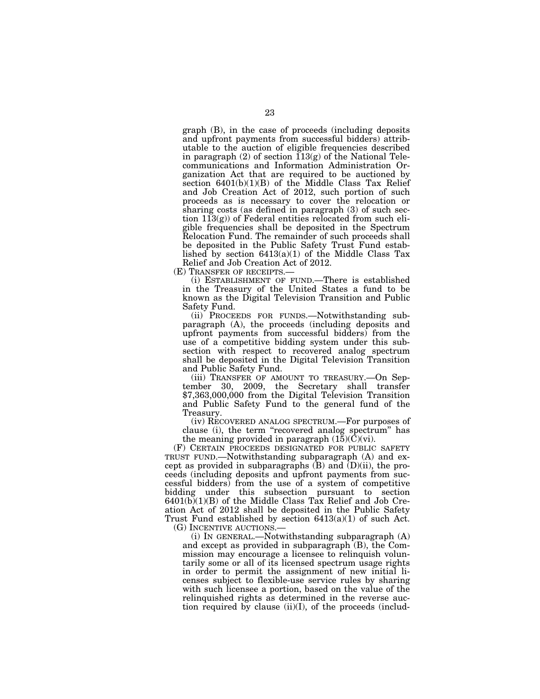graph (B), in the case of proceeds (including deposits and upfront payments from successful bidders) attributable to the auction of eligible frequencies described in paragraph (2) of section  $\overline{1}13(g)$  of the National Telecommunications and Information Administration Organization Act that are required to be auctioned by section 6401(b)(1)(B) of the Middle Class Tax Relief and Job Creation Act of 2012, such portion of such proceeds as is necessary to cover the relocation or sharing costs (as defined in paragraph (3) of such section  $113(g)$  of Federal entities relocated from such eligible frequencies shall be deposited in the Spectrum Relocation Fund. The remainder of such proceeds shall be deposited in the Public Safety Trust Fund established by section  $6413(a)(1)$  of the Middle Class Tax Relief and Job Creation Act of 2012.

(E) TRANSFER OF RECEIPTS.—

(i) ESTABLISHMENT OF FUND.—There is established in the Treasury of the United States a fund to be known as the Digital Television Transition and Public Safety Fund.

(ii) PROCEEDS FOR FUNDS.—Notwithstanding subparagraph (A), the proceeds (including deposits and upfront payments from successful bidders) from the use of a competitive bidding system under this subsection with respect to recovered analog spectrum shall be deposited in the Digital Television Transition and Public Safety Fund.

(iii) TRANSFER OF AMOUNT TO TREASURY.—On September 30, 2009, the Secretary shall transfer \$7,363,000,000 from the Digital Television Transition and Public Safety Fund to the general fund of the Treasury.

(iv) RECOVERED ANALOG SPECTRUM.—For purposes of clause (i), the term "recovered analog spectrum" has the meaning provided in paragraph  $(15)(\overrightarrow{C})(\overrightarrow{vi}).$ 

(F) CERTAIN PROCEEDS DESIGNATED FOR PUBLIC SAFETY TRUST FUND.—Notwithstanding subparagraph (A) and except as provided in subparagraphs  $(B)$  and  $(D)(ii)$ , the proceeds (including deposits and upfront payments from successful bidders) from the use of a system of competitive bidding under this subsection pursuant to section  $6401(b)(1)(B)$  of the Middle Class Tax Relief and Job Creation Act of 2012 shall be deposited in the Public Safety Trust Fund established by section  $6413(a)(1)$  of such Act. (G) INCENTIVE AUCTIONS.—

(i) IN GENERAL.—Notwithstanding subparagraph (A) and except as provided in subparagraph (B), the Commission may encourage a licensee to relinquish voluntarily some or all of its licensed spectrum usage rights in order to permit the assignment of new initial licenses subject to flexible-use service rules by sharing with such licensee a portion, based on the value of the relinquished rights as determined in the reverse auction required by clause  $(ii)(I)$ , of the proceeds (includ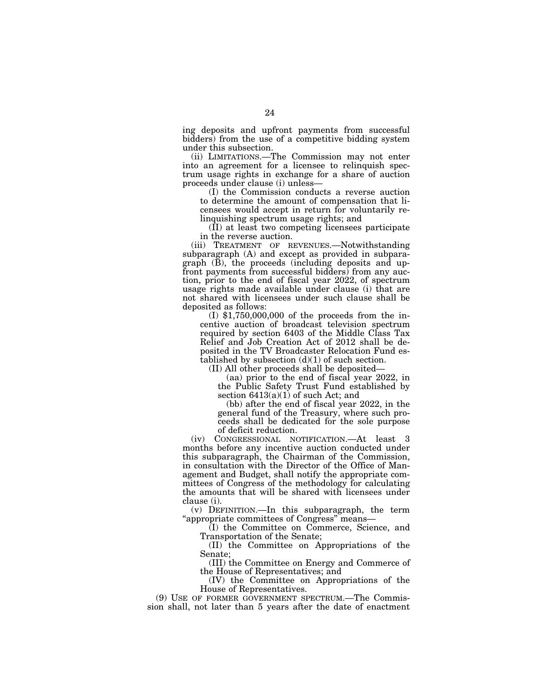ing deposits and upfront payments from successful bidders) from the use of a competitive bidding system under this subsection.

(ii) LIMITATIONS.—The Commission may not enter into an agreement for a licensee to relinquish spectrum usage rights in exchange for a share of auction proceeds under clause (i) unless—

(I) the Commission conducts a reverse auction to determine the amount of compensation that licensees would accept in return for voluntarily relinquishing spectrum usage rights; and

(II) at least two competing licensees participate in the reverse auction.

(iii) TREATMENT OF REVENUES.—Notwithstanding subparagraph (A) and except as provided in subparagraph (B), the proceeds (including deposits and upfront payments from successful bidders) from any auction, prior to the end of fiscal year 2022, of spectrum usage rights made available under clause (i) that are not shared with licensees under such clause shall be deposited as follows:

(I) \$1,750,000,000 of the proceeds from the incentive auction of broadcast television spectrum required by section 6403 of the Middle Class Tax Relief and Job Creation Act of 2012 shall be deposited in the TV Broadcaster Relocation Fund established by subsection  $(d)(1)$  of such section.

(II) All other proceeds shall be deposited—

(aa) prior to the end of fiscal year 2022, in the Public Safety Trust Fund established by section  $6413(a)(1)$  of such Act; and

(bb) after the end of fiscal year 2022, in the general fund of the Treasury, where such proceeds shall be dedicated for the sole purpose of deficit reduction.

(iv) CONGRESSIONAL NOTIFICATION.—At least 3 months before any incentive auction conducted under this subparagraph, the Chairman of the Commission, in consultation with the Director of the Office of Management and Budget, shall notify the appropriate committees of Congress of the methodology for calculating the amounts that will be shared with licensees under clause (i).

(v) DEFINITION.—In this subparagraph, the term ''appropriate committees of Congress'' means—

(I) the Committee on Commerce, Science, and Transportation of the Senate;

(II) the Committee on Appropriations of the Senate;

(III) the Committee on Energy and Commerce of the House of Representatives; and

(IV) the Committee on Appropriations of the House of Representatives.

(9) USE OF FORMER GOVERNMENT SPECTRUM.—The Commission shall, not later than 5 years after the date of enactment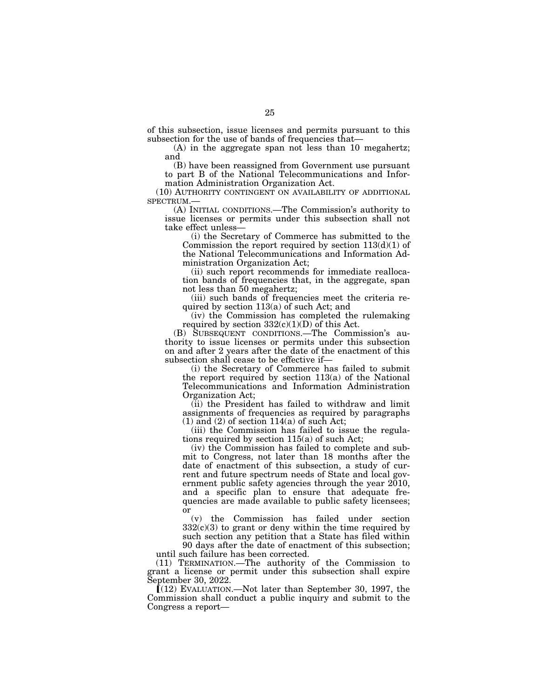of this subsection, issue licenses and permits pursuant to this subsection for the use of bands of frequencies that—

(A) in the aggregate span not less than 10 megahertz; and

(B) have been reassigned from Government use pursuant to part B of the National Telecommunications and Information Administration Organization Act.

(10) AUTHORITY CONTINGENT ON AVAILABILITY OF ADDITIONAL SPECTRUM.— (A) INITIAL CONDITIONS.—The Commission's authority to

issue licenses or permits under this subsection shall not take effect unless—

(i) the Secretary of Commerce has submitted to the Commission the report required by section  $113(d)(1)$  of the National Telecommunications and Information Administration Organization Act;

(ii) such report recommends for immediate reallocation bands of frequencies that, in the aggregate, span not less than 50 megahertz;

(iii) such bands of frequencies meet the criteria required by section 113(a) of such Act; and

(iv) the Commission has completed the rulemaking required by section  $332(c)(1)(D)$  of this Act.

(B) SUBSEQUENT CONDITIONS.—The Commission's authority to issue licenses or permits under this subsection on and after 2 years after the date of the enactment of this subsection shall cease to be effective if—

(i) the Secretary of Commerce has failed to submit the report required by section 113(a) of the National Telecommunications and Information Administration Organization Act;

(ii) the President has failed to withdraw and limit assignments of frequencies as required by paragraphs  $(1)$  and  $(2)$  of section 114(a) of such Act;

(iii) the Commission has failed to issue the regulations required by section 115(a) of such Act;

(iv) the Commission has failed to complete and submit to Congress, not later than 18 months after the date of enactment of this subsection, a study of current and future spectrum needs of State and local government public safety agencies through the year 2010, and a specific plan to ensure that adequate frequencies are made available to public safety licensees; or

(v) the Commission has failed under section  $332(c)(3)$  to grant or deny within the time required by such section any petition that a State has filed within 90 days after the date of enactment of this subsection;

until such failure has been corrected.

(11) TERMINATION.—The authority of the Commission to grant a license or permit under this subsection shall expire September 30, 2022.

 $(12)$  EVALUATION.—Not later than September 30, 1997, the Commission shall conduct a public inquiry and submit to the Congress a report—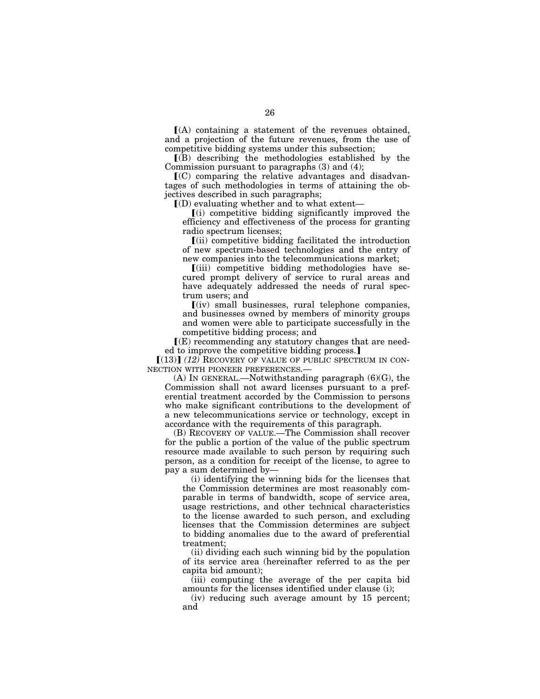$\Gamma(A)$  containing a statement of the revenues obtained, and a projection of the future revenues, from the use of competitive bidding systems under this subsection;

 $\Gamma(B)$  describing the methodologies established by the Commission pursuant to paragraphs (3) and (4);

 $\mathbf{C}(C)$  comparing the relative advantages and disadvantages of such methodologies in terms of attaining the objectives described in such paragraphs;

 $I(D)$  evaluating whether and to what extent—

ø(i) competitive bidding significantly improved the efficiency and effectiveness of the process for granting radio spectrum licenses;

ø(ii) competitive bidding facilitated the introduction of new spectrum-based technologies and the entry of new companies into the telecommunications market;

 $\lceil$ (iii) competitive bidding methodologies have secured prompt delivery of service to rural areas and have adequately addressed the needs of rural spectrum users; and

 $\lceil$ (iv) small businesses, rural telephone companies, and businesses owned by members of minority groups and women were able to participate successfully in the competitive bidding process; and

 $\mathbf{E}(\mathbf{E})$  recommending any statutory changes that are needed to improve the competitive bidding process.]

 $[(13)]$   $(12)$  RECOVERY OF VALUE OF PUBLIC SPECTRUM IN CON-NECTION WITH PIONEER PREFERENCES.—

 $(A)$  In GENERAL.—Notwithstanding paragraph  $(6)(G)$ , the Commission shall not award licenses pursuant to a preferential treatment accorded by the Commission to persons who make significant contributions to the development of a new telecommunications service or technology, except in accordance with the requirements of this paragraph.

(B) RECOVERY OF VALUE.—The Commission shall recover for the public a portion of the value of the public spectrum resource made available to such person by requiring such person, as a condition for receipt of the license, to agree to pay a sum determined by—

(i) identifying the winning bids for the licenses that the Commission determines are most reasonably comparable in terms of bandwidth, scope of service area, usage restrictions, and other technical characteristics to the license awarded to such person, and excluding licenses that the Commission determines are subject to bidding anomalies due to the award of preferential treatment;

(ii) dividing each such winning bid by the population of its service area (hereinafter referred to as the per capita bid amount);

(iii) computing the average of the per capita bid amounts for the licenses identified under clause (i);

(iv) reducing such average amount by 15 percent; and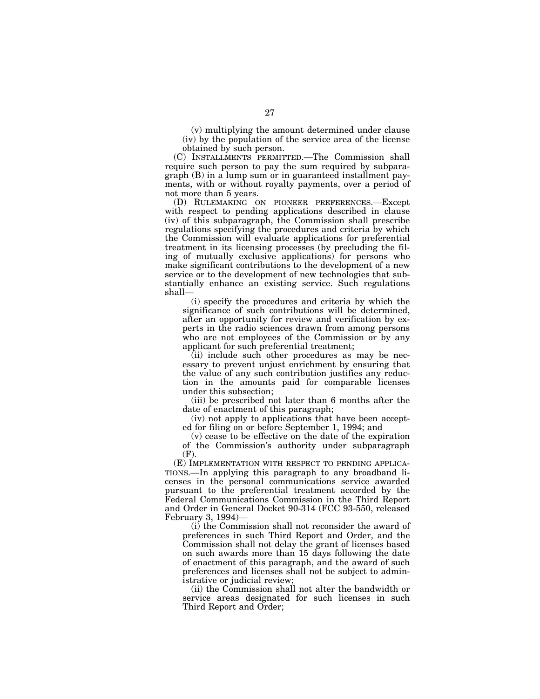(v) multiplying the amount determined under clause (iv) by the population of the service area of the license obtained by such person.

(C) INSTALLMENTS PERMITTED.—The Commission shall require such person to pay the sum required by subparagraph (B) in a lump sum or in guaranteed installment payments, with or without royalty payments, over a period of not more than 5 years.

(D) RULEMAKING ON PIONEER PREFERENCES.—Except with respect to pending applications described in clause (iv) of this subparagraph, the Commission shall prescribe regulations specifying the procedures and criteria by which the Commission will evaluate applications for preferential treatment in its licensing processes (by precluding the filing of mutually exclusive applications) for persons who make significant contributions to the development of a new service or to the development of new technologies that substantially enhance an existing service. Such regulations shall—

(i) specify the procedures and criteria by which the significance of such contributions will be determined, after an opportunity for review and verification by experts in the radio sciences drawn from among persons who are not employees of the Commission or by any applicant for such preferential treatment;

(ii) include such other procedures as may be necessary to prevent unjust enrichment by ensuring that the value of any such contribution justifies any reduction in the amounts paid for comparable licenses under this subsection;

(iii) be prescribed not later than 6 months after the date of enactment of this paragraph;

(iv) not apply to applications that have been accepted for filing on or before September 1, 1994; and

(v) cease to be effective on the date of the expiration of the Commission's authority under subparagraph (F).

(E) IMPLEMENTATION WITH RESPECT TO PENDING APPLICA-TIONS.—In applying this paragraph to any broadband licenses in the personal communications service awarded pursuant to the preferential treatment accorded by the Federal Communications Commission in the Third Report and Order in General Docket 90-314 (FCC 93-550, released February 3, 1994)—

(i) the Commission shall not reconsider the award of preferences in such Third Report and Order, and the Commission shall not delay the grant of licenses based on such awards more than 15 days following the date of enactment of this paragraph, and the award of such preferences and licenses shall not be subject to administrative or judicial review;

(ii) the Commission shall not alter the bandwidth or service areas designated for such licenses in such Third Report and Order;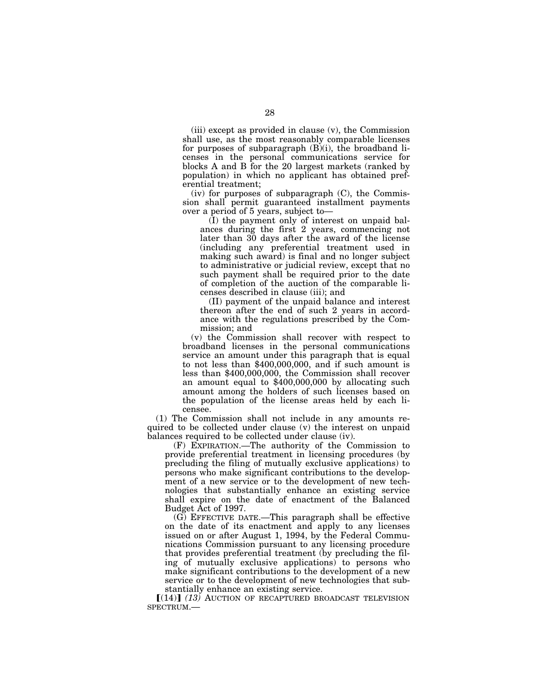(iii) except as provided in clause (v), the Commission shall use, as the most reasonably comparable licenses for purposes of subparagraph (B)(i), the broadband licenses in the personal communications service for blocks A and B for the 20 largest markets (ranked by population) in which no applicant has obtained preferential treatment;

(iv) for purposes of subparagraph (C), the Commission shall permit guaranteed installment payments over a period of 5 years, subject to—

(I) the payment only of interest on unpaid balances during the first 2 years, commencing not later than 30 days after the award of the license (including any preferential treatment used in making such award) is final and no longer subject to administrative or judicial review, except that no such payment shall be required prior to the date of completion of the auction of the comparable licenses described in clause (iii); and

(II) payment of the unpaid balance and interest thereon after the end of such 2 years in accordance with the regulations prescribed by the Commission; and

(v) the Commission shall recover with respect to broadband licenses in the personal communications service an amount under this paragraph that is equal to not less than \$400,000,000, and if such amount is less than \$400,000,000, the Commission shall recover an amount equal to \$400,000,000 by allocating such amount among the holders of such licenses based on the population of the license areas held by each licensee.

(1) The Commission shall not include in any amounts required to be collected under clause (v) the interest on unpaid balances required to be collected under clause (iv).

(F) EXPIRATION.—The authority of the Commission to provide preferential treatment in licensing procedures (by precluding the filing of mutually exclusive applications) to persons who make significant contributions to the development of a new service or to the development of new technologies that substantially enhance an existing service shall expire on the date of enactment of the Balanced Budget Act of 1997.

(G) EFFECTIVE DATE.—This paragraph shall be effective on the date of its enactment and apply to any licenses issued on or after August 1, 1994, by the Federal Communications Commission pursuant to any licensing procedure that provides preferential treatment (by precluding the filing of mutually exclusive applications) to persons who make significant contributions to the development of a new service or to the development of new technologies that substantially enhance an existing service.

 $[(14)]$   $(13)$  AUCTION OF RECAPTURED BROADCAST TELEVISION SPECTRUM.—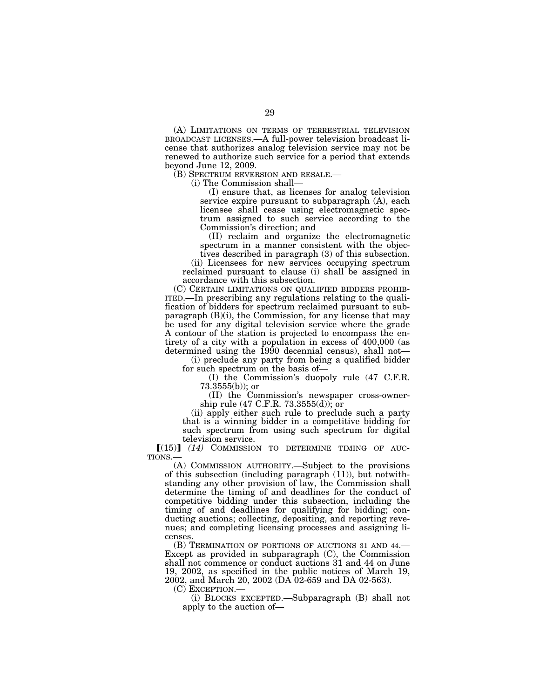(A) LIMITATIONS ON TERMS OF TERRESTRIAL TELEVISION BROADCAST LICENSES.—A full-power television broadcast license that authorizes analog television service may not be renewed to authorize such service for a period that extends beyond June 12, 2009.

(B) SPECTRUM REVERSION AND RESALE.— (i) The Commission shall—

(I) ensure that, as licenses for analog television service expire pursuant to subparagraph (A), each licensee shall cease using electromagnetic spectrum assigned to such service according to the Commission's direction; and

(II) reclaim and organize the electromagnetic spectrum in a manner consistent with the objectives described in paragraph (3) of this subsection.

(ii) Licensees for new services occupying spectrum reclaimed pursuant to clause (i) shall be assigned in accordance with this subsection.

(C) CERTAIN LIMITATIONS ON QUALIFIED BIDDERS PROHIB-ITED.—In prescribing any regulations relating to the qualification of bidders for spectrum reclaimed pursuant to subparagraph (B)(i), the Commission, for any license that may be used for any digital television service where the grade A contour of the station is projected to encompass the entirety of a city with a population in excess of 400,000 (as determined using the 1990 decennial census), shall not—

(i) preclude any party from being a qualified bidder for such spectrum on the basis of—

(I) the Commission's duopoly rule (47 C.F.R.  $73.3555(b)$ ; or

(II) the Commission's newspaper cross-ownership rule (47 C.F.R. 73.3555(d)); or

(ii) apply either such rule to preclude such a party that is a winning bidder in a competitive bidding for such spectrum from using such spectrum for digital television service.

 $[(15)]$   $(14)$  COMMISSION TO DETERMINE TIMING OF AUCTIONS.—

(A) COMMISSION AUTHORITY.—Subject to the provisions of this subsection (including paragraph (11)), but notwithstanding any other provision of law, the Commission shall determine the timing of and deadlines for the conduct of competitive bidding under this subsection, including the timing of and deadlines for qualifying for bidding; conducting auctions; collecting, depositing, and reporting revenues; and completing licensing processes and assigning licenses.

(B) TERMINATION OF PORTIONS OF AUCTIONS 31 AND 44.— Except as provided in subparagraph (C), the Commission shall not commence or conduct auctions 31 and 44 on June 19, 2002, as specified in the public notices of March 19, 2002, and March 20, 2002 (DA 02-659 and DA 02-563).

(C) EXCEPTION.—

(i) BLOCKS EXCEPTED.—Subparagraph (B) shall not apply to the auction of—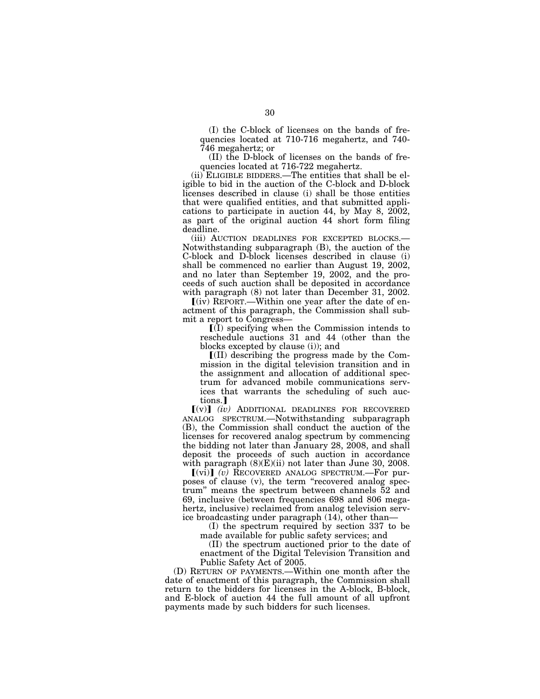(I) the C-block of licenses on the bands of frequencies located at 710-716 megahertz, and 740- 746 megahertz; or

(II) the D-block of licenses on the bands of frequencies located at 716-722 megahertz.

(ii) ELIGIBLE BIDDERS.—The entities that shall be eligible to bid in the auction of the C-block and D-block licenses described in clause (i) shall be those entities that were qualified entities, and that submitted applications to participate in auction 44, by May 8, 2002, as part of the original auction 44 short form filing deadline.

(iii) AUCTION DEADLINES FOR EXCEPTED BLOCKS.— Notwithstanding subparagraph (B), the auction of the C-block and D-block licenses described in clause (i) shall be commenced no earlier than August 19, 2002, and no later than September 19, 2002, and the proceeds of such auction shall be deposited in accordance with paragraph (8) not later than December 31, 2002.

 $(i\nu)$  REPORT.—Within one year after the date of enactment of this paragraph, the Commission shall submit a report to Congress—

 $\left[$ (I) specifying when the Commission intends to reschedule auctions 31 and 44 (other than the blocks excepted by clause (i)); and

 $\left[ \text{(II)} \right]$  describing the progress made by the Commission in the digital television transition and in the assignment and allocation of additional spectrum for advanced mobile communications services that warrants the scheduling of such auctions.

 $\left[ \nabla \Psi \right]$  *(iv)* ADDITIONAL DEADLINES FOR RECOVERED ANALOG SPECTRUM.—Notwithstanding subparagraph (B), the Commission shall conduct the auction of the licenses for recovered analog spectrum by commencing the bidding not later than January 28, 2008, and shall deposit the proceeds of such auction in accordance with paragraph  $(8)(E)(ii)$  not later than June 30, 2008.

 $\lceil$ (vi) $\rceil$  (v) RECOVERED ANALOG SPECTRUM.—For purposes of clause (v), the term ''recovered analog spectrum'' means the spectrum between channels 52 and 69, inclusive (between frequencies 698 and 806 megahertz, inclusive) reclaimed from analog television service broadcasting under paragraph (14), other than—

(I) the spectrum required by section 337 to be made available for public safety services; and

(II) the spectrum auctioned prior to the date of enactment of the Digital Television Transition and Public Safety Act of 2005.

(D) RETURN OF PAYMENTS.—Within one month after the date of enactment of this paragraph, the Commission shall return to the bidders for licenses in the A-block, B-block, and E-block of auction 44 the full amount of all upfront payments made by such bidders for such licenses.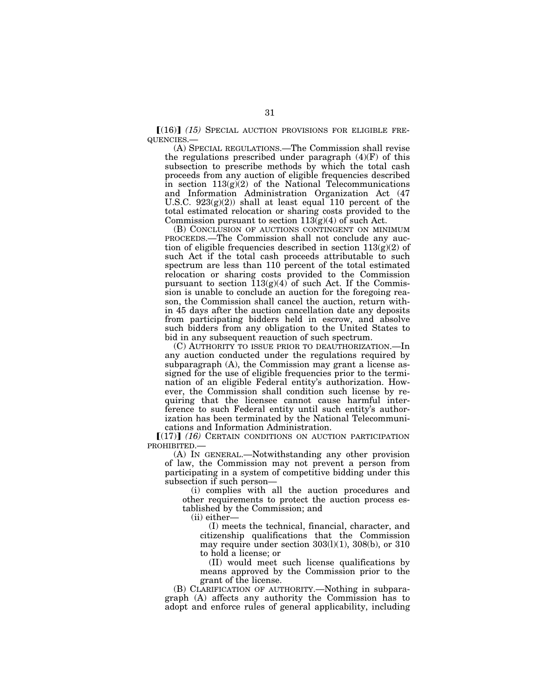$[(16)]$   $(15)$  Special auction provisions for eligible FRE-QUENCIES.—

(A) SPECIAL REGULATIONS.—The Commission shall revise the regulations prescribed under paragraph  $(4)(F)$  of this subsection to prescribe methods by which the total cash proceeds from any auction of eligible frequencies described in section  $113(g)(2)$  of the National Telecommunications and Information Administration Organization Act (47 U.S.C.  $923(g)(2)$  shall at least equal 110 percent of the total estimated relocation or sharing costs provided to the Commission pursuant to section  $113(g)(4)$  of such Act.

(B) CONCLUSION OF AUCTIONS CONTINGENT ON MINIMUM PROCEEDS.—The Commission shall not conclude any auction of eligible frequencies described in section  $113(g)(2)$  of such Act if the total cash proceeds attributable to such spectrum are less than 110 percent of the total estimated relocation or sharing costs provided to the Commission pursuant to section 113(g)(4) of such Act. If the Commission is unable to conclude an auction for the foregoing reason, the Commission shall cancel the auction, return within 45 days after the auction cancellation date any deposits from participating bidders held in escrow, and absolve such bidders from any obligation to the United States to bid in any subsequent reauction of such spectrum.

(C) AUTHORITY TO ISSUE PRIOR TO DEAUTHORIZATION.—In any auction conducted under the regulations required by subparagraph (A), the Commission may grant a license assigned for the use of eligible frequencies prior to the termination of an eligible Federal entity's authorization. However, the Commission shall condition such license by requiring that the licensee cannot cause harmful interference to such Federal entity until such entity's authorization has been terminated by the National Telecommunications and Information Administration.

[(17)] (16) CERTAIN CONDITIONS ON AUCTION PARTICIPATION PROHIBITED.—

(A) IN GENERAL.—Notwithstanding any other provision of law, the Commission may not prevent a person from participating in a system of competitive bidding under this subsection if such person—

(i) complies with all the auction procedures and other requirements to protect the auction process established by the Commission; and

(ii) either—

(I) meets the technical, financial, character, and citizenship qualifications that the Commission may require under section  $303(1)(1)$ ,  $308(b)$ , or  $310$ to hold a license; or

(II) would meet such license qualifications by means approved by the Commission prior to the grant of the license.

(B) CLARIFICATION OF AUTHORITY.—Nothing in subparagraph (A) affects any authority the Commission has to adopt and enforce rules of general applicability, including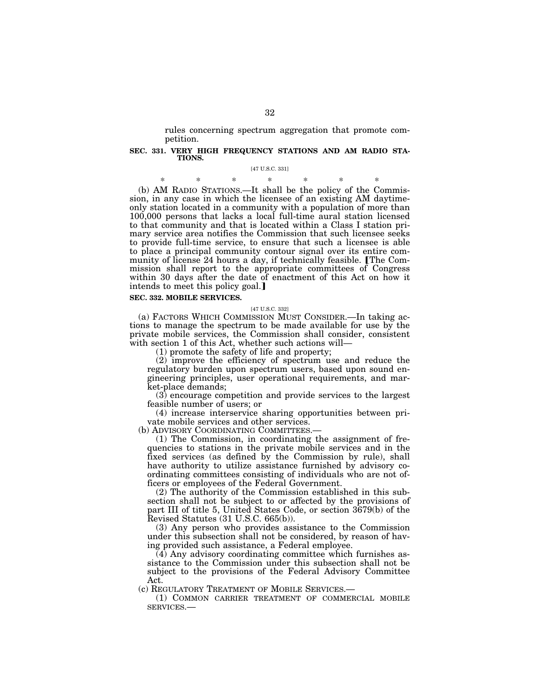rules concerning spectrum aggregation that promote competition.

### **SEC. 331. VERY HIGH FREQUENCY STATIONS AND AM RADIO STA-TIONS.**

### [47 U.S.C. 331]

\* \* \* \* \* \* \* (b) AM RADIO STATIONS.—It shall be the policy of the Commission, in any case in which the licensee of an existing AM daytimeonly station located in a community with a population of more than 100,000 persons that lacks a local full-time aural station licensed to that community and that is located within a Class I station primary service area notifies the Commission that such licensee seeks to provide full-time service, to ensure that such a licensee is able to place a principal community contour signal over its entire community of license 24 hours a day, if technically feasible. The Commission shall report to the appropriate committees of Congress within 30 days after the date of enactment of this Act on how it intends to meet this policy goal.

### **SEC. 332. MOBILE SERVICES.**

#### [47 U.S.C. 332]

(a) FACTORS WHICH COMMISSION MUST CONSIDER.—In taking actions to manage the spectrum to be made available for use by the private mobile services, the Commission shall consider, consistent with section 1 of this Act, whether such actions will—

(1) promote the safety of life and property;

(2) improve the efficiency of spectrum use and reduce the regulatory burden upon spectrum users, based upon sound engineering principles, user operational requirements, and market-place demands;

(3) encourage competition and provide services to the largest feasible number of users; or

(4) increase interservice sharing opportunities between private mobile services and other services.

(b) ADVISORY COORDINATING COMMITTEES.—

(1) The Commission, in coordinating the assignment of frequencies to stations in the private mobile services and in the fixed services (as defined by the Commission by rule), shall have authority to utilize assistance furnished by advisory coordinating committees consisting of individuals who are not officers or employees of the Federal Government.

(2) The authority of the Commission established in this subsection shall not be subject to or affected by the provisions of part III of title 5, United States Code, or section 3679(b) of the Revised Statutes (31 U.S.C. 665(b)).

(3) Any person who provides assistance to the Commission under this subsection shall not be considered, by reason of having provided such assistance, a Federal employee.

(4) Any advisory coordinating committee which furnishes assistance to the Commission under this subsection shall not be subject to the provisions of the Federal Advisory Committee Act.

(c) REGULATORY TREATMENT OF MOBILE SERVICES.—

(1) COMMON CARRIER TREATMENT OF COMMERCIAL MOBILE SERVICES.—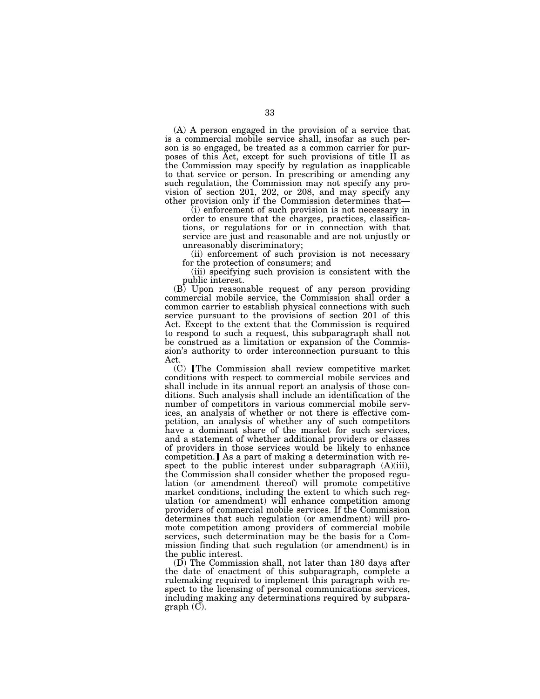(A) A person engaged in the provision of a service that is a commercial mobile service shall, insofar as such person is so engaged, be treated as a common carrier for purposes of this Act, except for such provisions of title II as the Commission may specify by regulation as inapplicable to that service or person. In prescribing or amending any such regulation, the Commission may not specify any provision of section 201, 202, or 208, and may specify any other provision only if the Commission determines that—

(i) enforcement of such provision is not necessary in order to ensure that the charges, practices, classifications, or regulations for or in connection with that service are just and reasonable and are not unjustly or unreasonably discriminatory;

(ii) enforcement of such provision is not necessary for the protection of consumers; and

(iii) specifying such provision is consistent with the public interest.

(B) Upon reasonable request of any person providing commercial mobile service, the Commission shall order a common carrier to establish physical connections with such service pursuant to the provisions of section 201 of this Act. Except to the extent that the Commission is required to respond to such a request, this subparagraph shall not be construed as a limitation or expansion of the Commission's authority to order interconnection pursuant to this Act.

(C) [The Commission shall review competitive market conditions with respect to commercial mobile services and shall include in its annual report an analysis of those conditions. Such analysis shall include an identification of the number of competitors in various commercial mobile services, an analysis of whether or not there is effective competition, an analysis of whether any of such competitors have a dominant share of the market for such services, and a statement of whether additional providers or classes of providers in those services would be likely to enhance competition.] As a part of making a determination with respect to the public interest under subparagraph (A)(iii), the Commission shall consider whether the proposed regulation (or amendment thereof) will promote competitive market conditions, including the extent to which such regulation (or amendment) will enhance competition among providers of commercial mobile services. If the Commission determines that such regulation (or amendment) will promote competition among providers of commercial mobile services, such determination may be the basis for a Commission finding that such regulation (or amendment) is in the public interest.

(D) The Commission shall, not later than 180 days after the date of enactment of this subparagraph, complete a rulemaking required to implement this paragraph with respect to the licensing of personal communications services, including making any determinations required by subparagraph (C).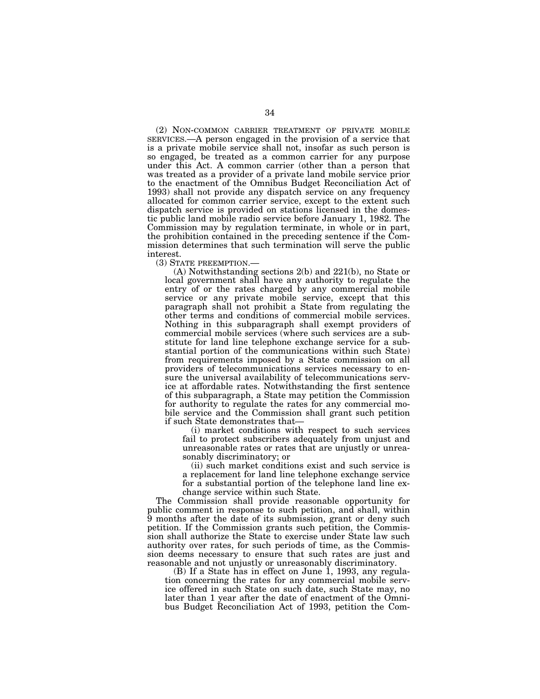(2) NON-COMMON CARRIER TREATMENT OF PRIVATE MOBILE SERVICES.—A person engaged in the provision of a service that is a private mobile service shall not, insofar as such person is so engaged, be treated as a common carrier for any purpose under this Act. A common carrier (other than a person that was treated as a provider of a private land mobile service prior to the enactment of the Omnibus Budget Reconciliation Act of 1993) shall not provide any dispatch service on any frequency allocated for common carrier service, except to the extent such dispatch service is provided on stations licensed in the domestic public land mobile radio service before January 1, 1982. The Commission may by regulation terminate, in whole or in part, the prohibition contained in the preceding sentence if the Commission determines that such termination will serve the public interest.

(3) STATE PREEMPTION.—

(A) Notwithstanding sections 2(b) and 221(b), no State or local government shall have any authority to regulate the entry of or the rates charged by any commercial mobile service or any private mobile service, except that this paragraph shall not prohibit a State from regulating the other terms and conditions of commercial mobile services. Nothing in this subparagraph shall exempt providers of commercial mobile services (where such services are a substitute for land line telephone exchange service for a substantial portion of the communications within such State) from requirements imposed by a State commission on all providers of telecommunications services necessary to ensure the universal availability of telecommunications service at affordable rates. Notwithstanding the first sentence of this subparagraph, a State may petition the Commission for authority to regulate the rates for any commercial mobile service and the Commission shall grant such petition if such State demonstrates that—

(i) market conditions with respect to such services fail to protect subscribers adequately from unjust and unreasonable rates or rates that are unjustly or unreasonably discriminatory; or

(ii) such market conditions exist and such service is a replacement for land line telephone exchange service for a substantial portion of the telephone land line exchange service within such State.

The Commission shall provide reasonable opportunity for public comment in response to such petition, and shall, within 9 months after the date of its submission, grant or deny such petition. If the Commission grants such petition, the Commission shall authorize the State to exercise under State law such authority over rates, for such periods of time, as the Commission deems necessary to ensure that such rates are just and reasonable and not unjustly or unreasonably discriminatory.

(B) If a State has in effect on June 1, 1993, any regulation concerning the rates for any commercial mobile service offered in such State on such date, such State may, no later than 1 year after the date of enactment of the Omnibus Budget Reconciliation Act of 1993, petition the Com-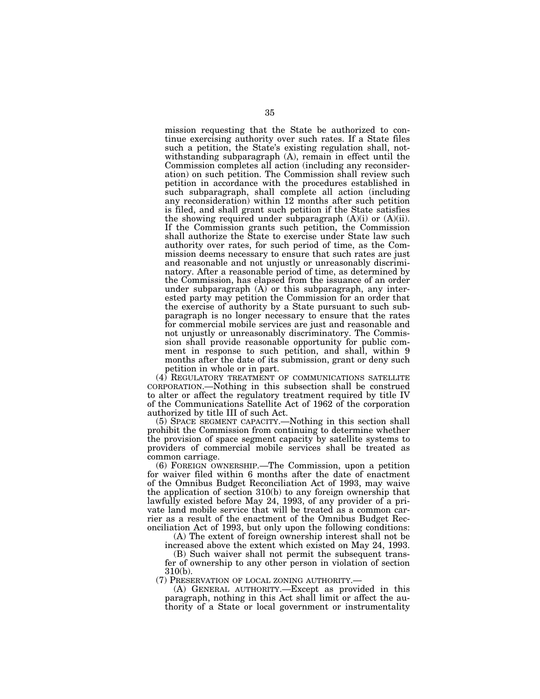mission requesting that the State be authorized to continue exercising authority over such rates. If a State files such a petition, the State's existing regulation shall, notwithstanding subparagraph (A), remain in effect until the Commission completes all action (including any reconsideration) on such petition. The Commission shall review such petition in accordance with the procedures established in such subparagraph, shall complete all action (including any reconsideration) within 12 months after such petition is filed, and shall grant such petition if the State satisfies the showing required under subparagraph  $(A)(i)$  or  $(A)(ii)$ . If the Commission grants such petition, the Commission shall authorize the State to exercise under State law such authority over rates, for such period of time, as the Commission deems necessary to ensure that such rates are just and reasonable and not unjustly or unreasonably discriminatory. After a reasonable period of time, as determined by the Commission, has elapsed from the issuance of an order under subparagraph (A) or this subparagraph, any interested party may petition the Commission for an order that the exercise of authority by a State pursuant to such subparagraph is no longer necessary to ensure that the rates for commercial mobile services are just and reasonable and not unjustly or unreasonably discriminatory. The Commission shall provide reasonable opportunity for public comment in response to such petition, and shall, within 9 months after the date of its submission, grant or deny such petition in whole or in part.

(4) REGULATORY TREATMENT OF COMMUNICATIONS SATELLITE CORPORATION.—Nothing in this subsection shall be construed to alter or affect the regulatory treatment required by title IV of the Communications Satellite Act of 1962 of the corporation authorized by title III of such Act.

(5) SPACE SEGMENT CAPACITY.—Nothing in this section shall prohibit the Commission from continuing to determine whether the provision of space segment capacity by satellite systems to providers of commercial mobile services shall be treated as common carriage.

(6) FOREIGN OWNERSHIP.—The Commission, upon a petition for waiver filed within 6 months after the date of enactment of the Omnibus Budget Reconciliation Act of 1993, may waive the application of section 310(b) to any foreign ownership that lawfully existed before May 24, 1993, of any provider of a private land mobile service that will be treated as a common carrier as a result of the enactment of the Omnibus Budget Reconciliation Act of 1993, but only upon the following conditions:

(A) The extent of foreign ownership interest shall not be increased above the extent which existed on May 24, 1993.

(B) Such waiver shall not permit the subsequent transfer of ownership to any other person in violation of section 310(b).

(7) PRESERVATION OF LOCAL ZONING AUTHORITY.— (A) GENERAL AUTHORITY.—Except as provided in this paragraph, nothing in this Act shall limit or affect the authority of a State or local government or instrumentality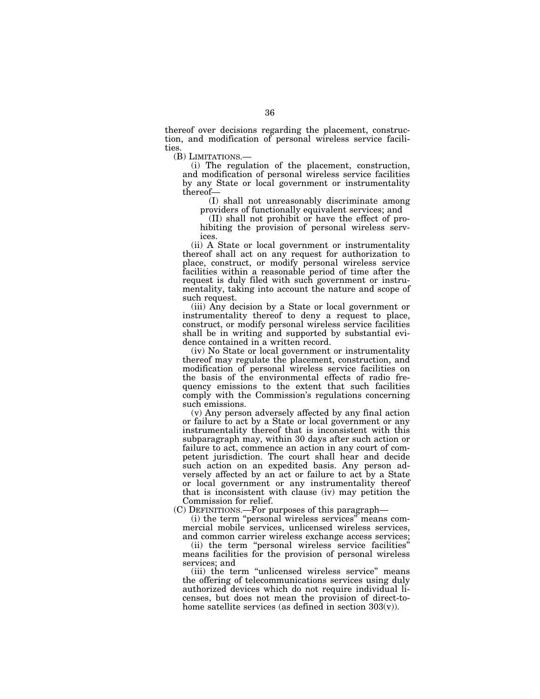thereof over decisions regarding the placement, construction, and modification of personal wireless service facilities.<br>(B) LIMITATIONS.—

(i) The regulation of the placement, construction, and modification of personal wireless service facilities by any State or local government or instrumentality thereof—

(I) shall not unreasonably discriminate among providers of functionally equivalent services; and

(II) shall not prohibit or have the effect of prohibiting the provision of personal wireless services.

(ii) A State or local government or instrumentality thereof shall act on any request for authorization to place, construct, or modify personal wireless service facilities within a reasonable period of time after the request is duly filed with such government or instrumentality, taking into account the nature and scope of such request.

(iii) Any decision by a State or local government or instrumentality thereof to deny a request to place, construct, or modify personal wireless service facilities shall be in writing and supported by substantial evidence contained in a written record.

(iv) No State or local government or instrumentality thereof may regulate the placement, construction, and modification of personal wireless service facilities on the basis of the environmental effects of radio frequency emissions to the extent that such facilities comply with the Commission's regulations concerning such emissions.

(v) Any person adversely affected by any final action or failure to act by a State or local government or any instrumentality thereof that is inconsistent with this subparagraph may, within 30 days after such action or failure to act, commence an action in any court of competent jurisdiction. The court shall hear and decide such action on an expedited basis. Any person adversely affected by an act or failure to act by a State or local government or any instrumentality thereof that is inconsistent with clause (iv) may petition the Commission for relief.

(C) DEFINITIONS.—For purposes of this paragraph—

(i) the term ''personal wireless services'' means commercial mobile services, unlicensed wireless services, and common carrier wireless exchange access services;

(ii) the term ''personal wireless service facilities'' means facilities for the provision of personal wireless services; and

(iii) the term ''unlicensed wireless service'' means the offering of telecommunications services using duly authorized devices which do not require individual licenses, but does not mean the provision of direct-tohome satellite services (as defined in section  $303(v)$ ).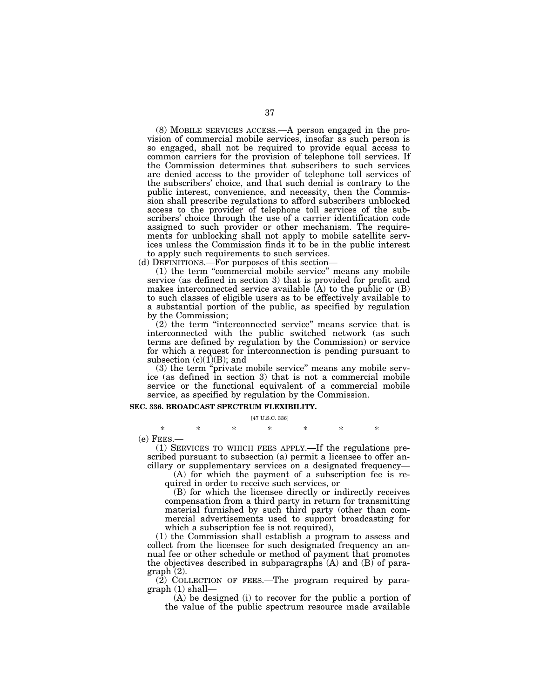(8) MOBILE SERVICES ACCESS.—A person engaged in the provision of commercial mobile services, insofar as such person is so engaged, shall not be required to provide equal access to common carriers for the provision of telephone toll services. If the Commission determines that subscribers to such services are denied access to the provider of telephone toll services of the subscribers' choice, and that such denial is contrary to the public interest, convenience, and necessity, then the Commission shall prescribe regulations to afford subscribers unblocked access to the provider of telephone toll services of the subscribers' choice through the use of a carrier identification code assigned to such provider or other mechanism. The requirements for unblocking shall not apply to mobile satellite services unless the Commission finds it to be in the public interest to apply such requirements to such services.

(d) DEFINITIONS.—For purposes of this section—

(1) the term ''commercial mobile service'' means any mobile service (as defined in section 3) that is provided for profit and makes interconnected service available  $(A)$  to the public or  $(B)$ to such classes of eligible users as to be effectively available to a substantial portion of the public, as specified by regulation by the Commission;

(2) the term ''interconnected service'' means service that is interconnected with the public switched network (as such terms are defined by regulation by the Commission) or service for which a request for interconnection is pending pursuant to subsection  $(c)(1)(B)$ ; and

(3) the term ''private mobile service'' means any mobile service (as defined in section 3) that is not a commercial mobile service or the functional equivalent of a commercial mobile service, as specified by regulation by the Commission.

**SEC. 336. BROADCAST SPECTRUM FLEXIBILITY.** 

#### [47 U.S.C. 336]

\* \* \* \* \* \* \*

 $(e)$  FEES. $-$ 

(1) SERVICES TO WHICH FEES APPLY.—If the regulations prescribed pursuant to subsection (a) permit a licensee to offer ancillary or supplementary services on a designated frequency—

(A) for which the payment of a subscription fee is required in order to receive such services, or

(B) for which the licensee directly or indirectly receives compensation from a third party in return for transmitting material furnished by such third party (other than commercial advertisements used to support broadcasting for which a subscription fee is not required),

(1) the Commission shall establish a program to assess and collect from the licensee for such designated frequency an annual fee or other schedule or method of payment that promotes the objectives described in subparagraphs (A) and (B) of paragraph (2).

 $(2)$  COLLECTION OF FEES.—The program required by paragraph (1) shall—

(A) be designed (i) to recover for the public a portion of the value of the public spectrum resource made available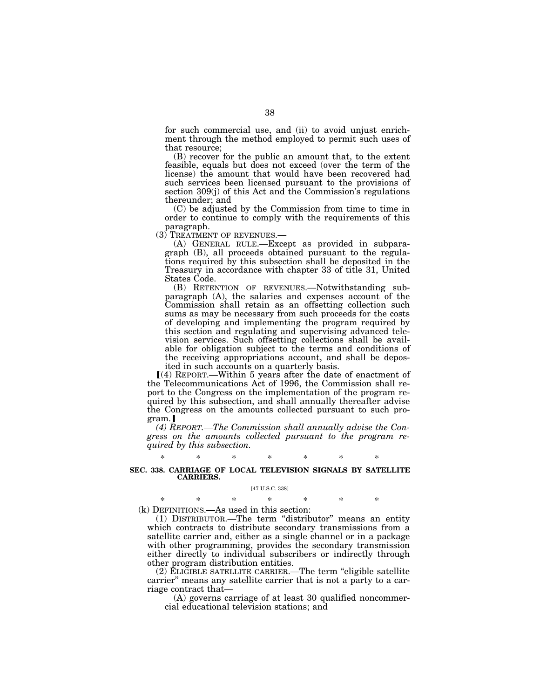for such commercial use, and (ii) to avoid unjust enrichment through the method employed to permit such uses of that resource;

(B) recover for the public an amount that, to the extent feasible, equals but does not exceed (over the term of the license) the amount that would have been recovered had such services been licensed pursuant to the provisions of section 309(j) of this Act and the Commission's regulations thereunder; and

(C) be adjusted by the Commission from time to time in order to continue to comply with the requirements of this paragraph.<br>(3) TREATMENT OF REVENUES.

 $(A)$  GENERAL RULE.—Except as provided in subparagraph (B), all proceeds obtained pursuant to the regulations required by this subsection shall be deposited in the Treasury in accordance with chapter 33 of title 31, United States Code.

(B) RETENTION OF REVENUES.—Notwithstanding subparagraph (A), the salaries and expenses account of the Commission shall retain as an offsetting collection such sums as may be necessary from such proceeds for the costs of developing and implementing the program required by this section and regulating and supervising advanced television services. Such offsetting collections shall be available for obligation subject to the terms and conditions of the receiving appropriations account, and shall be deposited in such accounts on a quarterly basis.

 $(4)$  REPORT.—Within 5 years after the date of enactment of the Telecommunications Act of 1996, the Commission shall report to the Congress on the implementation of the program required by this subsection, and shall annually thereafter advise the Congress on the amounts collected pursuant to such program.

*(4) REPORT.—The Commission shall annually advise the Congress on the amounts collected pursuant to the program required by this subsection.* 

\* \* \* \* \* \* \*

### **SEC. 338. CARRIAGE OF LOCAL TELEVISION SIGNALS BY SATELLITE CARRIERS.**

#### [47 U.S.C. 338]

\* \* \* \* \* \* \* (k) DEFINITIONS.—As used in this section:

(1) DISTRIBUTOR.—The term ''distributor'' means an entity which contracts to distribute secondary transmissions from a satellite carrier and, either as a single channel or in a package with other programming, provides the secondary transmission either directly to individual subscribers or indirectly through other program distribution entities.

(2) ELIGIBLE SATELLITE CARRIER.—The term ''eligible satellite carrier'' means any satellite carrier that is not a party to a carriage contract that—

(A) governs carriage of at least 30 qualified noncommercial educational television stations; and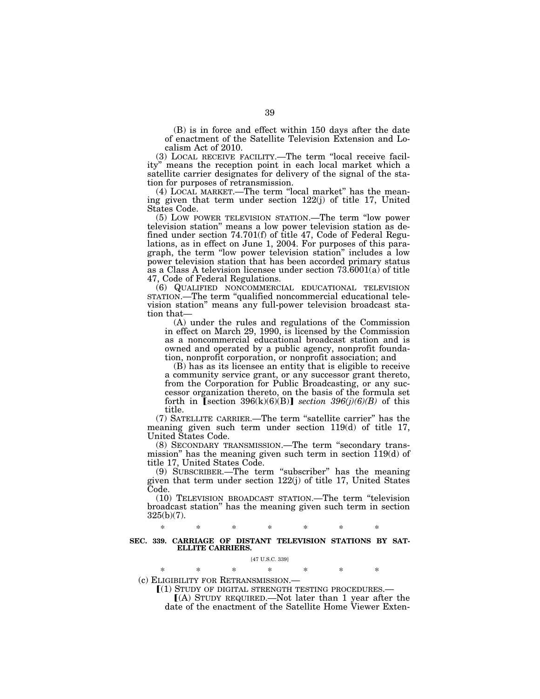(B) is in force and effect within 150 days after the date of enactment of the Satellite Television Extension and Localism Act of 2010.

(3) LOCAL RECEIVE FACILITY.—The term ''local receive facility'' means the reception point in each local market which a satellite carrier designates for delivery of the signal of the station for purposes of retransmission.

(4) LOCAL MARKET.—The term ''local market'' has the meaning given that term under section 122(j) of title 17, United States Code.

(5) LOW POWER TELEVISION STATION.—The term ''low power television station'' means a low power television station as defined under section 74.701(f) of title 47, Code of Federal Regulations, as in effect on June 1, 2004. For purposes of this paragraph, the term ''low power television station'' includes a low power television station that has been accorded primary status as a Class A television licensee under section 73.6001(a) of title 47, Code of Federal Regulations.

(6) QUALIFIED NONCOMMERCIAL EDUCATIONAL TELEVISION STATION.—The term ''qualified noncommercial educational television station'' means any full-power television broadcast station that—

(A) under the rules and regulations of the Commission in effect on March 29, 1990, is licensed by the Commission as a noncommercial educational broadcast station and is owned and operated by a public agency, nonprofit foundation, nonprofit corporation, or nonprofit association; and

(B) has as its licensee an entity that is eligible to receive a community service grant, or any successor grant thereto, from the Corporation for Public Broadcasting, or any successor organization thereto, on the basis of the formula set forth in [section 396(k)(6)(B)] *section 396(j)(6)(B)* of this title.

(7) SATELLITE CARRIER.—The term ''satellite carrier'' has the meaning given such term under section 119(d) of title 17, United States Code.

(8) SECONDARY TRANSMISSION.—The term ''secondary transmission'' has the meaning given such term in section 119(d) of title 17, United States Code.

(9) SUBSCRIBER.—The term ''subscriber'' has the meaning given that term under section 122(j) of title 17, United States Code.

(10) TELEVISION BROADCAST STATION.—The term ''television broadcast station'' has the meaning given such term in section 325(b)(7).

\* \* \* \* \* \* \*

**SEC. 339. CARRIAGE OF DISTANT TELEVISION STATIONS BY SAT-ELLITE CARRIERS.** 

[47 U.S.C. 339]

\* \* \* \* \* \* \*

(c) ELIGIBILITY FOR RETRANSMISSION.—<br>
[(1) STUDY OF DIGITAL STRENGTH TESTING PROCEDURES.—

 $(A)$  STUDY REQUIRED.—Not later than 1 year after the date of the enactment of the Satellite Home Viewer Exten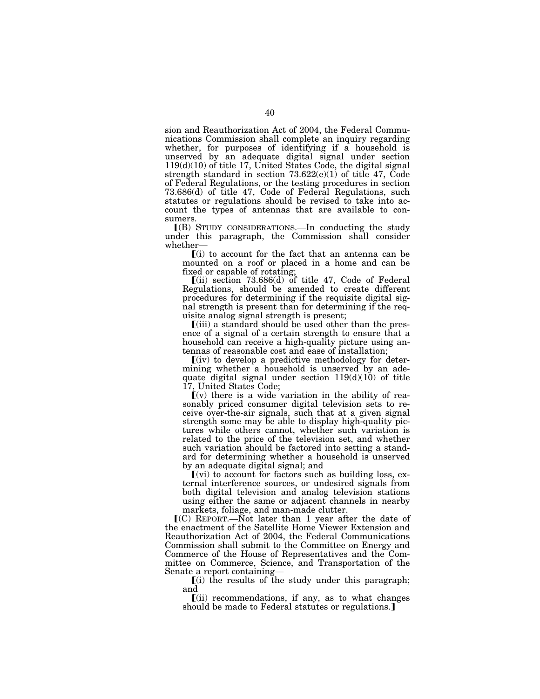sion and Reauthorization Act of 2004, the Federal Communications Commission shall complete an inquiry regarding whether, for purposes of identifying if a household is unserved by an adequate digital signal under section  $119(d)(10)$  of title 17, United States Code, the digital signal strength standard in section  $73.622(e)(1)$  of title 47, Code of Federal Regulations, or the testing procedures in section 73.686(d) of title 47, Code of Federal Regulations, such statutes or regulations should be revised to take into account the types of antennas that are available to consumers.

ø(B) STUDY CONSIDERATIONS.—In conducting the study under this paragraph, the Commission shall consider whether—

 $\mathbf{I}$ (i) to account for the fact that an antenna can be mounted on a roof or placed in a home and can be fixed or capable of rotating;

 $(iii)$  section 73.686(d) of title 47, Code of Federal Regulations, should be amended to create different procedures for determining if the requisite digital signal strength is present than for determining if the requisite analog signal strength is present;

ø(iii) a standard should be used other than the presence of a signal of a certain strength to ensure that a household can receive a high-quality picture using antennas of reasonable cost and ease of installation;

 $\left[$ (iv) to develop a predictive methodology for determining whether a household is unserved by an adequate digital signal under section  $119(d)(10)$  of title 17, United States Code;

 $\left[ \n\left( v \right)$  there is a wide variation in the ability of reasonably priced consumer digital television sets to receive over-the-air signals, such that at a given signal strength some may be able to display high-quality pictures while others cannot, whether such variation is related to the price of the television set, and whether such variation should be factored into setting a standard for determining whether a household is unserved by an adequate digital signal; and

 $\left[$ (vi) to account for factors such as building loss, external interference sources, or undesired signals from both digital television and analog television stations using either the same or adjacent channels in nearby markets, foliage, and man-made clutter.

 $(C)$  REPORT.—Not later than 1 year after the date of the enactment of the Satellite Home Viewer Extension and Reauthorization Act of 2004, the Federal Communications Commission shall submit to the Committee on Energy and Commerce of the House of Representatives and the Committee on Commerce, Science, and Transportation of the Senate a report containing—

 $(i)$  the results of the study under this paragraph; and

 $\lceil$ (ii) recommendations, if any, as to what changes should be made to Federal statutes or regulations.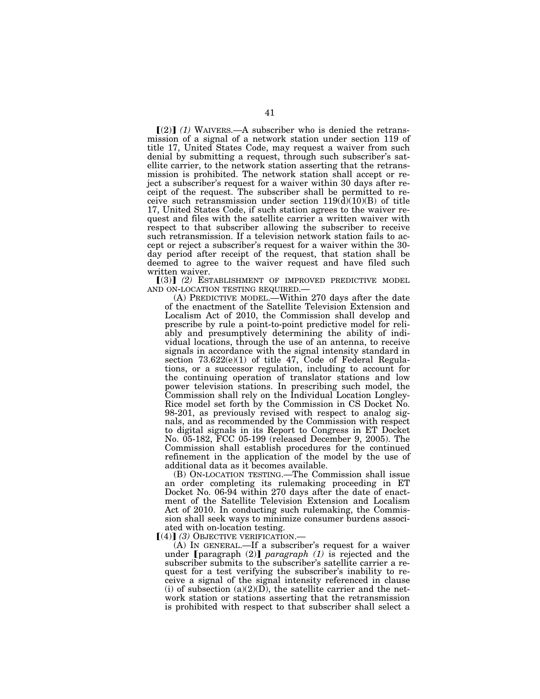$\lceil (2) \rceil$  (1) WAIVERS.—A subscriber who is denied the retransmission of a signal of a network station under section 119 of title 17, United States Code, may request a waiver from such denial by submitting a request, through such subscriber's satellite carrier, to the network station asserting that the retransmission is prohibited. The network station shall accept or reject a subscriber's request for a waiver within 30 days after receipt of the request. The subscriber shall be permitted to receive such retransmission under section 119(d)(10)(B) of title 17, United States Code, if such station agrees to the waiver request and files with the satellite carrier a written waiver with respect to that subscriber allowing the subscriber to receive such retransmission. If a television network station fails to accept or reject a subscriber's request for a waiver within the 30 day period after receipt of the request, that station shall be deemed to agree to the waiver request and have filed such written waiver.

ø(3)¿ *(2)* ESTABLISHMENT OF IMPROVED PREDICTIVE MODEL AND ON-LOCATION TESTING REQUIRED.—

(A) PREDICTIVE MODEL.—Within 270 days after the date of the enactment of the Satellite Television Extension and Localism Act of 2010, the Commission shall develop and prescribe by rule a point-to-point predictive model for reliably and presumptively determining the ability of individual locations, through the use of an antenna, to receive signals in accordance with the signal intensity standard in section 73.622(e)(1) of title 47, Code of Federal Regulations, or a successor regulation, including to account for the continuing operation of translator stations and low power television stations. In prescribing such model, the Commission shall rely on the Individual Location Longley-Rice model set forth by the Commission in CS Docket No. 98-201, as previously revised with respect to analog signals, and as recommended by the Commission with respect to digital signals in its Report to Congress in ET Docket No. 05-182, FCC 05-199 (released December 9, 2005). The Commission shall establish procedures for the continued refinement in the application of the model by the use of additional data as it becomes available.

(B) ON-LOCATION TESTING.—The Commission shall issue an order completing its rulemaking proceeding in ET Docket No. 06-94 within 270 days after the date of enactment of the Satellite Television Extension and Localism Act of 2010. In conducting such rulemaking, the Commission shall seek ways to minimize consumer burdens associated with on-location testing.

 $[(4)]$  (3) OBJECTIVE VERIFICATION.—

(A) IN GENERAL.—If a subscriber's request for a waiver under [paragraph  $(2)$ ] *paragraph*  $(1)$  is rejected and the subscriber submits to the subscriber's satellite carrier a request for a test verifying the subscriber's inability to receive a signal of the signal intensity referenced in clause (i) of subsection  $(a)(2)(D)$ , the satellite carrier and the network station or stations asserting that the retransmission is prohibited with respect to that subscriber shall select a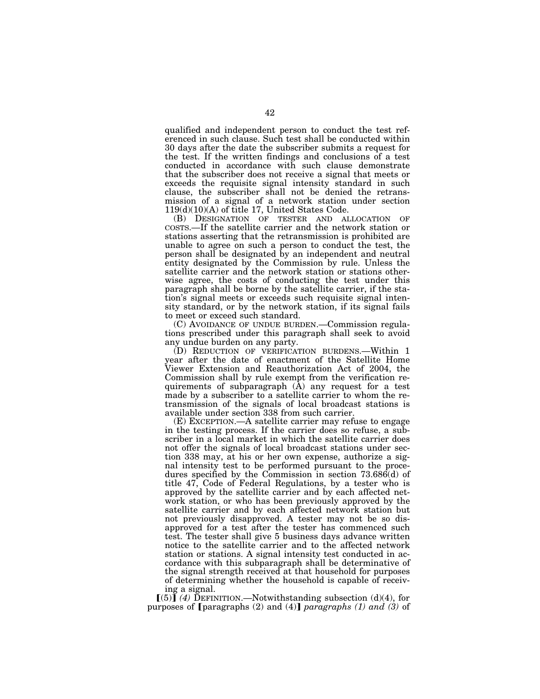qualified and independent person to conduct the test referenced in such clause. Such test shall be conducted within 30 days after the date the subscriber submits a request for the test. If the written findings and conclusions of a test conducted in accordance with such clause demonstrate that the subscriber does not receive a signal that meets or exceeds the requisite signal intensity standard in such clause, the subscriber shall not be denied the retransmission of a signal of a network station under section 119(d)(10)(A) of title 17, United States Code.

(B) DESIGNATION OF TESTER AND ALLOCATION OF COSTS.—If the satellite carrier and the network station or stations asserting that the retransmission is prohibited are unable to agree on such a person to conduct the test, the person shall be designated by an independent and neutral entity designated by the Commission by rule. Unless the satellite carrier and the network station or stations otherwise agree, the costs of conducting the test under this paragraph shall be borne by the satellite carrier, if the station's signal meets or exceeds such requisite signal intensity standard, or by the network station, if its signal fails to meet or exceed such standard.

(C) AVOIDANCE OF UNDUE BURDEN.—Commission regulations prescribed under this paragraph shall seek to avoid any undue burden on any party.

(D) REDUCTION OF VERIFICATION BURDENS.—Within 1 year after the date of enactment of the Satellite Home Viewer Extension and Reauthorization Act of 2004, the Commission shall by rule exempt from the verification requirements of subparagraph (A) any request for a test made by a subscriber to a satellite carrier to whom the retransmission of the signals of local broadcast stations is available under section 338 from such carrier.

(E) EXCEPTION.—A satellite carrier may refuse to engage in the testing process. If the carrier does so refuse, a subscriber in a local market in which the satellite carrier does not offer the signals of local broadcast stations under section 338 may, at his or her own expense, authorize a signal intensity test to be performed pursuant to the procedures specified by the Commission in section 73.686(d) of title 47, Code of Federal Regulations, by a tester who is approved by the satellite carrier and by each affected network station, or who has been previously approved by the satellite carrier and by each affected network station but not previously disapproved. A tester may not be so disapproved for a test after the tester has commenced such test. The tester shall give 5 business days advance written notice to the satellite carrier and to the affected network station or stations. A signal intensity test conducted in accordance with this subparagraph shall be determinative of the signal strength received at that household for purposes of determining whether the household is capable of receiving a signal.

 $\lceil (5) \rceil$  (4) DEFINITION.—Notwithstanding subsection (d)(4), for purposes of [paragraphs  $(2)$  and  $(4)$ ] *paragraphs (1) and (3)* of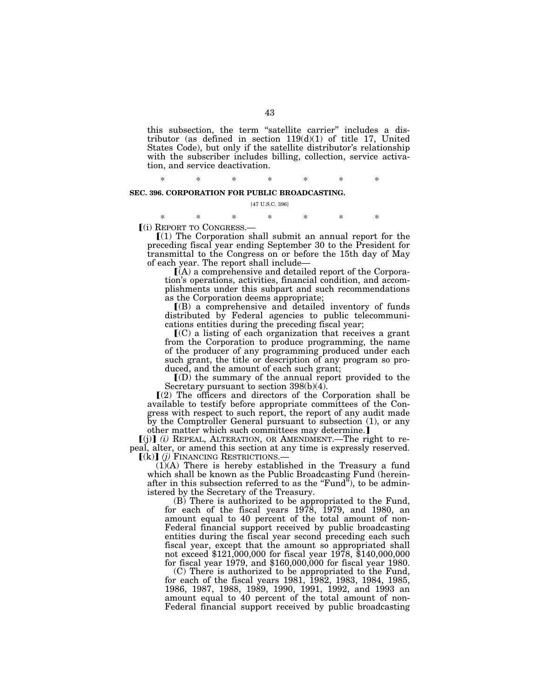this subsection, the term "satellite carrier" includes a distributor (as defined in section 119(d)(1) of title 17, United States Code), but only if the satellite distributor's relationship with the subscriber includes billing, collection, service activation, and service deactivation.

\* \* \* \* \* \* \*

# **SEC. 396. CORPORATION FOR PUBLIC BROADCASTING.**

### [47 U.S.C. 396]

\* \* \* \* \* \* \*

 $(i)$  REPORT TO CONGRESS.—<br> $(i)$  The Corporation shall submit an annual report for the preceding fiscal year ending September 30 to the President for transmittal to the Congress on or before the 15th day of May of each year. The report shall include—

 $(A)$  a comprehensive and detailed report of the Corporation's operations, activities, financial condition, and accomplishments under this subpart and such recommendations as the Corporation deems appropriate;

 $\Gamma(B)$  a comprehensive and detailed inventory of funds distributed by Federal agencies to public telecommunications entities during the preceding fiscal year;

 $(C)$  a listing of each organization that receives a grant from the Corporation to produce programming, the name of the producer of any programming produced under each such grant, the title or description of any program so produced, and the amount of each such grant;

 $I(D)$  the summary of the annual report provided to the Secretary pursuant to section 398(b)(4).

 $(2)$  The officers and directors of the Corporation shall be available to testify before appropriate committees of the Congress with respect to such report, the report of any audit made by the Comptroller General pursuant to subsection (1), or any other matter which such committees may determine.

 $\left[$ (j) $\right]$  (i) REPEAL, ALTERATION, OR AMENDMENT.—The right to repeal, alter, or amend this section at any time is expressly reserved.  $[(k)]$   $(j)$  FINANCING RESTRICTIONS.

(1)(A) There is hereby established in the Treasury a fund which shall be known as the Public Broadcasting Fund (hereinafter in this subsection referred to as the ''Fund''), to be administered by the Secretary of the Treasury.

(B) There is authorized to be appropriated to the Fund, for each of the fiscal years 1978, 1979, and 1980, an amount equal to 40 percent of the total amount of non-Federal financial support received by public broadcasting entities during the fiscal year second preceding each such fiscal year, except that the amount so appropriated shall not exceed \$121,000,000 for fiscal year 1978, \$140,000,000 for fiscal year 1979, and \$160,000,000 for fiscal year 1980.

(C) There is authorized to be appropriated to the Fund, for each of the fiscal years 1981, 1982, 1983, 1984, 1985, 1986, 1987, 1988, 1989, 1990, 1991, 1992, and 1993 an amount equal to 40 percent of the total amount of non-Federal financial support received by public broadcasting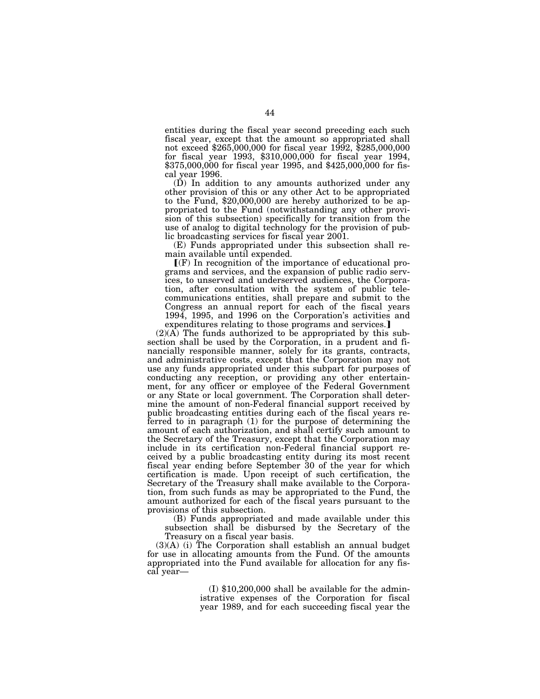entities during the fiscal year second preceding each such fiscal year, except that the amount so appropriated shall not exceed \$265,000,000 for fiscal year 1992, \$285,000,000 for fiscal year 1993, \$310,000,000 for fiscal year 1994, \$375,000,000 for fiscal year 1995, and \$425,000,000 for fiscal year 1996.

(D) In addition to any amounts authorized under any other provision of this or any other Act to be appropriated to the Fund, \$20,000,000 are hereby authorized to be appropriated to the Fund (notwithstanding any other provision of this subsection) specifically for transition from the use of analog to digital technology for the provision of public broadcasting services for fiscal year 2001.

(E) Funds appropriated under this subsection shall remain available until expended.

 $\Gamma(F)$  In recognition of the importance of educational programs and services, and the expansion of public radio services, to unserved and underserved audiences, the Corporation, after consultation with the system of public telecommunications entities, shall prepare and submit to the Congress an annual report for each of the fiscal years 1994, 1995, and 1996 on the Corporation's activities and expenditures relating to those programs and services.]

 $(2)(\overrightarrow{A})$  The funds authorized to be appropriated by this subsection shall be used by the Corporation, in a prudent and financially responsible manner, solely for its grants, contracts, and administrative costs, except that the Corporation may not use any funds appropriated under this subpart for purposes of conducting any reception, or providing any other entertainment, for any officer or employee of the Federal Government or any State or local government. The Corporation shall determine the amount of non-Federal financial support received by public broadcasting entities during each of the fiscal years referred to in paragraph (1) for the purpose of determining the amount of each authorization, and shall certify such amount to the Secretary of the Treasury, except that the Corporation may include in its certification non-Federal financial support received by a public broadcasting entity during its most recent fiscal year ending before September 30 of the year for which certification is made. Upon receipt of such certification, the Secretary of the Treasury shall make available to the Corporation, from such funds as may be appropriated to the Fund, the amount authorized for each of the fiscal years pursuant to the provisions of this subsection.

(B) Funds appropriated and made available under this subsection shall be disbursed by the Secretary of the Treasury on a fiscal year basis.

(3)(A) (i) The Corporation shall establish an annual budget for use in allocating amounts from the Fund. Of the amounts appropriated into the Fund available for allocation for any fiscal year—

> (I) \$10,200,000 shall be available for the administrative expenses of the Corporation for fiscal year 1989, and for each succeeding fiscal year the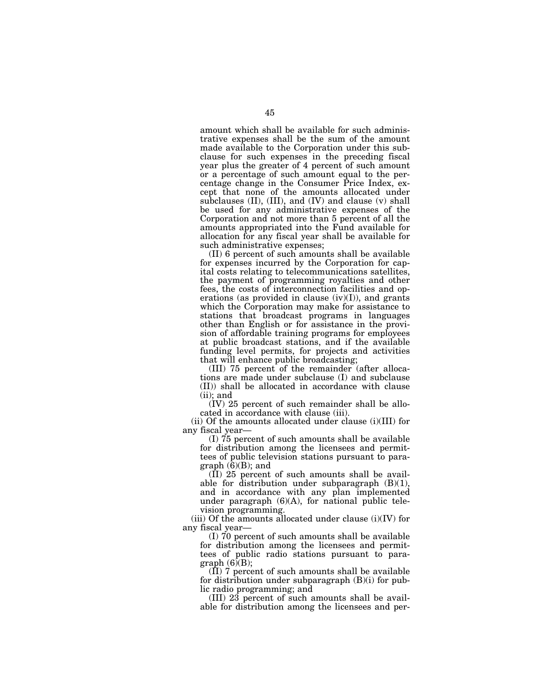amount which shall be available for such administrative expenses shall be the sum of the amount made available to the Corporation under this subclause for such expenses in the preceding fiscal year plus the greater of 4 percent of such amount or a percentage of such amount equal to the percentage change in the Consumer Price Index, except that none of the amounts allocated under subclauses (II), (III), and (IV) and clause (v) shall be used for any administrative expenses of the Corporation and not more than 5 percent of all the amounts appropriated into the Fund available for allocation for any fiscal year shall be available for such administrative expenses;

(II) 6 percent of such amounts shall be available for expenses incurred by the Corporation for capital costs relating to telecommunications satellites, the payment of programming royalties and other fees, the costs of interconnection facilities and operations (as provided in clause  $(iv)(I)$ ), and grants which the Corporation may make for assistance to stations that broadcast programs in languages other than English or for assistance in the provision of affordable training programs for employees at public broadcast stations, and if the available funding level permits, for projects and activities that will enhance public broadcasting;

(III) 75 percent of the remainder (after allocations are made under subclause (I) and subclause (II)) shall be allocated in accordance with clause (ii); and

(IV) 25 percent of such remainder shall be allocated in accordance with clause (iii).

(ii) Of the amounts allocated under clause (i)(III) for any fiscal year—

(I) 75 percent of such amounts shall be available for distribution among the licensees and permittees of public television stations pursuant to paragraph  $(\bar{6})(B)$ ; and

 $(II)$  25 percent of such amounts shall be available for distribution under subparagraph (B)(1), and in accordance with any plan implemented under paragraph  $(6)(A)$ , for national public television programming.

(iii) Of the amounts allocated under clause  $(i)(IV)$  for any fiscal year—

(I) 70 percent of such amounts shall be available for distribution among the licensees and permittees of public radio stations pursuant to paragraph  $(6)(B)$ ;

 $(\overline{II})$  7 percent of such amounts shall be available for distribution under subparagraph (B)(i) for public radio programming; and

(III) 23 percent of such amounts shall be available for distribution among the licensees and per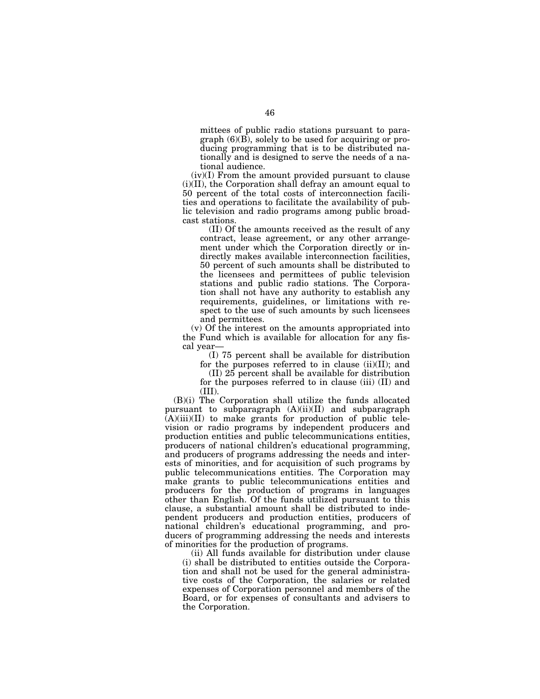mittees of public radio stations pursuant to paragraph (6)(B), solely to be used for acquiring or producing programming that is to be distributed nationally and is designed to serve the needs of a national audience.

(iv)(I) From the amount provided pursuant to clause (i)(II), the Corporation shall defray an amount equal to 50 percent of the total costs of interconnection facilities and operations to facilitate the availability of public television and radio programs among public broadcast stations.

(II) Of the amounts received as the result of any contract, lease agreement, or any other arrangement under which the Corporation directly or indirectly makes available interconnection facilities, 50 percent of such amounts shall be distributed to the licensees and permittees of public television stations and public radio stations. The Corporation shall not have any authority to establish any requirements, guidelines, or limitations with respect to the use of such amounts by such licensees and permittees.

(v) Of the interest on the amounts appropriated into the Fund which is available for allocation for any fiscal year—

(I) 75 percent shall be available for distribution

for the purposes referred to in clause (ii)(II); and (II) 25 percent shall be available for distribution

for the purposes referred to in clause (iii) (II) and (III).

(B)(i) The Corporation shall utilize the funds allocated pursuant to subparagraph  $(A)(ii)(II)$  and subparagraph  $\tilde{A}$ (iii)(II) to make grants for production of public television or radio programs by independent producers and production entities and public telecommunications entities, producers of national children's educational programming, and producers of programs addressing the needs and interests of minorities, and for acquisition of such programs by public telecommunications entities. The Corporation may make grants to public telecommunications entities and producers for the production of programs in languages other than English. Of the funds utilized pursuant to this clause, a substantial amount shall be distributed to independent producers and production entities, producers of national children's educational programming, and producers of programming addressing the needs and interests of minorities for the production of programs.

(ii) All funds available for distribution under clause (i) shall be distributed to entities outside the Corporation and shall not be used for the general administrative costs of the Corporation, the salaries or related expenses of Corporation personnel and members of the Board, or for expenses of consultants and advisers to the Corporation.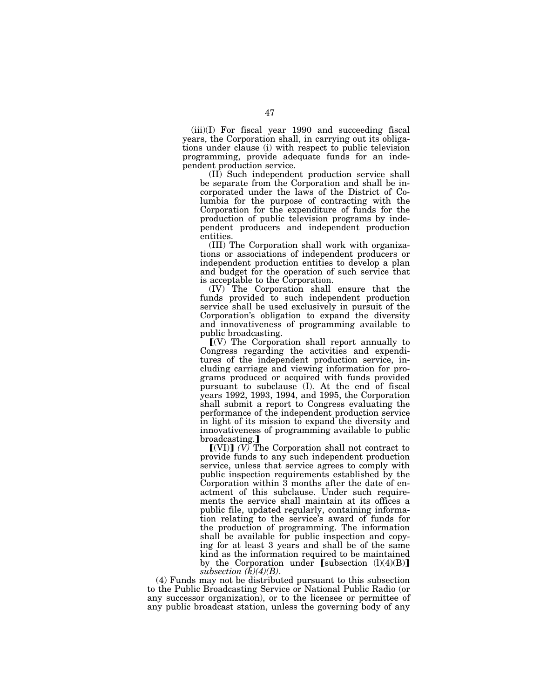(iii)(I) For fiscal year 1990 and succeeding fiscal years, the Corporation shall, in carrying out its obligations under clause (i) with respect to public television programming, provide adequate funds for an independent production service.

(II) Such independent production service shall be separate from the Corporation and shall be incorporated under the laws of the District of Columbia for the purpose of contracting with the Corporation for the expenditure of funds for the production of public television programs by independent producers and independent production entities.

(III) The Corporation shall work with organizations or associations of independent producers or independent production entities to develop a plan and budget for the operation of such service that is acceptable to the Corporation.

(IV) The Corporation shall ensure that the funds provided to such independent production service shall be used exclusively in pursuit of the Corporation's obligation to expand the diversity and innovativeness of programming available to public broadcasting.

 $\left\lceil (V) \right\rceil$  The Corporation shall report annually to Congress regarding the activities and expenditures of the independent production service, including carriage and viewing information for programs produced or acquired with funds provided pursuant to subclause (I). At the end of fiscal years 1992, 1993, 1994, and 1995, the Corporation shall submit a report to Congress evaluating the performance of the independent production service in light of its mission to expand the diversity and innovativeness of programming available to public broadcasting.

 $[(VI)]$   $(V)$  The Corporation shall not contract to provide funds to any such independent production service, unless that service agrees to comply with public inspection requirements established by the Corporation within 3 months after the date of enactment of this subclause. Under such requirements the service shall maintain at its offices a public file, updated regularly, containing information relating to the service's award of funds for the production of programming. The information shall be available for public inspection and copying for at least 3 years and shall be of the same kind as the information required to be maintained by the Corporation under  $[subsection (l)(4)(B)]$ subsection  $(\bar{k})(4)(B)$ .

(4) Funds may not be distributed pursuant to this subsection to the Public Broadcasting Service or National Public Radio (or any successor organization), or to the licensee or permittee of any public broadcast station, unless the governing body of any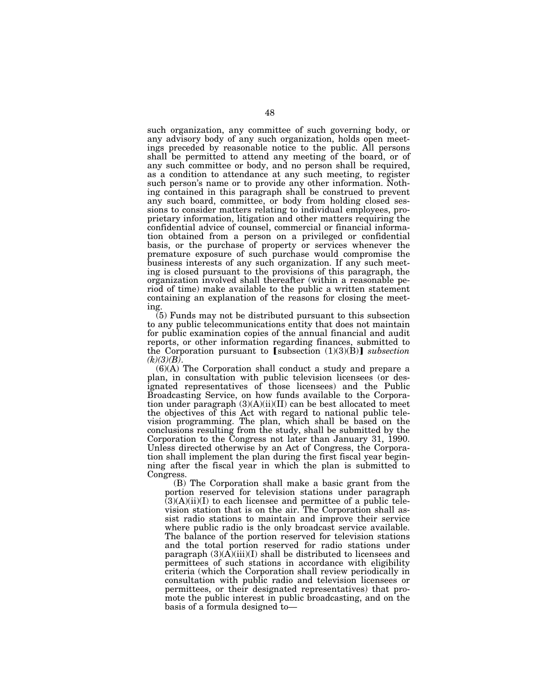such organization, any committee of such governing body, or any advisory body of any such organization, holds open meetings preceded by reasonable notice to the public. All persons shall be permitted to attend any meeting of the board, or of any such committee or body, and no person shall be required, as a condition to attendance at any such meeting, to register such person's name or to provide any other information. Nothing contained in this paragraph shall be construed to prevent any such board, committee, or body from holding closed sessions to consider matters relating to individual employees, proprietary information, litigation and other matters requiring the confidential advice of counsel, commercial or financial information obtained from a person on a privileged or confidential basis, or the purchase of property or services whenever the premature exposure of such purchase would compromise the business interests of any such organization. If any such meeting is closed pursuant to the provisions of this paragraph, the organization involved shall thereafter (within a reasonable period of time) make available to the public a written statement containing an explanation of the reasons for closing the meeting.

(5) Funds may not be distributed pursuant to this subsection to any public telecommunications entity that does not maintain for public examination copies of the annual financial and audit reports, or other information regarding finances, submitted to the Corporation pursuant to [subsection  $(1)(3)(B)$ ] *subsection*  $(k)(3)(B)$ .

*(k)(3)(B)*. (6)(A) The Corporation shall conduct a study and prepare a plan, in consultation with public television licensees (or designated representatives of those licensees) and the Public Broadcasting Service, on how funds available to the Corporation under paragraph  $(3)(A)(ii)(II)$  can be best allocated to meet the objectives of this Act with regard to national public television programming. The plan, which shall be based on the conclusions resulting from the study, shall be submitted by the Corporation to the Congress not later than January 31, 1990. Unless directed otherwise by an Act of Congress, the Corporation shall implement the plan during the first fiscal year beginning after the fiscal year in which the plan is submitted to Congress.

(B) The Corporation shall make a basic grant from the portion reserved for television stations under paragraph  $(3)(A)(ii)(I)$  to each licensee and permittee of a public television station that is on the air. The Corporation shall assist radio stations to maintain and improve their service where public radio is the only broadcast service available. The balance of the portion reserved for television stations and the total portion reserved for radio stations under paragraph  $(3)(\overrightarrow{A})(iii)(I)$  shall be distributed to licensees and permittees of such stations in accordance with eligibility criteria (which the Corporation shall review periodically in consultation with public radio and television licensees or permittees, or their designated representatives) that promote the public interest in public broadcasting, and on the basis of a formula designed to—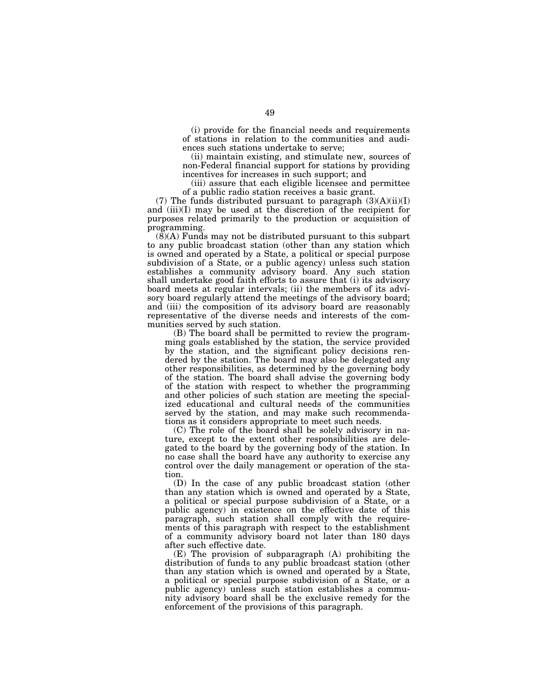(i) provide for the financial needs and requirements of stations in relation to the communities and audiences such stations undertake to serve;

(ii) maintain existing, and stimulate new, sources of non-Federal financial support for stations by providing incentives for increases in such support; and

(iii) assure that each eligible licensee and permittee of a public radio station receives a basic grant.

(7) The funds distributed pursuant to paragraph  $(3)(A)(ii)(I)$ and (iii)(I) may be used at the discretion of the recipient for purposes related primarily to the production or acquisition of programming.

 $(\overline{8})(A)$  Funds may not be distributed pursuant to this subpart to any public broadcast station (other than any station which is owned and operated by a State, a political or special purpose subdivision of a State, or a public agency) unless such station establishes a community advisory board. Any such station shall undertake good faith efforts to assure that (i) its advisory board meets at regular intervals; (ii) the members of its advisory board regularly attend the meetings of the advisory board; and (iii) the composition of its advisory board are reasonably representative of the diverse needs and interests of the communities served by such station.

(B) The board shall be permitted to review the programming goals established by the station, the service provided by the station, and the significant policy decisions rendered by the station. The board may also be delegated any other responsibilities, as determined by the governing body of the station. The board shall advise the governing body of the station with respect to whether the programming and other policies of such station are meeting the specialized educational and cultural needs of the communities served by the station, and may make such recommendations as it considers appropriate to meet such needs.

(C) The role of the board shall be solely advisory in nature, except to the extent other responsibilities are delegated to the board by the governing body of the station. In no case shall the board have any authority to exercise any control over the daily management or operation of the station.

(D) In the case of any public broadcast station (other than any station which is owned and operated by a State, a political or special purpose subdivision of a State, or a public agency) in existence on the effective date of this paragraph, such station shall comply with the requirements of this paragraph with respect to the establishment of a community advisory board not later than 180 days after such effective date.

(E) The provision of subparagraph (A) prohibiting the distribution of funds to any public broadcast station (other than any station which is owned and operated by a State, a political or special purpose subdivision of a State, or a public agency) unless such station establishes a community advisory board shall be the exclusive remedy for the enforcement of the provisions of this paragraph.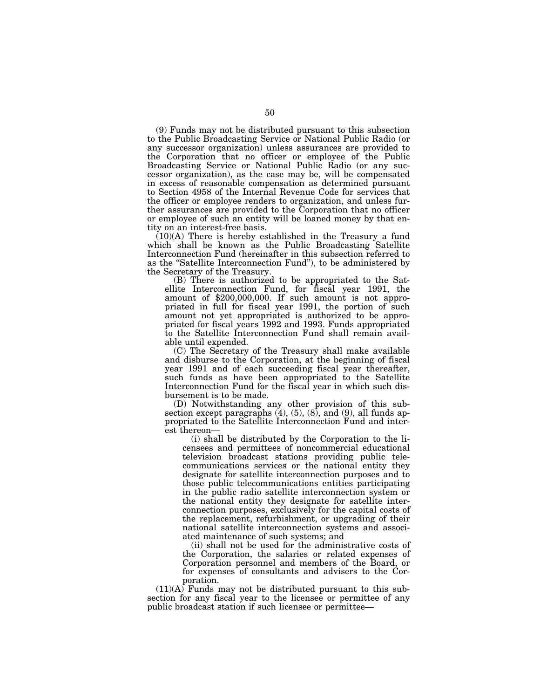(9) Funds may not be distributed pursuant to this subsection to the Public Broadcasting Service or National Public Radio (or any successor organization) unless assurances are provided to the Corporation that no officer or employee of the Public Broadcasting Service or National Public Radio (or any successor organization), as the case may be, will be compensated in excess of reasonable compensation as determined pursuant to Section 4958 of the Internal Revenue Code for services that the officer or employee renders to organization, and unless further assurances are provided to the Corporation that no officer or employee of such an entity will be loaned money by that entity on an interest-free basis.

 $(10)(A)$  There is hereby established in the Treasury a fund which shall be known as the Public Broadcasting Satellite Interconnection Fund (hereinafter in this subsection referred to as the ''Satellite Interconnection Fund''), to be administered by the Secretary of the Treasury.

(B) There is authorized to be appropriated to the Satellite Interconnection Fund, for fiscal year 1991, the amount of \$200,000,000. If such amount is not appropriated in full for fiscal year 1991, the portion of such amount not yet appropriated is authorized to be appropriated for fiscal years 1992 and 1993. Funds appropriated to the Satellite Interconnection Fund shall remain available until expended.

(C) The Secretary of the Treasury shall make available and disburse to the Corporation, at the beginning of fiscal year 1991 and of each succeeding fiscal year thereafter, such funds as have been appropriated to the Satellite Interconnection Fund for the fiscal year in which such disbursement is to be made.

(D) Notwithstanding any other provision of this subsection except paragraphs  $(4)$ ,  $(5)$ ,  $(8)$ , and  $(9)$ , all funds appropriated to the Satellite Interconnection Fund and interest thereon—

(i) shall be distributed by the Corporation to the licensees and permittees of noncommercial educational television broadcast stations providing public telecommunications services or the national entity they designate for satellite interconnection purposes and to those public telecommunications entities participating in the public radio satellite interconnection system or the national entity they designate for satellite interconnection purposes, exclusively for the capital costs of the replacement, refurbishment, or upgrading of their national satellite interconnection systems and associated maintenance of such systems; and

(ii) shall not be used for the administrative costs of the Corporation, the salaries or related expenses of Corporation personnel and members of the Board, or for expenses of consultants and advisers to the Corporation.

 $(11)(A)$  Funds may not be distributed pursuant to this subsection for any fiscal year to the licensee or permittee of any public broadcast station if such licensee or permittee—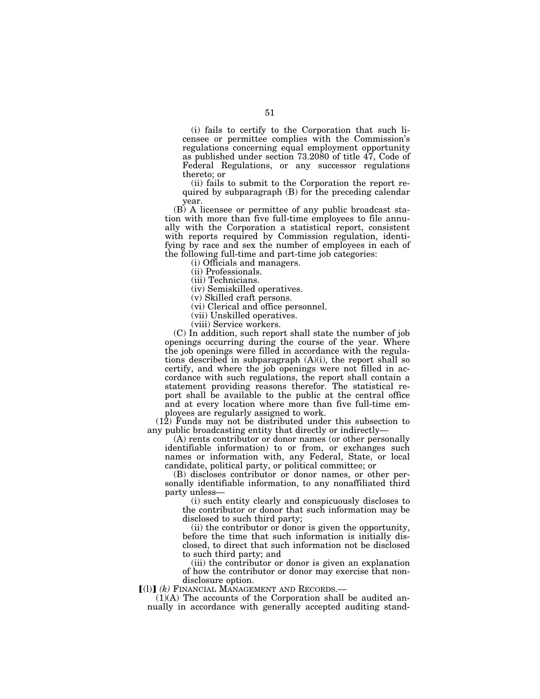(i) fails to certify to the Corporation that such licensee or permittee complies with the Commission's regulations concerning equal employment opportunity as published under section 73.2080 of title 47, Code of Federal Regulations, or any successor regulations thereto; or

(ii) fails to submit to the Corporation the report required by subparagraph (B) for the preceding calendar year.

(B) A licensee or permittee of any public broadcast station with more than five full-time employees to file annually with the Corporation a statistical report, consistent with reports required by Commission regulation, identifying by race and sex the number of employees in each of the following full-time and part-time job categories:

(i) Officials and managers.

(ii) Professionals.

(iii) Technicians.

(iv) Semiskilled operatives.

(v) Skilled craft persons.

(vi) Clerical and office personnel.

(vii) Unskilled operatives.

(viii) Service workers.

(C) In addition, such report shall state the number of job openings occurring during the course of the year. Where the job openings were filled in accordance with the regulations described in subparagraph (A)(i), the report shall so certify, and where the job openings were not filled in accordance with such regulations, the report shall contain a statement providing reasons therefor. The statistical report shall be available to the public at the central office and at every location where more than five full-time employees are regularly assigned to work.

 $(1\dot{2})$  Funds may not be distributed under this subsection to any public broadcasting entity that directly or indirectly—

(A) rents contributor or donor names (or other personally identifiable information) to or from, or exchanges such names or information with, any Federal, State, or local candidate, political party, or political committee; or

(B) discloses contributor or donor names, or other personally identifiable information, to any nonaffiliated third party unless—

(i) such entity clearly and conspicuously discloses to the contributor or donor that such information may be disclosed to such third party;

(ii) the contributor or donor is given the opportunity, before the time that such information is initially disclosed, to direct that such information not be disclosed to such third party; and

(iii) the contributor or donor is given an explanation of how the contributor or donor may exercise that nondisclosure option.

 $[(1)]$   $(k)$  FINANCIAL MANAGEMENT AND RECORDS.

 $(1)(A)$  The accounts of the Corporation shall be audited annually in accordance with generally accepted auditing stand-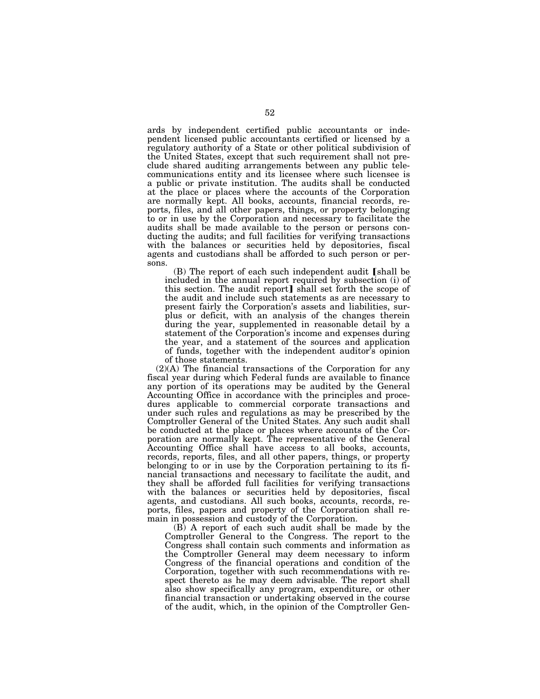ards by independent certified public accountants or independent licensed public accountants certified or licensed by a regulatory authority of a State or other political subdivision of the United States, except that such requirement shall not preclude shared auditing arrangements between any public telecommunications entity and its licensee where such licensee is a public or private institution. The audits shall be conducted at the place or places where the accounts of the Corporation are normally kept. All books, accounts, financial records, reports, files, and all other papers, things, or property belonging to or in use by the Corporation and necessary to facilitate the audits shall be made available to the person or persons conducting the audits; and full facilities for verifying transactions with the balances or securities held by depositories, fiscal agents and custodians shall be afforded to such person or persons.

 $(B)$  The report of each such independent audit [shall be included in the annual report required by subsection (i) of this section. The audit report] shall set forth the scope of the audit and include such statements as are necessary to present fairly the Corporation's assets and liabilities, surplus or deficit, with an analysis of the changes therein during the year, supplemented in reasonable detail by a statement of the Corporation's income and expenses during the year, and a statement of the sources and application of funds, together with the independent auditor's opinion of those statements.

(2)(A) The financial transactions of the Corporation for any fiscal year during which Federal funds are available to finance any portion of its operations may be audited by the General Accounting Office in accordance with the principles and procedures applicable to commercial corporate transactions and under such rules and regulations as may be prescribed by the Comptroller General of the United States. Any such audit shall be conducted at the place or places where accounts of the Corporation are normally kept. The representative of the General Accounting Office shall have access to all books, accounts, records, reports, files, and all other papers, things, or property belonging to or in use by the Corporation pertaining to its financial transactions and necessary to facilitate the audit, and they shall be afforded full facilities for verifying transactions with the balances or securities held by depositories, fiscal agents, and custodians. All such books, accounts, records, reports, files, papers and property of the Corporation shall remain in possession and custody of the Corporation.

(B) A report of each such audit shall be made by the Comptroller General to the Congress. The report to the Congress shall contain such comments and information as the Comptroller General may deem necessary to inform Congress of the financial operations and condition of the Corporation, together with such recommendations with respect thereto as he may deem advisable. The report shall also show specifically any program, expenditure, or other financial transaction or undertaking observed in the course of the audit, which, in the opinion of the Comptroller Gen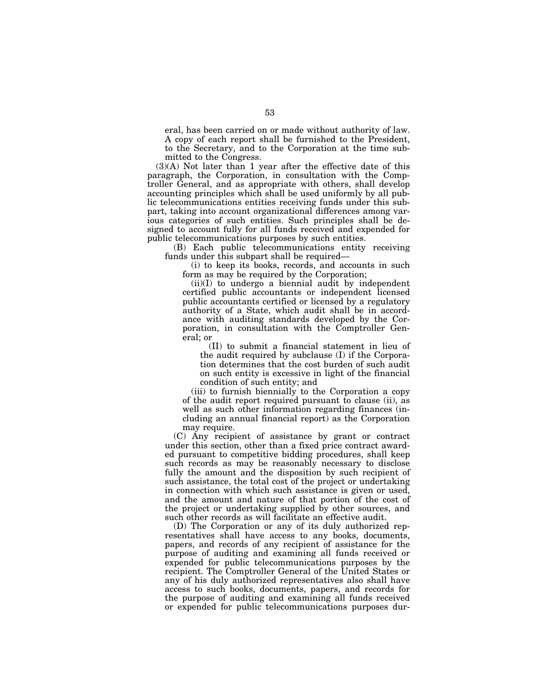eral, has been carried on or made without authority of law. A copy of each report shall be furnished to the President, to the Secretary, and to the Corporation at the time submitted to the Congress.

(3)(A) Not later than 1 year after the effective date of this paragraph, the Corporation, in consultation with the Comptroller General, and as appropriate with others, shall develop accounting principles which shall be used uniformly by all public telecommunications entities receiving funds under this subpart, taking into account organizational differences among various categories of such entities. Such principles shall be designed to account fully for all funds received and expended for public telecommunications purposes by such entities.

(B) Each public telecommunications entity receiving funds under this subpart shall be required—

(i) to keep its books, records, and accounts in such form as may be required by the Corporation;

 $(ii)(I)$  to undergo a biennial audit by independent certified public accountants or independent licensed public accountants certified or licensed by a regulatory authority of a State, which audit shall be in accordance with auditing standards developed by the Corporation, in consultation with the Comptroller General; or

(II) to submit a financial statement in lieu of the audit required by subclause (I) if the Corporation determines that the cost burden of such audit on such entity is excessive in light of the financial condition of such entity; and

(iii) to furnish biennially to the Corporation a copy of the audit report required pursuant to clause (ii), as well as such other information regarding finances (including an annual financial report) as the Corporation may require.

(C) Any recipient of assistance by grant or contract under this section, other than a fixed price contract awarded pursuant to competitive bidding procedures, shall keep such records as may be reasonably necessary to disclose fully the amount and the disposition by such recipient of such assistance, the total cost of the project or undertaking in connection with which such assistance is given or used, and the amount and nature of that portion of the cost of the project or undertaking supplied by other sources, and such other records as will facilitate an effective audit.

(D) The Corporation or any of its duly authorized representatives shall have access to any books, documents, papers, and records of any recipient of assistance for the purpose of auditing and examining all funds received or expended for public telecommunications purposes by the recipient. The Comptroller General of the United States or any of his duly authorized representatives also shall have access to such books, documents, papers, and records for the purpose of auditing and examining all funds received or expended for public telecommunications purposes dur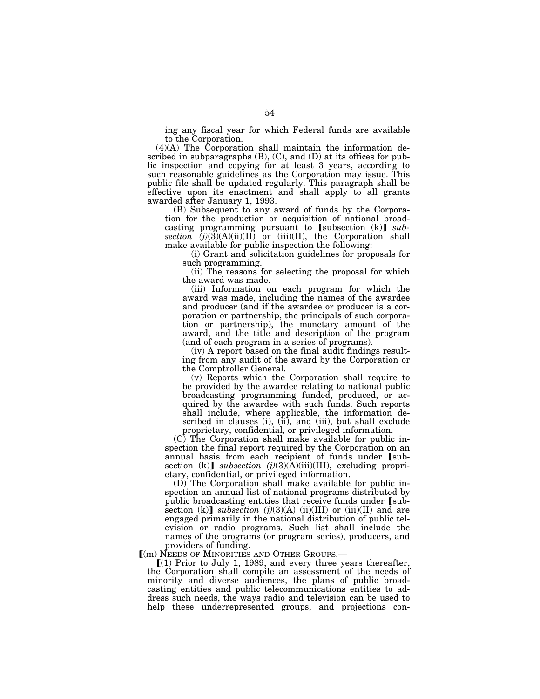ing any fiscal year for which Federal funds are available to the Corporation.

(4)(A) The Corporation shall maintain the information described in subparagraphs  $(B)$ ,  $(C)$ , and  $(D)$  at its offices for public inspection and copying for at least 3 years, according to such reasonable guidelines as the Corporation may issue. This public file shall be updated regularly. This paragraph shall be effective upon its enactment and shall apply to all grants awarded after January 1, 1993.

(B) Subsequent to any award of funds by the Corporation for the production or acquisition of national broadcasting programming pursuant to [subsection (k)] subsection  $(j)(3)(A)(ii)(II)$  or (iii)(II), the Corporation shall make available for public inspection the following:

(i) Grant and solicitation guidelines for proposals for such programming.

(ii) The reasons for selecting the proposal for which the award was made.

(iii) Information on each program for which the award was made, including the names of the awardee and producer (and if the awardee or producer is a corporation or partnership, the principals of such corporation or partnership), the monetary amount of the award, and the title and description of the program (and of each program in a series of programs).

(iv) A report based on the final audit findings resulting from any audit of the award by the Corporation or the Comptroller General.

(v) Reports which the Corporation shall require to be provided by the awardee relating to national public broadcasting programming funded, produced, or acquired by the awardee with such funds. Such reports shall include, where applicable, the information described in clauses (i), (ii), and (iii), but shall exclude proprietary, confidential, or privileged information.

(C) The Corporation shall make available for public inspection the final report required by the Corporation on an annual basis from each recipient of funds under [subsection (k)] *subsection (j)*(3)(A)(iii)(III), excluding proprietary, confidential, or privileged information.

(D) The Corporation shall make available for public inspection an annual list of national programs distributed by public broadcasting entities that receive funds under [subsection (k)] *subsection* ( $j$ )(3)(A) (ii)(III) or (iii)(II) and are engaged primarily in the national distribution of public television or radio programs. Such list shall include the names of the programs (or program series), producers, and providers of funding.<br>
[(m) NEEDS OF MINORITIES AND OTHER GROUPS.

 $[(1)$  Prior to July 1, 1989, and every three years thereafter, the Corporation shall compile an assessment of the needs of minority and diverse audiences, the plans of public broadcasting entities and public telecommunications entities to address such needs, the ways radio and television can be used to help these underrepresented groups, and projections con-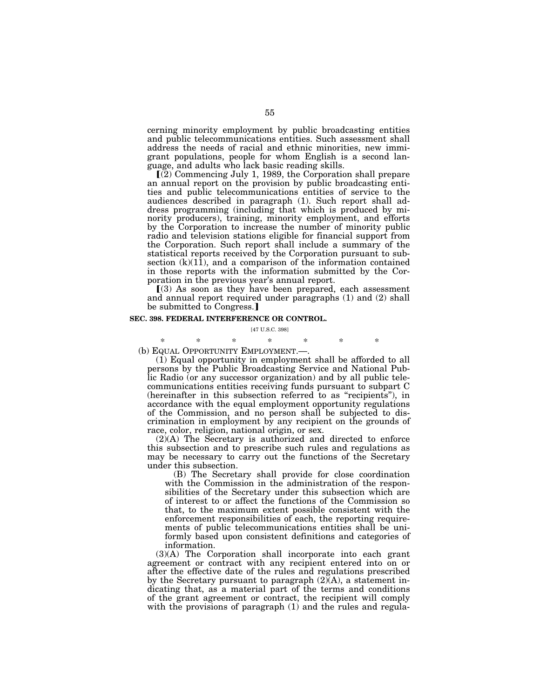cerning minority employment by public broadcasting entities and public telecommunications entities. Such assessment shall address the needs of racial and ethnic minorities, new immigrant populations, people for whom English is a second language, and adults who lack basic reading skills.

 $(2)$  Commencing July 1, 1989, the Corporation shall prepare an annual report on the provision by public broadcasting entities and public telecommunications entities of service to the audiences described in paragraph (1). Such report shall address programming (including that which is produced by minority producers), training, minority employment, and efforts by the Corporation to increase the number of minority public radio and television stations eligible for financial support from the Corporation. Such report shall include a summary of the statistical reports received by the Corporation pursuant to subsection  $(k)(11)$ , and a comparison of the information contained in those reports with the information submitted by the Corporation in the previous year's annual report.

 $(3)$  As soon as they have been prepared, each assessment and annual report required under paragraphs (1) and (2) shall be submitted to Congress.

### **SEC. 398. FEDERAL INTERFERENCE OR CONTROL.**

### [47 U.S.C. 398]

\* \* \* \* \* \* \*

(b) EQUAL OPPORTUNITY EMPLOYMENT.—. (1) Equal opportunity in employment shall be afforded to all persons by the Public Broadcasting Service and National Public Radio (or any successor organization) and by all public telecommunications entities receiving funds pursuant to subpart C (hereinafter in this subsection referred to as ''recipients''), in accordance with the equal employment opportunity regulations of the Commission, and no person shall be subjected to discrimination in employment by any recipient on the grounds of race, color, religion, national origin, or sex.

(2)(A) The Secretary is authorized and directed to enforce this subsection and to prescribe such rules and regulations as may be necessary to carry out the functions of the Secretary under this subsection.

(B) The Secretary shall provide for close coordination with the Commission in the administration of the responsibilities of the Secretary under this subsection which are of interest to or affect the functions of the Commission so that, to the maximum extent possible consistent with the enforcement responsibilities of each, the reporting requirements of public telecommunications entities shall be uniformly based upon consistent definitions and categories of information.

(3)(A) The Corporation shall incorporate into each grant agreement or contract with any recipient entered into on or after the effective date of the rules and regulations prescribed by the Secretary pursuant to paragraph  $(2)(A)$ , a statement indicating that, as a material part of the terms and conditions of the grant agreement or contract, the recipient will comply with the provisions of paragraph (1) and the rules and regula-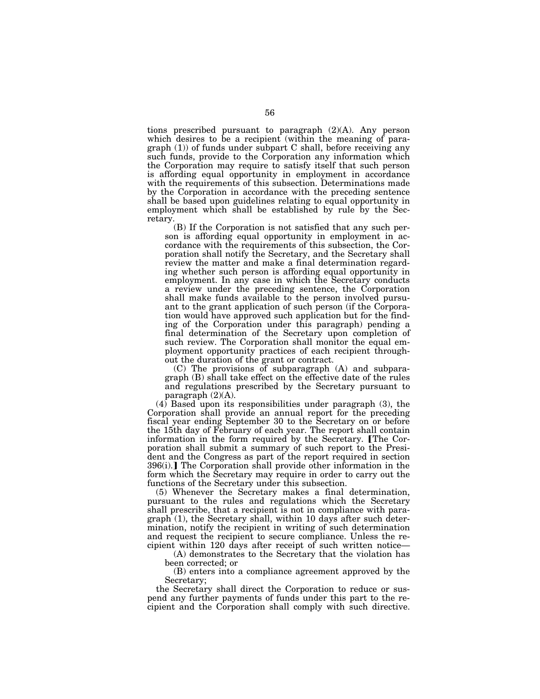tions prescribed pursuant to paragraph (2)(A). Any person which desires to be a recipient (within the meaning of paragraph (1)) of funds under subpart C shall, before receiving any such funds, provide to the Corporation any information which the Corporation may require to satisfy itself that such person is affording equal opportunity in employment in accordance with the requirements of this subsection. Determinations made by the Corporation in accordance with the preceding sentence shall be based upon guidelines relating to equal opportunity in employment which shall be established by rule by the Secretary.

(B) If the Corporation is not satisfied that any such person is affording equal opportunity in employment in accordance with the requirements of this subsection, the Corporation shall notify the Secretary, and the Secretary shall review the matter and make a final determination regarding whether such person is affording equal opportunity in employment. In any case in which the Secretary conducts a review under the preceding sentence, the Corporation shall make funds available to the person involved pursuant to the grant application of such person (if the Corporation would have approved such application but for the finding of the Corporation under this paragraph) pending a final determination of the Secretary upon completion of such review. The Corporation shall monitor the equal employment opportunity practices of each recipient throughout the duration of the grant or contract.

(C) The provisions of subparagraph (A) and subparagraph (B) shall take effect on the effective date of the rules and regulations prescribed by the Secretary pursuant to paragraph  $(2)(A)$ .

 $(4)$  Based upon its responsibilities under paragraph  $(3)$ , the Corporation shall provide an annual report for the preceding fiscal year ending September 30 to the Secretary on or before the 15th day of February of each year. The report shall contain information in the form required by the Secretary. The Corporation shall submit a summary of such report to the President and the Congress as part of the report required in section  $396(i)$ . The Corporation shall provide other information in the form which the Secretary may require in order to carry out the functions of the Secretary under this subsection.

(5) Whenever the Secretary makes a final determination, pursuant to the rules and regulations which the Secretary shall prescribe, that a recipient is not in compliance with paragraph (1), the Secretary shall, within 10 days after such determination, notify the recipient in writing of such determination and request the recipient to secure compliance. Unless the recipient within 120 days after receipt of such written notice—

(A) demonstrates to the Secretary that the violation has been corrected; or

(B) enters into a compliance agreement approved by the Secretary;

the Secretary shall direct the Corporation to reduce or suspend any further payments of funds under this part to the recipient and the Corporation shall comply with such directive.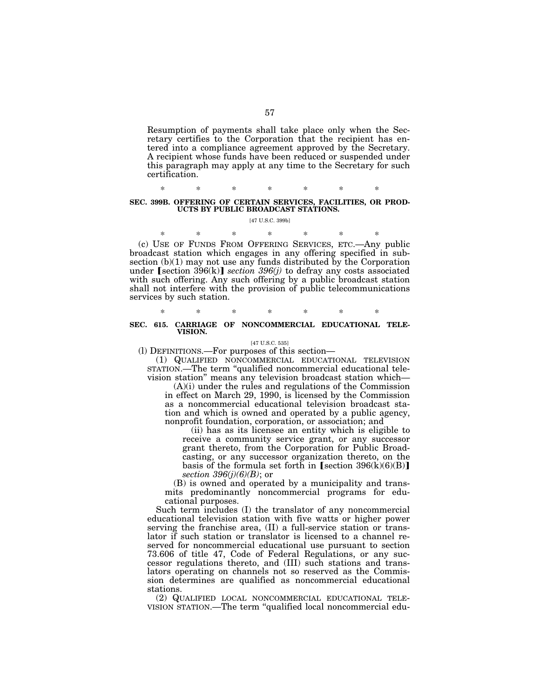Resumption of payments shall take place only when the Secretary certifies to the Corporation that the recipient has entered into a compliance agreement approved by the Secretary. A recipient whose funds have been reduced or suspended under this paragraph may apply at any time to the Secretary for such certification.

# \* \* \* \* \* \* \* **SEC. 399B. OFFERING OF CERTAIN SERVICES, FACILITIES, OR PROD-UCTS BY PUBLIC BROADCAST STATIONS.**

#### [47 U.S.C. 399b]

\* \* \* \* \* \* \* (c) USE OF FUNDS FROM OFFERING SERVICES, ETC.—Any public broadcast station which engages in any offering specified in subsection  $(b)(1)$  may not use any funds distributed by the Corporation under [section  $396(k)$ ] *section*  $396(j)$  to defray any costs associated with such offering. Any such offering by a public broadcast station shall not interfere with the provision of public telecommunications services by such station.

\* \* \* \* \* \* \*

#### **SEC. 615. CARRIAGE OF NONCOMMERCIAL EDUCATIONAL TELE-VISION.**

#### [47 U.S.C. 535]

(l) DEFINITIONS.—For purposes of this section—

(1) QUALIFIED NONCOMMERCIAL EDUCATIONAL TELEVISION STATION.—The term ''qualified noncommercial educational television station'' means any television broadcast station which—

(A)(i) under the rules and regulations of the Commission in effect on March 29, 1990, is licensed by the Commission as a noncommercial educational television broadcast station and which is owned and operated by a public agency, nonprofit foundation, corporation, or association; and

(ii) has as its licensee an entity which is eligible to receive a community service grant, or any successor grant thereto, from the Corporation for Public Broadcasting, or any successor organization thereto, on the basis of the formula set forth in [section  $396(k)(6)(B)$ ] *section 396(j)(6)(B)*; or

(B) is owned and operated by a municipality and transmits predominantly noncommercial programs for educational purposes.

Such term includes (I) the translator of any noncommercial educational television station with five watts or higher power serving the franchise area, (II) a full-service station or translator if such station or translator is licensed to a channel reserved for noncommercial educational use pursuant to section 73.606 of title 47, Code of Federal Regulations, or any successor regulations thereto, and (III) such stations and translators operating on channels not so reserved as the Commission determines are qualified as noncommercial educational stations.

(2) QUALIFIED LOCAL NONCOMMERCIAL EDUCATIONAL TELE-VISION STATION.—The term ''qualified local noncommercial edu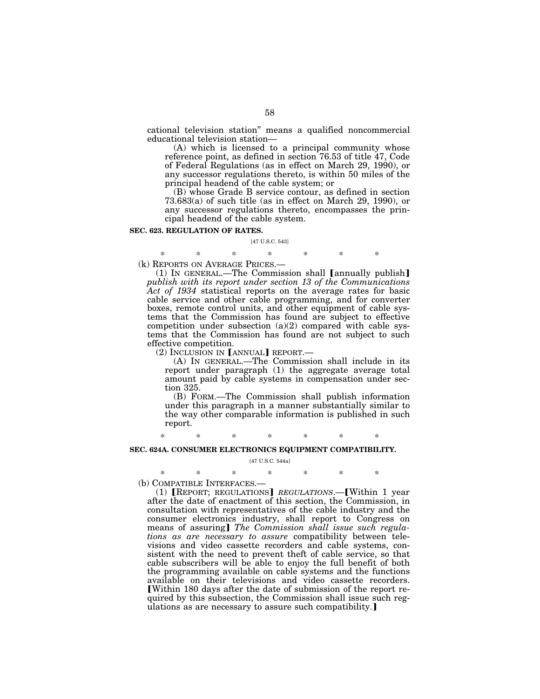cational television station'' means a qualified noncommercial educational television station—

(A) which is licensed to a principal community whose reference point, as defined in section 76.53 of title 47, Code of Federal Regulations (as in effect on March 29, 1990), or any successor regulations thereto, is within 50 miles of the principal headend of the cable system; or

(B) whose Grade B service contour, as defined in section 73.683(a) of such title (as in effect on March 29, 1990), or any successor regulations thereto, encompasses the principal headend of the cable system.

#### **SEC. 623. REGULATION OF RATES.**

#### [47 U.S.C. 543]

\* \* \* \* \* \* \*

(k) REPORTS ON AVERAGE PRICES.—

 $(1)$  In GENERAL.—The Commission shall [annually publish] *publish with its report under section 13 of the Communications Act of 1934* statistical reports on the average rates for basic cable service and other cable programming, and for converter boxes, remote control units, and other equipment of cable systems that the Commission has found are subject to effective competition under subsection (a)(2) compared with cable systems that the Commission has found are not subject to such effective competition.

 $(2)$  INCLUSION IN [ANNUAL] REPORT.—

(A) IN GENERAL.—The Commission shall include in its report under paragraph (1) the aggregate average total amount paid by cable systems in compensation under section 325.

(B) FORM.—The Commission shall publish information under this paragraph in a manner substantially similar to the way other comparable information is published in such report.

\* \* \* \* \* \* \*

### **SEC. 624A. CONSUMER ELECTRONICS EQUIPMENT COMPATIBILITY.**

#### [47 U.S.C. 544a]

\* \* \* \* \* \* \*

(b) COMPATIBLE INTERFACES.—

(1) [REPORT; REGULATIONS] *REGULATIONS*.-[Within 1 year after the date of enactment of this section, the Commission, in consultation with representatives of the cable industry and the consumer electronics industry, shall report to Congress on means of assuring] The Commission shall issue such regula*tions as are necessary to assure* compatibility between televisions and video cassette recorders and cable systems, consistent with the need to prevent theft of cable service, so that cable subscribers will be able to enjoy the full benefit of both the programming available on cable systems and the functions available on their televisions and video cassette recorders. øWithin 180 days after the date of submission of the report required by this subsection, the Commission shall issue such regulations as are necessary to assure such compatibility.]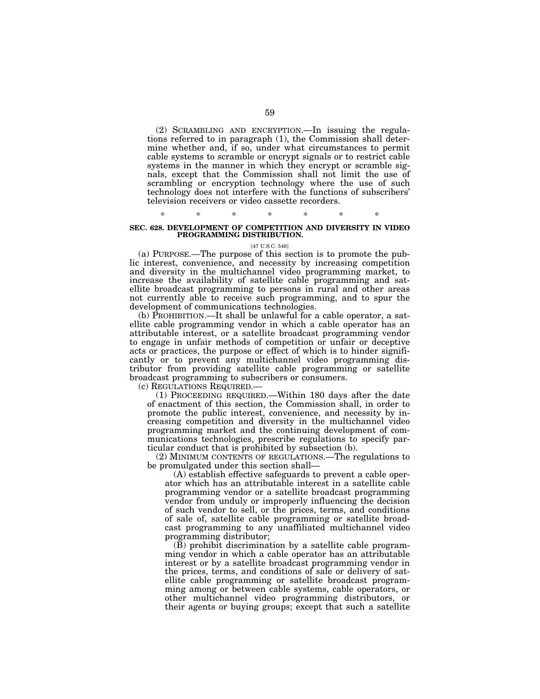(2) SCRAMBLING AND ENCRYPTION.—In issuing the regulations referred to in paragraph (1), the Commission shall determine whether and, if so, under what circumstances to permit cable systems to scramble or encrypt signals or to restrict cable systems in the manner in which they encrypt or scramble signals, except that the Commission shall not limit the use of scrambling or encryption technology where the use of such technology does not interfere with the functions of subscribers' television receivers or video cassette recorders.

# \* \* \* \* \* \* \* **SEC. 628. DEVELOPMENT OF COMPETITION AND DIVERSITY IN VIDEO PROGRAMMING DISTRIBUTION.**

### [47 U.S.C. 548]

(a) PURPOSE.—The purpose of this section is to promote the public interest, convenience, and necessity by increasing competition and diversity in the multichannel video programming market, to increase the availability of satellite cable programming and satellite broadcast programming to persons in rural and other areas not currently able to receive such programming, and to spur the development of communications technologies.

(b) PROHIBITION.—It shall be unlawful for a cable operator, a satellite cable programming vendor in which a cable operator has an attributable interest, or a satellite broadcast programming vendor to engage in unfair methods of competition or unfair or deceptive acts or practices, the purpose or effect of which is to hinder significantly or to prevent any multichannel video programming distributor from providing satellite cable programming or satellite broadcast programming to subscribers or consumers.

(c) REGULATIONS REQUIRED.— (1) PROCEEDING REQUIRED.—Within 180 days after the date of enactment of this section, the Commission shall, in order to promote the public interest, convenience, and necessity by increasing competition and diversity in the multichannel video programming market and the continuing development of communications technologies, prescribe regulations to specify particular conduct that is prohibited by subsection (b).

(2) MINIMUM CONTENTS OF REGULATIONS.—The regulations to be promulgated under this section shall—

(A) establish effective safeguards to prevent a cable operator which has an attributable interest in a satellite cable programming vendor or a satellite broadcast programming vendor from unduly or improperly influencing the decision of such vendor to sell, or the prices, terms, and conditions of sale of, satellite cable programming or satellite broadcast programming to any unaffiliated multichannel video programming distributor;

(B) prohibit discrimination by a satellite cable programming vendor in which a cable operator has an attributable interest or by a satellite broadcast programming vendor in the prices, terms, and conditions of sale or delivery of satellite cable programming or satellite broadcast programming among or between cable systems, cable operators, or other multichannel video programming distributors, or their agents or buying groups; except that such a satellite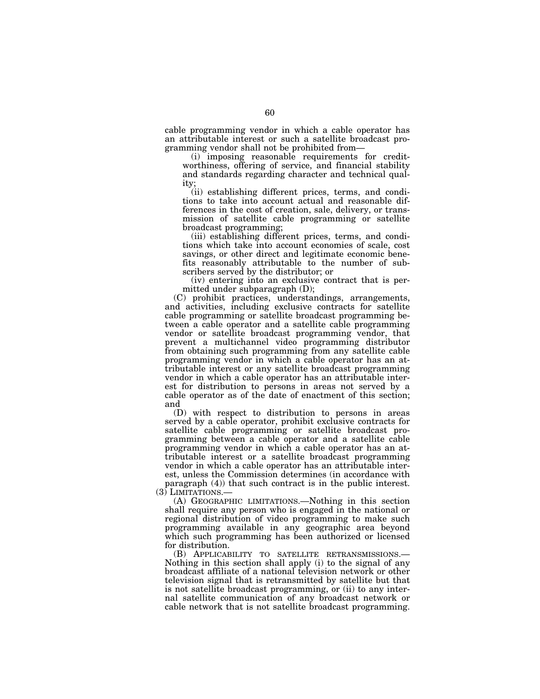cable programming vendor in which a cable operator has an attributable interest or such a satellite broadcast programming vendor shall not be prohibited from—

(i) imposing reasonable requirements for creditworthiness, offering of service, and financial stability and standards regarding character and technical quality;

(ii) establishing different prices, terms, and conditions to take into account actual and reasonable differences in the cost of creation, sale, delivery, or transmission of satellite cable programming or satellite broadcast programming;

(iii) establishing different prices, terms, and conditions which take into account economies of scale, cost savings, or other direct and legitimate economic benefits reasonably attributable to the number of subscribers served by the distributor; or

(iv) entering into an exclusive contract that is permitted under subparagraph (D);

(C) prohibit practices, understandings, arrangements, and activities, including exclusive contracts for satellite cable programming or satellite broadcast programming between a cable operator and a satellite cable programming vendor or satellite broadcast programming vendor, that prevent a multichannel video programming distributor from obtaining such programming from any satellite cable programming vendor in which a cable operator has an attributable interest or any satellite broadcast programming vendor in which a cable operator has an attributable interest for distribution to persons in areas not served by a cable operator as of the date of enactment of this section; and

(D) with respect to distribution to persons in areas served by a cable operator, prohibit exclusive contracts for satellite cable programming or satellite broadcast programming between a cable operator and a satellite cable programming vendor in which a cable operator has an attributable interest or a satellite broadcast programming vendor in which a cable operator has an attributable interest, unless the Commission determines (in accordance with paragraph (4)) that such contract is in the public interest.  $(3)$  LIMITATIONS.

(A) GEOGRAPHIC LIMITATIONS.—Nothing in this section shall require any person who is engaged in the national or regional distribution of video programming to make such programming available in any geographic area beyond which such programming has been authorized or licensed for distribution.

(B) APPLICABILITY TO SATELLITE RETRANSMISSIONS.— Nothing in this section shall apply (i) to the signal of any broadcast affiliate of a national television network or other television signal that is retransmitted by satellite but that is not satellite broadcast programming, or (ii) to any internal satellite communication of any broadcast network or cable network that is not satellite broadcast programming.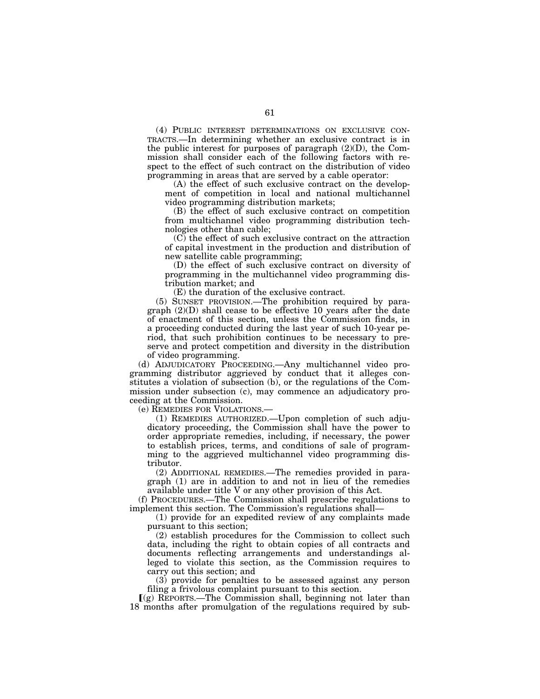(4) PUBLIC INTEREST DETERMINATIONS ON EXCLUSIVE CON-TRACTS.—In determining whether an exclusive contract is in the public interest for purposes of paragraph (2)(D), the Commission shall consider each of the following factors with respect to the effect of such contract on the distribution of video programming in areas that are served by a cable operator:

(A) the effect of such exclusive contract on the development of competition in local and national multichannel video programming distribution markets;

(B) the effect of such exclusive contract on competition from multichannel video programming distribution technologies other than cable;

(C) the effect of such exclusive contract on the attraction of capital investment in the production and distribution of new satellite cable programming;

(D) the effect of such exclusive contract on diversity of programming in the multichannel video programming distribution market; and

(E) the duration of the exclusive contract.

(5) SUNSET PROVISION.—The prohibition required by paragraph (2)(D) shall cease to be effective 10 years after the date of enactment of this section, unless the Commission finds, in a proceeding conducted during the last year of such 10-year period, that such prohibition continues to be necessary to preserve and protect competition and diversity in the distribution of video programming.

(d) ADJUDICATORY PROCEEDING.—Any multichannel video programming distributor aggrieved by conduct that it alleges constitutes a violation of subsection (b), or the regulations of the Commission under subsection (c), may commence an adjudicatory proceeding at the Commission.

(e) REMEDIES FOR VIOLATIONS.—

(1) REMEDIES AUTHORIZED.—Upon completion of such adjudicatory proceeding, the Commission shall have the power to order appropriate remedies, including, if necessary, the power to establish prices, terms, and conditions of sale of programming to the aggrieved multichannel video programming distributor.

(2) ADDITIONAL REMEDIES.—The remedies provided in paragraph (1) are in addition to and not in lieu of the remedies available under title V or any other provision of this Act.

(f) PROCEDURES.—The Commission shall prescribe regulations to implement this section. The Commission's regulations shall—

(1) provide for an expedited review of any complaints made pursuant to this section;

(2) establish procedures for the Commission to collect such data, including the right to obtain copies of all contracts and documents reflecting arrangements and understandings alleged to violate this section, as the Commission requires to carry out this section; and

(3) provide for penalties to be assessed against any person filing a frivolous complaint pursuant to this section.

 $(q)$  REPORTS.—The Commission shall, beginning not later than 18 months after promulgation of the regulations required by sub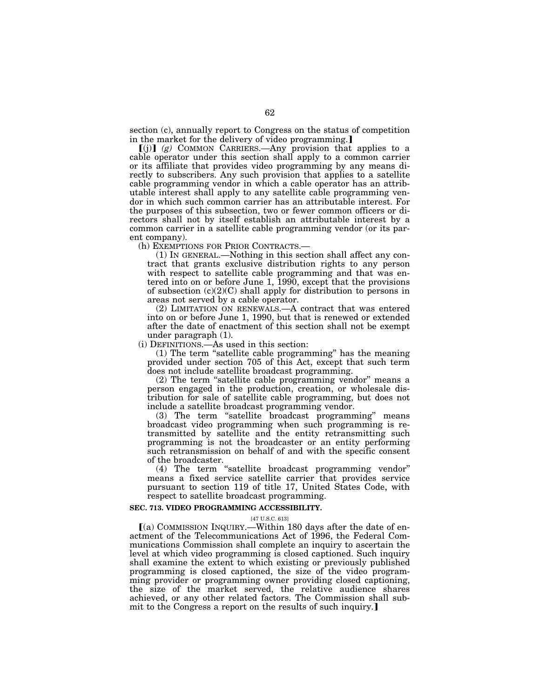section (c), annually report to Congress on the status of competition in the market for the delivery of video programming.

 $\overline{f(j)}$  (g) COMMON CARRIERS.—Any provision that applies to a cable operator under this section shall apply to a common carrier or its affiliate that provides video programming by any means directly to subscribers. Any such provision that applies to a satellite cable programming vendor in which a cable operator has an attributable interest shall apply to any satellite cable programming vendor in which such common carrier has an attributable interest. For the purposes of this subsection, two or fewer common officers or directors shall not by itself establish an attributable interest by a common carrier in a satellite cable programming vendor (or its parent company).

(h) EXEMPTIONS FOR PRIOR CONTRACTS.—

(1) IN GENERAL.—Nothing in this section shall affect any contract that grants exclusive distribution rights to any person with respect to satellite cable programming and that was entered into on or before June 1, 1990, except that the provisions of subsection  $(c)(2)(C)$  shall apply for distribution to persons in areas not served by a cable operator.

(2) LIMITATION ON RENEWALS.—A contract that was entered into on or before June 1, 1990, but that is renewed or extended after the date of enactment of this section shall not be exempt under paragraph (1).

(i) DEFINITIONS.—As used in this section:

(1) The term ''satellite cable programming'' has the meaning provided under section 705 of this Act, except that such term does not include satellite broadcast programming.

(2) The term ''satellite cable programming vendor'' means a person engaged in the production, creation, or wholesale distribution for sale of satellite cable programming, but does not include a satellite broadcast programming vendor.

(3) The term ''satellite broadcast programming'' means broadcast video programming when such programming is retransmitted by satellite and the entity retransmitting such programming is not the broadcaster or an entity performing such retransmission on behalf of and with the specific consent of the broadcaster.

(4) The term ''satellite broadcast programming vendor'' means a fixed service satellite carrier that provides service pursuant to section 119 of title 17, United States Code, with respect to satellite broadcast programming.

#### **SEC. 713. VIDEO PROGRAMMING ACCESSIBILITY.**

## [47 U.S.C. 613]

 $(a)$  COMMISSION INQUIRY.—Within 180 days after the date of enactment of the Telecommunications Act of 1996, the Federal Communications Commission shall complete an inquiry to ascertain the level at which video programming is closed captioned. Such inquiry shall examine the extent to which existing or previously published programming is closed captioned, the size of the video programming provider or programming owner providing closed captioning, the size of the market served, the relative audience shares achieved, or any other related factors. The Commission shall submit to the Congress a report on the results of such inquiry.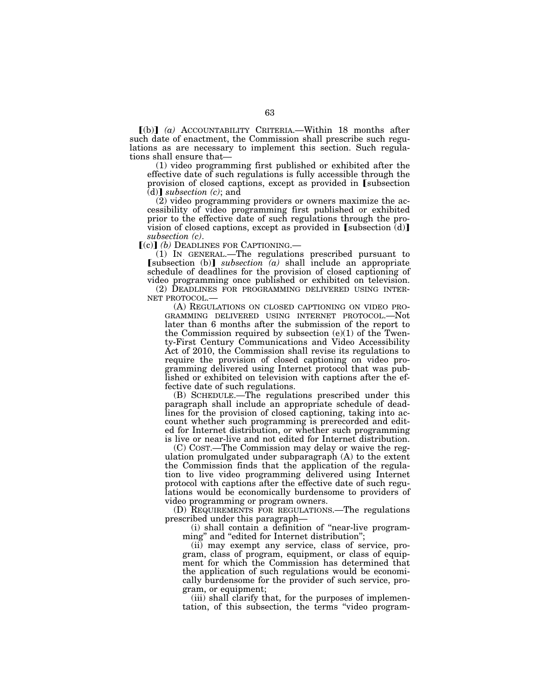$[$ (b) $]$   $(a)$  ACCOUNTABILITY CRITERIA.—Within 18 months after such date of enactment, the Commission shall prescribe such regulations as are necessary to implement this section. Such regulations shall ensure that—

(1) video programming first published or exhibited after the effective date of such regulations is fully accessible through the provision of closed captions, except as provided in [subsection] (d)  $subsection$  (c); and

(2) video programming providers or owners maximize the accessibility of video programming first published or exhibited prior to the effective date of such regulations through the provision of closed captions, except as provided in  $[subsection (d)]$ *subsection (c)*.<br>**[(c)]** *(b)* DEADLINES FOR CAPTIONING.—

(1) IN GENERAL.—The regulations prescribed pursuant to  $[subsection (b)]$  *subsection* (a) shall include an appropriate schedule of deadlines for the provision of closed captioning of video programming once published or exhibited on television.

(2) DEADLINES FOR PROGRAMMING DELIVERED USING INTER-NET PROTOCOL.—

(A) REGULATIONS ON CLOSED CAPTIONING ON VIDEO PRO- GRAMMING DELIVERED USING INTERNET PROTOCOL.—Not later than 6 months after the submission of the report to the Commission required by subsection  $(e)(1)$  of the Twenty-First Century Communications and Video Accessibility Act of 2010, the Commission shall revise its regulations to require the provision of closed captioning on video programming delivered using Internet protocol that was published or exhibited on television with captions after the effective date of such regulations.

(B) SCHEDULE.—The regulations prescribed under this paragraph shall include an appropriate schedule of deadlines for the provision of closed captioning, taking into account whether such programming is prerecorded and edited for Internet distribution, or whether such programming is live or near-live and not edited for Internet distribution.

(C) COST.—The Commission may delay or waive the regulation promulgated under subparagraph (A) to the extent the Commission finds that the application of the regulation to live video programming delivered using Internet protocol with captions after the effective date of such regulations would be economically burdensome to providers of video programming or program owners.

(D) REQUIREMENTS FOR REGULATIONS.—The regulations prescribed under this paragraph—

(i) shall contain a definition of ''near-live programming" and "edited for Internet distribution";

(ii) may exempt any service, class of service, program, class of program, equipment, or class of equipment for which the Commission has determined that the application of such regulations would be economically burdensome for the provider of such service, program, or equipment;

(iii) shall clarify that, for the purposes of implementation, of this subsection, the terms ''video program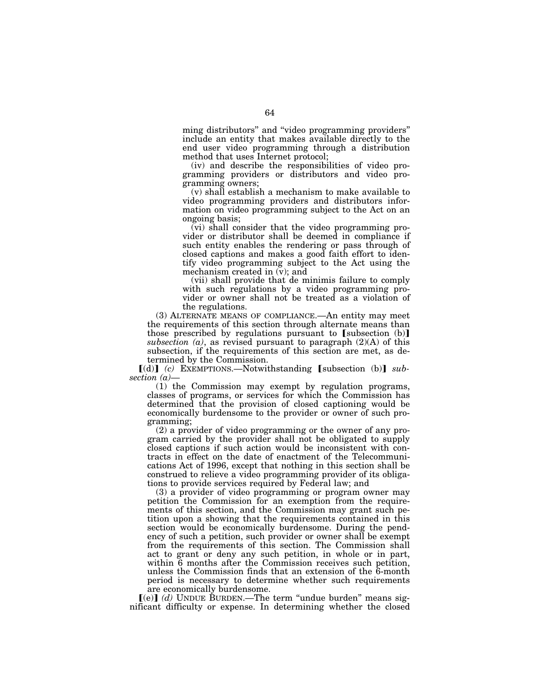ming distributors'' and ''video programming providers'' include an entity that makes available directly to the end user video programming through a distribution method that uses Internet protocol;

(iv) and describe the responsibilities of video programming providers or distributors and video programming owners;

(v) shall establish a mechanism to make available to video programming providers and distributors information on video programming subject to the Act on an ongoing basis;

(vi) shall consider that the video programming provider or distributor shall be deemed in compliance if such entity enables the rendering or pass through of closed captions and makes a good faith effort to identify video programming subject to the Act using the mechanism created in (v); and

(vii) shall provide that de minimis failure to comply with such regulations by a video programming provider or owner shall not be treated as a violation of the regulations.

(3) ALTERNATE MEANS OF COMPLIANCE.—An entity may meet the requirements of this section through alternate means than those prescribed by regulations pursuant to  $[subsection (b)]$ *subsection* (a), as revised pursuant to paragraph  $(2)(A)$  of this subsection, if the requirements of this section are met, as determined by the Commission.

 $[(d)]$  (c) EXEMPTIONS.—Notwithstanding [subsection (b)] *subsection* (a)—

*section (a)*— (1) the Commission may exempt by regulation programs, classes of programs, or services for which the Commission has determined that the provision of closed captioning would be economically burdensome to the provider or owner of such programming;

(2) a provider of video programming or the owner of any program carried by the provider shall not be obligated to supply closed captions if such action would be inconsistent with contracts in effect on the date of enactment of the Telecommunications Act of 1996, except that nothing in this section shall be construed to relieve a video programming provider of its obligations to provide services required by Federal law; and

(3) a provider of video programming or program owner may petition the Commission for an exemption from the requirements of this section, and the Commission may grant such petition upon a showing that the requirements contained in this section would be economically burdensome. During the pendency of such a petition, such provider or owner shall be exempt from the requirements of this section. The Commission shall act to grant or deny any such petition, in whole or in part, within 6 months after the Commission receives such petition, unless the Commission finds that an extension of the 6-month period is necessary to determine whether such requirements are economically burdensome.

 $\lceil (e) \rceil$  *(d)* UNDUE BURDEN.—The term "undue burden" means significant difficulty or expense. In determining whether the closed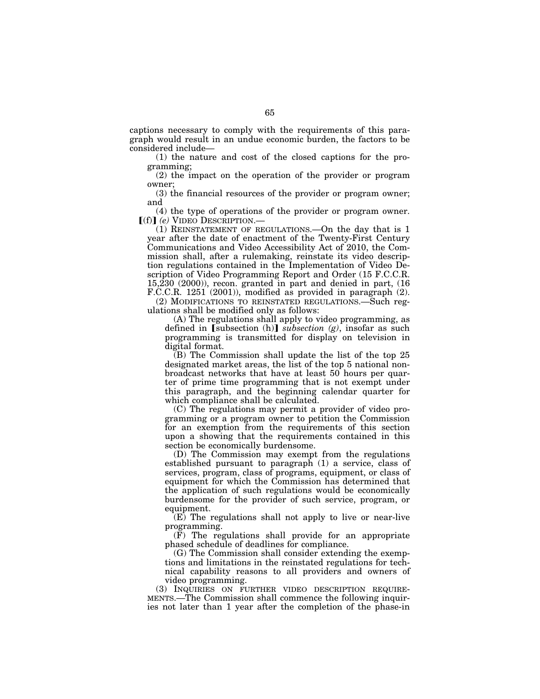captions necessary to comply with the requirements of this paragraph would result in an undue economic burden, the factors to be considered include—

(1) the nature and cost of the closed captions for the programming;

(2) the impact on the operation of the provider or program owner;

(3) the financial resources of the provider or program owner; and

(4) the type of operations of the provider or program owner.  $\Gamma(f)$  $(e)$  VIDEO DESCRIPTION.—

(1) REINSTATEMENT OF REGULATIONS.—On the day that is 1 year after the date of enactment of the Twenty-First Century Communications and Video Accessibility Act of 2010, the Commission shall, after a rulemaking, reinstate its video description regulations contained in the Implementation of Video Description of Video Programming Report and Order (15 F.C.C.R. 15,230 (2000)), recon. granted in part and denied in part, (16 F.C.C.R. 1251 (2001)), modified as provided in paragraph (2).

(2) MODIFICATIONS TO REINSTATED REGULATIONS.—Such regulations shall be modified only as follows:

(A) The regulations shall apply to video programming, as defined in [subsection  $(h)$ ] *subsection (g)*, insofar as such programming is transmitted for display on television in digital format.

(B) The Commission shall update the list of the top 25 designated market areas, the list of the top 5 national nonbroadcast networks that have at least 50 hours per quarter of prime time programming that is not exempt under this paragraph, and the beginning calendar quarter for which compliance shall be calculated.

(C) The regulations may permit a provider of video programming or a program owner to petition the Commission for an exemption from the requirements of this section upon a showing that the requirements contained in this section be economically burdensome.

(D) The Commission may exempt from the regulations established pursuant to paragraph (1) a service, class of services, program, class of programs, equipment, or class of equipment for which the Commission has determined that the application of such regulations would be economically burdensome for the provider of such service, program, or equipment.

(E) The regulations shall not apply to live or near-live programming.

 $(F)$  The regulations shall provide for an appropriate phased schedule of deadlines for compliance.

(G) The Commission shall consider extending the exemptions and limitations in the reinstated regulations for technical capability reasons to all providers and owners of video programming.

(3) INQUIRIES ON FURTHER VIDEO DESCRIPTION REQUIRE-MENTS.—The Commission shall commence the following inquiries not later than 1 year after the completion of the phase-in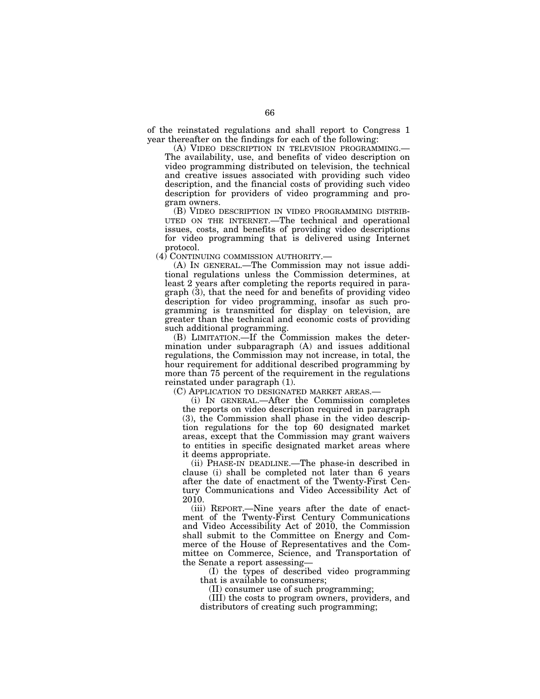of the reinstated regulations and shall report to Congress 1 year thereafter on the findings for each of the following:

(A) VIDEO DESCRIPTION IN TELEVISION PROGRAMMING.— The availability, use, and benefits of video description on video programming distributed on television, the technical and creative issues associated with providing such video description, and the financial costs of providing such video description for providers of video programming and program owners.

(B) VIDEO DESCRIPTION IN VIDEO PROGRAMMING DISTRIB-UTED ON THE INTERNET.—The technical and operational issues, costs, and benefits of providing video descriptions for video programming that is delivered using Internet protocol.

(4) CONTINUING COMMISSION AUTHORITY.—

(A) IN GENERAL.—The Commission may not issue additional regulations unless the Commission determines, at least 2 years after completing the reports required in paragraph (3), that the need for and benefits of providing video description for video programming, insofar as such programming is transmitted for display on television, are greater than the technical and economic costs of providing such additional programming.

(B) LIMITATION.—If the Commission makes the determination under subparagraph (A) and issues additional regulations, the Commission may not increase, in total, the hour requirement for additional described programming by more than 75 percent of the requirement in the regulations reinstated under paragraph (1).

(C) APPLICATION TO DESIGNATED MARKET AREAS.—

(i) IN GENERAL.—After the Commission completes the reports on video description required in paragraph (3), the Commission shall phase in the video description regulations for the top 60 designated market areas, except that the Commission may grant waivers to entities in specific designated market areas where it deems appropriate.

(ii) PHASE-IN DEADLINE.—The phase-in described in clause (i) shall be completed not later than 6 years after the date of enactment of the Twenty-First Century Communications and Video Accessibility Act of 2010.

(iii) REPORT.—Nine years after the date of enactment of the Twenty-First Century Communications and Video Accessibility Act of 2010, the Commission shall submit to the Committee on Energy and Commerce of the House of Representatives and the Committee on Commerce, Science, and Transportation of the Senate a report assessing—

(I) the types of described video programming that is available to consumers;

(II) consumer use of such programming;

(III) the costs to program owners, providers, and distributors of creating such programming;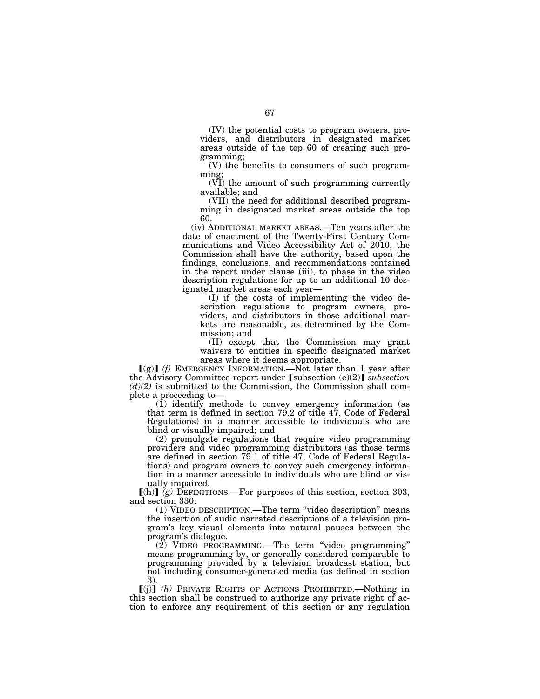(IV) the potential costs to program owners, providers, and distributors in designated market areas outside of the top 60 of creating such programming;

(V) the benefits to consumers of such programming;

 $(VI)$  the amount of such programming currently available; and

(VII) the need for additional described programming in designated market areas outside the top 60.

(iv) ADDITIONAL MARKET AREAS.—Ten years after the date of enactment of the Twenty-First Century Communications and Video Accessibility Act of 2010, the Commission shall have the authority, based upon the findings, conclusions, and recommendations contained in the report under clause (iii), to phase in the video description regulations for up to an additional 10 designated market areas each year—

(I) if the costs of implementing the video description regulations to program owners, providers, and distributors in those additional markets are reasonable, as determined by the Commission; and

(II) except that the Commission may grant waivers to entities in specific designated market areas where it deems appropriate.

 $\left[\left(g\right)\right]$  (f) EMERGENCY INFORMATION.—Not later than 1 year after the Advisory Committee report under [subsection (e)(2)]  $\check{s}ubsection$  $(d)(2)$  is submitted to the Commission, the Commission shall complete a proceeding to—

 $(1)$  identify methods to convey emergency information (as that term is defined in section 79.2 of title 47, Code of Federal Regulations) in a manner accessible to individuals who are blind or visually impaired; and

(2) promulgate regulations that require video programming providers and video programming distributors (as those terms are defined in section 79.1 of title 47, Code of Federal Regulations) and program owners to convey such emergency information in a manner accessible to individuals who are blind or visually impaired.

 $\llbracket$ (h) $\rrbracket$  (g) DEFINITIONS.—For purposes of this section, section 303, and section 330:

(1) VIDEO DESCRIPTION.—The term ''video description'' means the insertion of audio narrated descriptions of a television program's key visual elements into natural pauses between the program's dialogue.

(2) VIDEO PROGRAMMING.—The term ''video programming'' means programming by, or generally considered comparable to programming provided by a television broadcast station, but not including consumer-generated media (as defined in section 3).

 $[(j)]$   $(h)$  PRIVATE RIGHTS OF ACTIONS PROHIBITED. Nothing in this section shall be construed to authorize any private right of action to enforce any requirement of this section or any regulation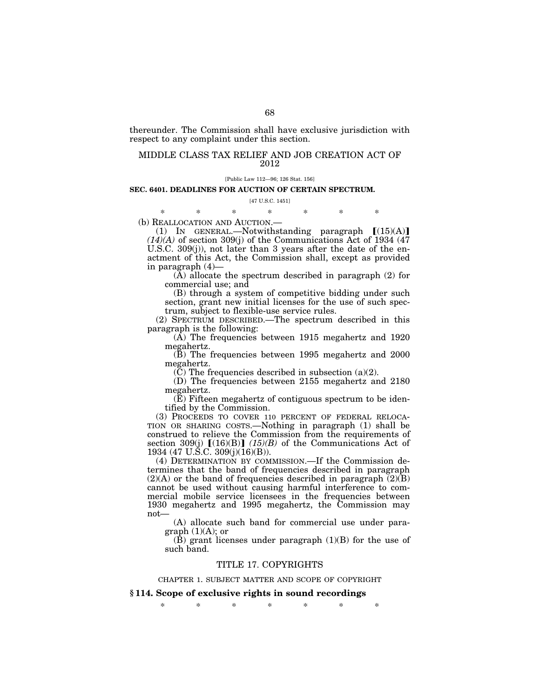thereunder. The Commission shall have exclusive jurisdiction with respect to any complaint under this section.

# MIDDLE CLASS TAX RELIEF AND JOB CREATION ACT OF 2012

[Public Law 112—96; 126 Stat. 156]

## **SEC. 6401. DEADLINES FOR AUCTION OF CERTAIN SPECTRUM.**

[47 U.S.C. 1451]

\* \* \* \* \* \* \*

(b) REALLOCATION AND AUCTION.—

(1) IN GENERAL.—Notwithstanding paragraph  $[(15)(A)]$  $(14)(A)$  of section 309(j) of the Communications Act of 1934 (47) U.S.C. 309(j)), not later than 3 years after the date of the enactment of this Act, the Commission shall, except as provided in paragraph (4)—

(A) allocate the spectrum described in paragraph (2) for commercial use; and

(B) through a system of competitive bidding under such section, grant new initial licenses for the use of such spectrum, subject to flexible-use service rules.

(2) SPECTRUM DESCRIBED.—The spectrum described in this paragraph is the following:

(A) The frequencies between 1915 megahertz and 1920 megahertz.

(B) The frequencies between 1995 megahertz and 2000 megahertz.

 $(\tilde{C})$  The frequencies described in subsection (a)(2).

(D) The frequencies between 2155 megahertz and 2180 megahertz.

 $(E)$  Fifteen megahertz of contiguous spectrum to be identified by the Commission.

(3) PROCEEDS TO COVER 110 PERCENT OF FEDERAL RELOCA-TION OR SHARING COSTS.—Nothing in paragraph (1) shall be construed to relieve the Commission from the requirements of section 309(j)  $[(16)(B)]$   $(15)(B)$  of the Communications Act of 1934 (47 U.S.C. 309(j)(16)(B)).

(4) DETERMINATION BY COMMISSION.—If the Commission determines that the band of frequencies described in paragraph  $(2)(A)$  or the band of frequencies described in paragraph  $(2)(B)$ cannot be used without causing harmful interference to commercial mobile service licensees in the frequencies between 1930 megahertz and 1995 megahertz, the Commission may not—

(A) allocate such band for commercial use under paragraph  $(1)(A)$ ; or

 $(B)$  grant licenses under paragraph  $(1)(B)$  for the use of such band.

# TITLE 17. COPYRIGHTS

### CHAPTER 1. SUBJECT MATTER AND SCOPE OF COPYRIGHT

## **§ 114. Scope of exclusive rights in sound recordings**

\* \* \* \* \* \* \*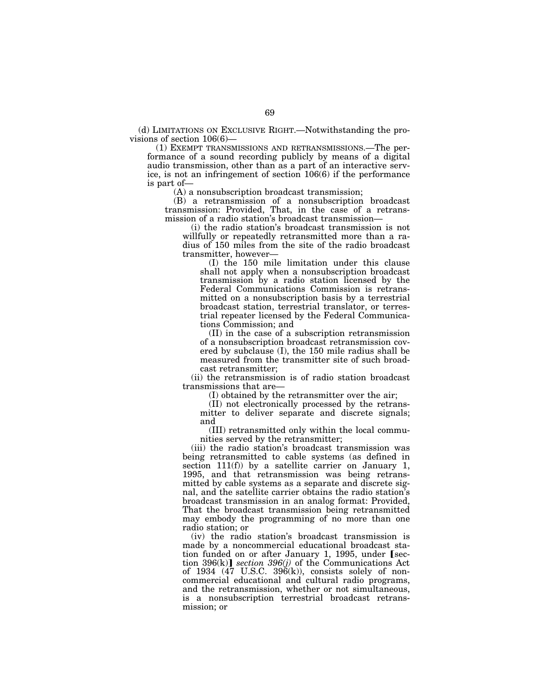(d) LIMITATIONS ON EXCLUSIVE RIGHT.—Notwithstanding the provisions of section 106(6)—

(1) EXEMPT TRANSMISSIONS AND RETRANSMISSIONS.—The performance of a sound recording publicly by means of a digital audio transmission, other than as a part of an interactive service, is not an infringement of section 106(6) if the performance is part of—

(A) a nonsubscription broadcast transmission;

(B) a retransmission of a nonsubscription broadcast transmission: Provided, That, in the case of a retransmission of a radio station's broadcast transmission—

(i) the radio station's broadcast transmission is not willfully or repeatedly retransmitted more than a radius of 150 miles from the site of the radio broadcast transmitter, however—

(I) the 150 mile limitation under this clause shall not apply when a nonsubscription broadcast transmission by a radio station licensed by the Federal Communications Commission is retransmitted on a nonsubscription basis by a terrestrial broadcast station, terrestrial translator, or terrestrial repeater licensed by the Federal Communications Commission; and

(II) in the case of a subscription retransmission of a nonsubscription broadcast retransmission covered by subclause (I), the 150 mile radius shall be measured from the transmitter site of such broadcast retransmitter;

(ii) the retransmission is of radio station broadcast transmissions that are—

(I) obtained by the retransmitter over the air;

(II) not electronically processed by the retransmitter to deliver separate and discrete signals; and

(III) retransmitted only within the local communities served by the retransmitter;

(iii) the radio station's broadcast transmission was being retransmitted to cable systems (as defined in section 111(f)) by a satellite carrier on January 1, 1995, and that retransmission was being retransmitted by cable systems as a separate and discrete signal, and the satellite carrier obtains the radio station's broadcast transmission in an analog format: Provided, That the broadcast transmission being retransmitted may embody the programming of no more than one radio station; or

(iv) the radio station's broadcast transmission is made by a noncommercial educational broadcast station funded on or after January 1, 1995, under  $[see$ tion  $396(k)$  *section*  $396(j)$  of the Communications Act of  $1934$  ( $47$  U.S.C.  $396(k)$ ), consists solely of noncommercial educational and cultural radio programs, and the retransmission, whether or not simultaneous, is a nonsubscription terrestrial broadcast retransmission; or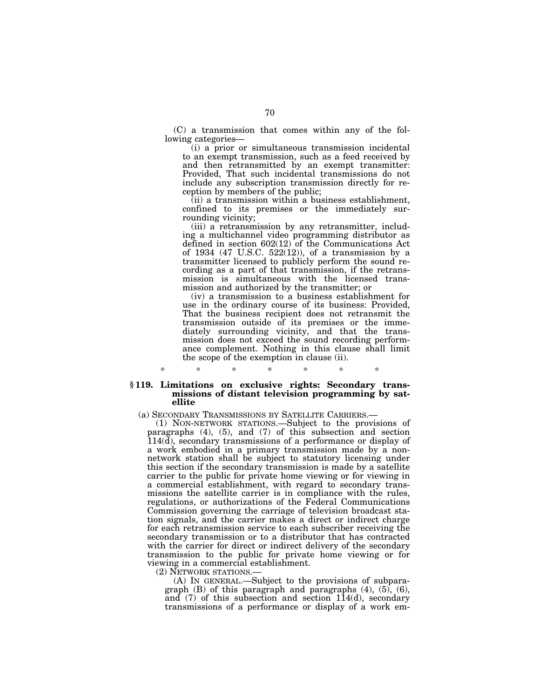(C) a transmission that comes within any of the following categories—

(i) a prior or simultaneous transmission incidental to an exempt transmission, such as a feed received by and then retransmitted by an exempt transmitter: Provided, That such incidental transmissions do not include any subscription transmission directly for reception by members of the public;

(ii) a transmission within a business establishment, confined to its premises or the immediately surrounding vicinity;

(iii) a retransmission by any retransmitter, including a multichannel video programming distributor as defined in section 602(12) of the Communications Act of 1934 (47 U.S.C. 522(12)), of a transmission by a transmitter licensed to publicly perform the sound recording as a part of that transmission, if the retransmission is simultaneous with the licensed transmission and authorized by the transmitter; or

(iv) a transmission to a business establishment for use in the ordinary course of its business: Provided, That the business recipient does not retransmit the transmission outside of its premises or the immediately surrounding vicinity, and that the transmission does not exceed the sound recording performance complement. Nothing in this clause shall limit the scope of the exemption in clause (ii).

# **§ 119. Limitations on exclusive rights: Secondary transmissions of distant television programming by satellite**

\* \* \* \* \* \* \*

(a) SECONDARY TRANSMISSIONS BY SATELLITE CARRIERS.— (1) NON-NETWORK STATIONS.—Subject to the provisions of paragraphs (4), (5), and (7) of this subsection and section 114(d), secondary transmissions of a performance or display of a work embodied in a primary transmission made by a nonnetwork station shall be subject to statutory licensing under this section if the secondary transmission is made by a satellite carrier to the public for private home viewing or for viewing in a commercial establishment, with regard to secondary transmissions the satellite carrier is in compliance with the rules, regulations, or authorizations of the Federal Communications Commission governing the carriage of television broadcast station signals, and the carrier makes a direct or indirect charge for each retransmission service to each subscriber receiving the secondary transmission or to a distributor that has contracted with the carrier for direct or indirect delivery of the secondary transmission to the public for private home viewing or for viewing in a commercial establishment.

(2) NETWORK STATIONS.— (A) IN GENERAL.—Subject to the provisions of subparagraph (B) of this paragraph and paragraphs  $(4)$ ,  $(5)$ ,  $(6)$ , and (7) of this subsection and section 114(d), secondary transmissions of a performance or display of a work em-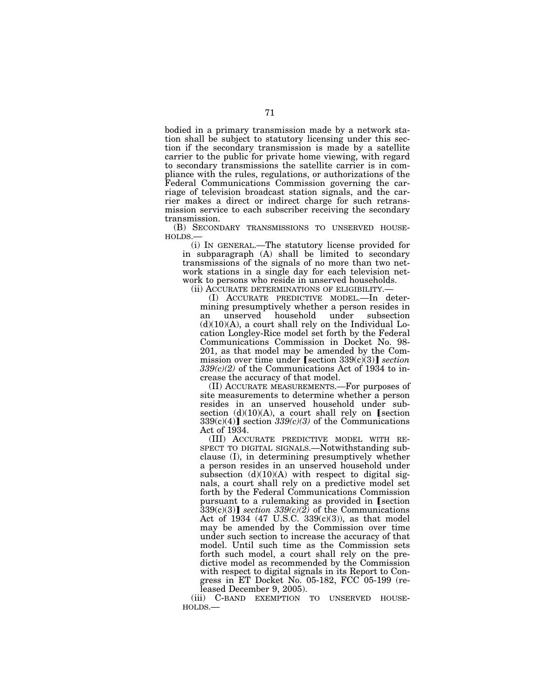bodied in a primary transmission made by a network station shall be subject to statutory licensing under this section if the secondary transmission is made by a satellite carrier to the public for private home viewing, with regard to secondary transmissions the satellite carrier is in compliance with the rules, regulations, or authorizations of the Federal Communications Commission governing the carriage of television broadcast station signals, and the carrier makes a direct or indirect charge for such retransmission service to each subscriber receiving the secondary transmission.

(B) SECONDARY TRANSMISSIONS TO UNSERVED HOUSE-HOLDS.—

(i) IN GENERAL.—The statutory license provided for in subparagraph (A) shall be limited to secondary transmissions of the signals of no more than two network stations in a single day for each television network to persons who reside in unserved households.

(ii) ACCURATE DETERMINATIONS OF ELIGIBILITY.—

(I) ACCURATE PREDICTIVE MODEL.—In determining presumptively whether a person resides in an unserved household under subsection  $(d)(10)(A)$ , a court shall rely on the Individual Location Longley-Rice model set forth by the Federal Communications Commission in Docket No. 98- 201, as that model may be amended by the Commission over time under [section 339(c)(3)] *section 339(c)(2)* of the Communications Act of 1934 to increase the accuracy of that model.

(II) ACCURATE MEASUREMENTS.—For purposes of site measurements to determine whether a person resides in an unserved household under subsection  $(d)(10)(A)$ , a court shall rely on [section  $339(c)(4)$  section  $339(c)(3)$  of the Communications Act of 1934.

(III) ACCURATE PREDICTIVE MODEL WITH RE- SPECT TO DIGITAL SIGNALS.—Notwithstanding subclause (I), in determining presumptively whether a person resides in an unserved household under subsection  $(d)(10)(A)$  with respect to digital signals, a court shall rely on a predictive model set forth by the Federal Communications Commission pursuant to a rulemaking as provided in  $\Gamma$  section  $339(c)(3)$  *section 339(c)(2)* of the Communications Act of 1934 (47 U.S.C. 339(c)(3)), as that model may be amended by the Commission over time under such section to increase the accuracy of that model. Until such time as the Commission sets forth such model, a court shall rely on the predictive model as recommended by the Commission with respect to digital signals in its Report to Congress in ET Docket No. 05-182, FCC 05-199 (released December 9, 2005).

(iii) C-BAND EXEMPTION TO UNSERVED HOUSE-HOLDS.—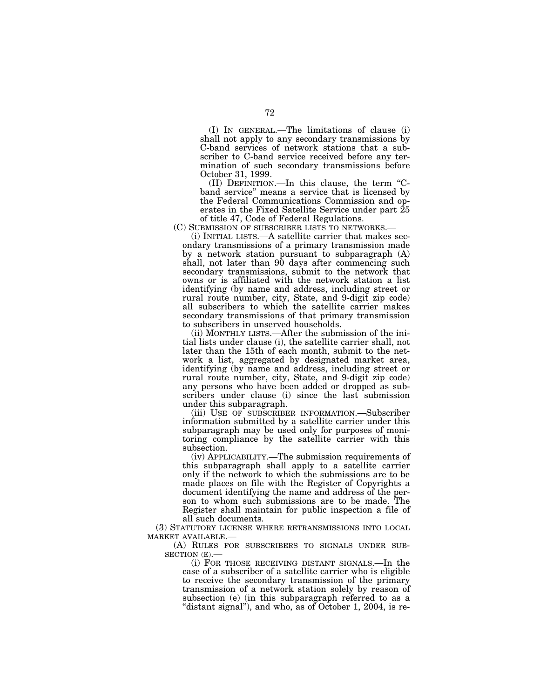(I) IN GENERAL.—The limitations of clause (i) shall not apply to any secondary transmissions by C-band services of network stations that a subscriber to C-band service received before any termination of such secondary transmissions before October 31, 1999.

(II) DEFINITION.—In this clause, the term ''Cband service'' means a service that is licensed by the Federal Communications Commission and operates in the Fixed Satellite Service under part 25 of title 47, Code of Federal Regulations.

(C) SUBMISSION OF SUBSCRIBER LISTS TO NETWORKS.—

(i) INITIAL LISTS.—A satellite carrier that makes secondary transmissions of a primary transmission made by a network station pursuant to subparagraph (A) shall, not later than 90 days after commencing such secondary transmissions, submit to the network that owns or is affiliated with the network station a list identifying (by name and address, including street or rural route number, city, State, and 9-digit zip code) all subscribers to which the satellite carrier makes secondary transmissions of that primary transmission to subscribers in unserved households.

(ii) MONTHLY LISTS.—After the submission of the initial lists under clause (i), the satellite carrier shall, not later than the 15th of each month, submit to the network a list, aggregated by designated market area, identifying (by name and address, including street or rural route number, city, State, and 9-digit zip code) any persons who have been added or dropped as subscribers under clause (i) since the last submission under this subparagraph.

(iii) USE OF SUBSCRIBER INFORMATION.—Subscriber information submitted by a satellite carrier under this subparagraph may be used only for purposes of monitoring compliance by the satellite carrier with this subsection.

(iv) APPLICABILITY.—The submission requirements of this subparagraph shall apply to a satellite carrier only if the network to which the submissions are to be made places on file with the Register of Copyrights a document identifying the name and address of the person to whom such submissions are to be made. The Register shall maintain for public inspection a file of all such documents.

(3) STATUTORY LICENSE WHERE RETRANSMISSIONS INTO LOCAL MARKET AVAILABLE.—

(A) RULES FOR SUBSCRIBERS TO SIGNALS UNDER SUB-SECTION (E).—<br>(i) FOR THOSE RECEIVING DISTANT SIGNALS.—In the

case of a subscriber of a satellite carrier who is eligible to receive the secondary transmission of the primary transmission of a network station solely by reason of subsection (e) (in this subparagraph referred to as a "distant signal"), and who, as of October 1, 2004, is re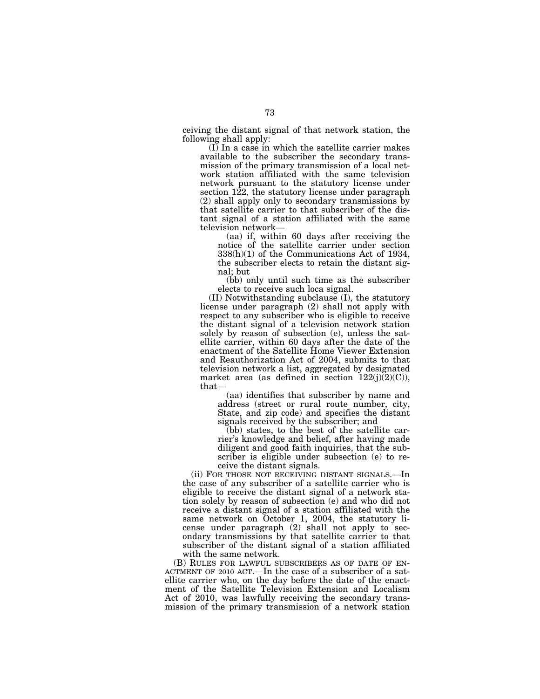ceiving the distant signal of that network station, the following shall apply:

(I) In a case in which the satellite carrier makes available to the subscriber the secondary transmission of the primary transmission of a local network station affiliated with the same television network pursuant to the statutory license under section 122, the statutory license under paragraph (2) shall apply only to secondary transmissions by that satellite carrier to that subscriber of the distant signal of a station affiliated with the same television network—

(aa) if, within 60 days after receiving the notice of the satellite carrier under section 338(h)(1) of the Communications Act of 1934, the subscriber elects to retain the distant signal; but

(bb) only until such time as the subscriber elects to receive such loca signal.

(II) Notwithstanding subclause (I), the statutory license under paragraph (2) shall not apply with respect to any subscriber who is eligible to receive the distant signal of a television network station solely by reason of subsection (e), unless the satellite carrier, within 60 days after the date of the enactment of the Satellite Home Viewer Extension and Reauthorization Act of 2004, submits to that television network a list, aggregated by designated market area (as defined in section  $122(j)(2)(C)$ ), that—

(aa) identifies that subscriber by name and address (street or rural route number, city, State, and zip code) and specifies the distant signals received by the subscriber; and

(bb) states, to the best of the satellite carrier's knowledge and belief, after having made diligent and good faith inquiries, that the subscriber is eligible under subsection (e) to receive the distant signals.

(ii) FOR THOSE NOT RECEIVING DISTANT SIGNALS.—In the case of any subscriber of a satellite carrier who is eligible to receive the distant signal of a network station solely by reason of subsection (e) and who did not receive a distant signal of a station affiliated with the same network on October 1, 2004, the statutory license under paragraph (2) shall not apply to secondary transmissions by that satellite carrier to that subscriber of the distant signal of a station affiliated with the same network.

(B) RULES FOR LAWFUL SUBSCRIBERS AS OF DATE OF EN- ACTMENT OF 2010 ACT.—In the case of a subscriber of a satellite carrier who, on the day before the date of the enactment of the Satellite Television Extension and Localism Act of 2010, was lawfully receiving the secondary transmission of the primary transmission of a network station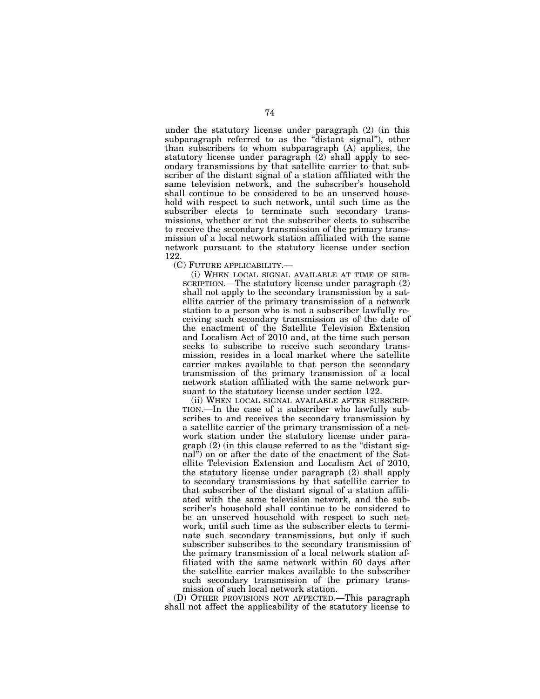under the statutory license under paragraph (2) (in this subparagraph referred to as the "distant signal"), other than subscribers to whom subparagraph (A) applies, the statutory license under paragraph (2) shall apply to secondary transmissions by that satellite carrier to that subscriber of the distant signal of a station affiliated with the same television network, and the subscriber's household shall continue to be considered to be an unserved household with respect to such network, until such time as the subscriber elects to terminate such secondary transmissions, whether or not the subscriber elects to subscribe to receive the secondary transmission of the primary transmission of a local network station affiliated with the same network pursuant to the statutory license under section 122.

(C) FUTURE APPLICABILITY.—

(i) WHEN LOCAL SIGNAL AVAILABLE AT TIME OF SUB-SCRIPTION.—The statutory license under paragraph (2) shall not apply to the secondary transmission by a satellite carrier of the primary transmission of a network station to a person who is not a subscriber lawfully receiving such secondary transmission as of the date of the enactment of the Satellite Television Extension and Localism Act of 2010 and, at the time such person seeks to subscribe to receive such secondary transmission, resides in a local market where the satellite carrier makes available to that person the secondary transmission of the primary transmission of a local network station affiliated with the same network pursuant to the statutory license under section 122.

(ii) WHEN LOCAL SIGNAL AVAILABLE AFTER SUBSCRIP-TION.—In the case of a subscriber who lawfully subscribes to and receives the secondary transmission by a satellite carrier of the primary transmission of a network station under the statutory license under paragraph (2) (in this clause referred to as the "distant signal") on or after the date of the enactment of the Satellite Television Extension and Localism Act of 2010, the statutory license under paragraph (2) shall apply to secondary transmissions by that satellite carrier to that subscriber of the distant signal of a station affiliated with the same television network, and the subscriber's household shall continue to be considered to be an unserved household with respect to such network, until such time as the subscriber elects to terminate such secondary transmissions, but only if such subscriber subscribes to the secondary transmission of the primary transmission of a local network station affiliated with the same network within 60 days after the satellite carrier makes available to the subscriber such secondary transmission of the primary transmission of such local network station.

(D) OTHER PROVISIONS NOT AFFECTED.—This paragraph shall not affect the applicability of the statutory license to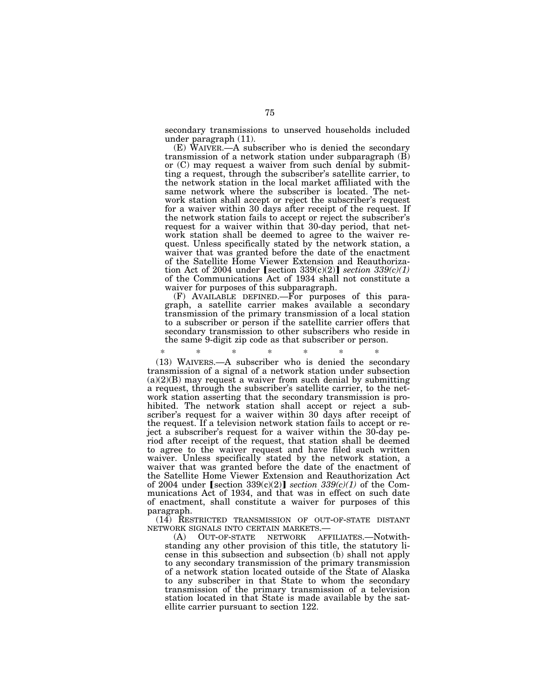secondary transmissions to unserved households included under paragraph (11).

(E) WAIVER.—A subscriber who is denied the secondary transmission of a network station under subparagraph  $(\tilde{B})$ or (C) may request a waiver from such denial by submitting a request, through the subscriber's satellite carrier, to the network station in the local market affiliated with the same network where the subscriber is located. The network station shall accept or reject the subscriber's request for a waiver within 30 days after receipt of the request. If the network station fails to accept or reject the subscriber's request for a waiver within that 30-day period, that network station shall be deemed to agree to the waiver request. Unless specifically stated by the network station, a waiver that was granted before the date of the enactment of the Satellite Home Viewer Extension and Reauthorization Act of 2004 under [section  $339(c)(2)$ ] *section 339(c)(1)* of the Communications Act of 1934 shall not constitute a waiver for purposes of this subparagraph.

(F) AVAILABLE DEFINED.—For purposes of this paragraph, a satellite carrier makes available a secondary transmission of the primary transmission of a local station to a subscriber or person if the satellite carrier offers that secondary transmission to other subscribers who reside in the same 9-digit zip code as that subscriber or person.

\* \* \* \* \* \* \* (13) WAIVERS.—A subscriber who is denied the secondary transmission of a signal of a network station under subsection  $(a)(2)(B)$  may request a waiver from such denial by submitting a request, through the subscriber's satellite carrier, to the network station asserting that the secondary transmission is prohibited. The network station shall accept or reject a subscriber's request for a waiver within 30 days after receipt of the request. If a television network station fails to accept or reject a subscriber's request for a waiver within the 30-day period after receipt of the request, that station shall be deemed to agree to the waiver request and have filed such written waiver. Unless specifically stated by the network station, a waiver that was granted before the date of the enactment of the Satellite Home Viewer Extension and Reauthorization Act of 2004 under [section 339(c)(2)] section  $339(c)(1)$  of the Communications Act of 1934, and that was in effect on such date of enactment, shall constitute a waiver for purposes of this paragraph.

 $\tilde{a}$  (14) Restricted transmission of out-of-state distant<br>network signals into certain markets.—

(A) OUT-OF-STATE NETWORK AFFILIATES.-Notwithstanding any other provision of this title, the statutory license in this subsection and subsection (b) shall not apply to any secondary transmission of the primary transmission of a network station located outside of the State of Alaska to any subscriber in that State to whom the secondary transmission of the primary transmission of a television station located in that State is made available by the satellite carrier pursuant to section 122.